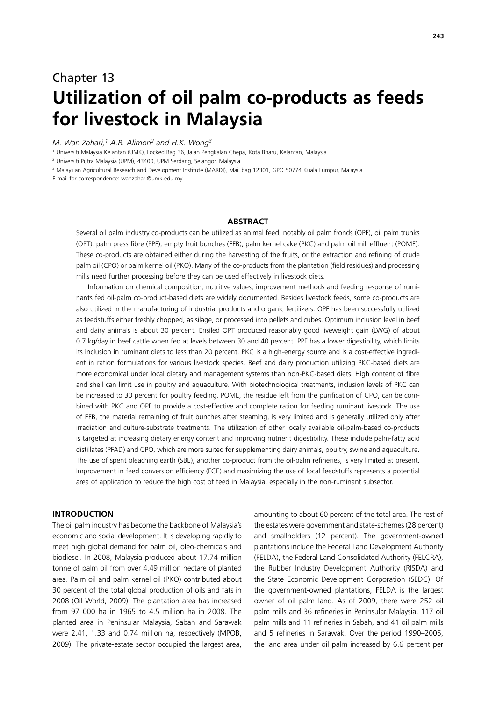## Chapter 13 **Utilization of oil palm co-products as feeds for livestock in Malaysia**

*M. Wan Zahari,1 A.R. Alimon2 and H.K. Wong3*

1 Universiti Malaysia Kelantan (UMK), Locked Bag 36, Jalan Pengkalan Chepa, Kota Bharu, Kelantan, Malaysia

2 Universiti Putra Malaysia (UPM), 43400, UPM Serdang, Selangor, Malaysia

<sup>3</sup> Malaysian Agricultural Research and Development Institute (MARDI), Mail bag 12301, GPO 50774 Kuala Lumpur, Malaysia

E-mail for correspondence: wanzahari@umk.edu.my

#### **ABSTRACT**

Several oil palm industry co-products can be utilized as animal feed, notably oil palm fronds (OPF), oil palm trunks (OPT), palm press fibre (PPF), empty fruit bunches (EFB), palm kernel cake (PKC) and palm oil mill effluent (POME). These co-products are obtained either during the harvesting of the fruits, or the extraction and refining of crude palm oil (CPO) or palm kernel oil (PKO). Many of the co-products from the plantation (field residues) and processing mills need further processing before they can be used effectively in livestock diets.

Information on chemical composition, nutritive values, improvement methods and feeding response of ruminants fed oil-palm co-product-based diets are widely documented. Besides livestock feeds, some co-products are also utilized in the manufacturing of industrial products and organic fertilizers. OPF has been successfully utilized as feedstuffs either freshly chopped, as silage, or processed into pellets and cubes. Optimum inclusion level in beef and dairy animals is about 30 percent. Ensiled OPT produced reasonably good liveweight gain (LWG) of about 0.7 kg/day in beef cattle when fed at levels between 30 and 40 percent. PPF has a lower digestibility, which limits its inclusion in ruminant diets to less than 20 percent. PKC is a high-energy source and is a cost-effective ingredient in ration formulations for various livestock species. Beef and dairy production utilizing PKC-based diets are more economical under local dietary and management systems than non-PKC-based diets. High content of fibre and shell can limit use in poultry and aquaculture. With biotechnological treatments, inclusion levels of PKC can be increased to 30 percent for poultry feeding. POME, the residue left from the purification of CPO, can be combined with PKC and OPF to provide a cost-effective and complete ration for feeding ruminant livestock. The use of EFB, the material remaining of fruit bunches after steaming, is very limited and is generally utilized only after irradiation and culture-substrate treatments. The utilization of other locally available oil-palm-based co-products is targeted at increasing dietary energy content and improving nutrient digestibility. These include palm-fatty acid distillates (PFAD) and CPO, which are more suited for supplementing dairy animals, poultry, swine and aquaculture. The use of spent bleaching earth (SBE), another co-product from the oil-palm refineries, is very limited at present. Improvement in feed conversion efficiency (FCE) and maximizing the use of local feedstuffs represents a potential area of application to reduce the high cost of feed in Malaysia, especially in the non-ruminant subsector.

#### **INTRODUCTION**

The oil palm industry has become the backbone of Malaysia's economic and social development. It is developing rapidly to meet high global demand for palm oil, oleo-chemicals and biodiesel. In 2008, Malaysia produced about 17.74 million tonne of palm oil from over 4.49 million hectare of planted area. Palm oil and palm kernel oil (PKO) contributed about 30 percent of the total global production of oils and fats in 2008 (Oil World, 2009). The plantation area has increased from 97 000 ha in 1965 to 4.5 million ha in 2008. The planted area in Peninsular Malaysia, Sabah and Sarawak were 2.41, 1.33 and 0.74 million ha, respectively (MPOB, 2009). The private-estate sector occupied the largest area, amounting to about 60 percent of the total area. The rest of the estates were government and state-schemes (28 percent) and smallholders (12 percent). The government-owned plantations include the Federal Land Development Authority (FELDA), the Federal Land Consolidated Authority (FELCRA), the Rubber Industry Development Authority (RISDA) and the State Economic Development Corporation (SEDC). Of the government-owned plantations, FELDA is the largest owner of oil palm land. As of 2009, there were 252 oil palm mills and 36 refineries in Peninsular Malaysia, 117 oil palm mills and 11 refineries in Sabah, and 41 oil palm mills and 5 refineries in Sarawak. Over the period 1990–2005, the land area under oil palm increased by 6.6 percent per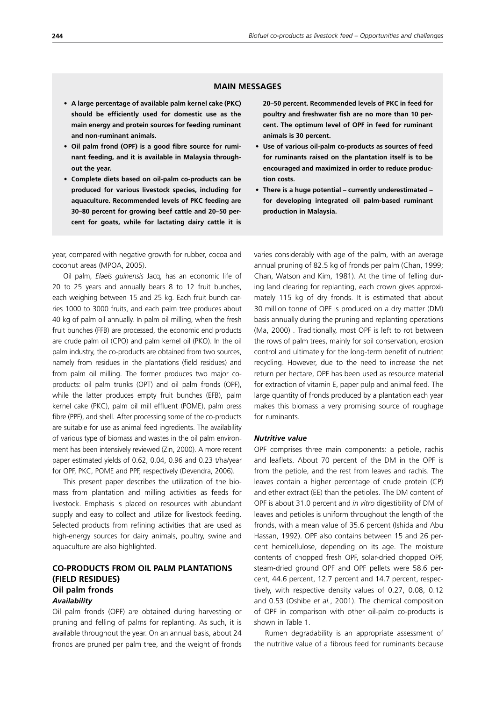## **MAIN MESSAGES**

- **• A large percentage of available palm kernel cake (PKC) should be efficiently used for domestic use as the main energy and protein sources for feeding ruminant and non-ruminant animals.**
- **• Oil palm frond (OPF) is a good fibre source for ruminant feeding, and it is available in Malaysia throughout the year.**
- **• Complete diets based on oil-palm co-products can be produced for various livestock species, including for aquaculture. Recommended levels of PKC feeding are 30–80 percent for growing beef cattle and 20–50 percent for goats, while for lactating dairy cattle it is**

year, compared with negative growth for rubber, cocoa and coconut areas (MPOA, 2005).

Oil palm, *Elaeis guinensis* Jacq, has an economic life of 20 to 25 years and annually bears 8 to 12 fruit bunches, each weighing between 15 and 25 kg. Each fruit bunch carries 1000 to 3000 fruits, and each palm tree produces about 40 kg of palm oil annually. In palm oil milling, when the fresh fruit bunches (FFB) are processed, the economic end products are crude palm oil (CPO) and palm kernel oil (PKO). In the oil palm industry, the co-products are obtained from two sources, namely from residues in the plantations (field residues) and from palm oil milling. The former produces two major coproducts: oil palm trunks (OPT) and oil palm fronds (OPF), while the latter produces empty fruit bunches (EFB), palm kernel cake (PKC), palm oil mill effluent (POME), palm press fibre (PPF), and shell. After processing some of the co-products are suitable for use as animal feed ingredients. The availability of various type of biomass and wastes in the oil palm environment has been intensively reviewed (Zin, 2000). A more recent paper estimated yields of 0.62, 0.04, 0.96 and 0.23 t/ha/year for OPF, PKC, POME and PPF, respectively (Devendra, 2006).

This present paper describes the utilization of the biomass from plantation and milling activities as feeds for livestock. Emphasis is placed on resources with abundant supply and easy to collect and utilize for livestock feeding. Selected products from refining activities that are used as high-energy sources for dairy animals, poultry, swine and aquaculture are also highlighted.

## **CO-PRODUCTS FROM OIL PALM PLANTATIONS (FIELD RESIDUES) Oil palm fronds** *Availability*

Oil palm fronds (OPF) are obtained during harvesting or pruning and felling of palms for replanting. As such, it is available throughout the year. On an annual basis, about 24 fronds are pruned per palm tree, and the weight of fronds **20–50 percent. Recommended levels of PKC in feed for poultry and freshwater fish are no more than 10 percent. The optimum level of OPF in feed for ruminant animals is 30 percent.**

- **• Use of various oil-palm co-products as sources of feed for ruminants raised on the plantation itself is to be encouraged and maximized in order to reduce production costs.**
- **• There is a huge potential currently underestimated for developing integrated oil palm-based ruminant production in Malaysia.**

varies considerably with age of the palm, with an average annual pruning of 82.5 kg of fronds per palm (Chan, 1999; Chan, Watson and Kim, 1981). At the time of felling during land clearing for replanting, each crown gives approximately 115 kg of dry fronds. It is estimated that about 30 million tonne of OPF is produced on a dry matter (DM) basis annually during the pruning and replanting operations (Ma, 2000) . Traditionally, most OPF is left to rot between the rows of palm trees, mainly for soil conservation, erosion control and ultimately for the long-term benefit of nutrient recycling. However, due to the need to increase the net return per hectare, OPF has been used as resource material for extraction of vitamin E, paper pulp and animal feed. The large quantity of fronds produced by a plantation each year makes this biomass a very promising source of roughage for ruminants.

#### *Nutritive value*

OPF comprises three main components: a petiole, rachis and leaflets. About 70 percent of the DM in the OPF is from the petiole, and the rest from leaves and rachis. The leaves contain a higher percentage of crude protein (CP) and ether extract (EE) than the petioles. The DM content of OPF is about 31.0 percent and *in vitro* digestibility of DM of leaves and petioles is uniform throughout the length of the fronds, with a mean value of 35.6 percent (Ishida and Abu Hassan, 1992). OPF also contains between 15 and 26 percent hemicellulose, depending on its age. The moisture contents of chopped fresh OPF, solar-dried chopped OPF, steam-dried ground OPF and OPF pellets were 58.6 percent, 44.6 percent, 12.7 percent and 14.7 percent, respectively, with respective density values of 0.27, 0.08, 0.12 and 0.53 (Oshibe *et al.*, 2001). The chemical composition of OPF in comparison with other oil-palm co-products is shown in Table 1.

Rumen degradability is an appropriate assessment of the nutritive value of a fibrous feed for ruminants because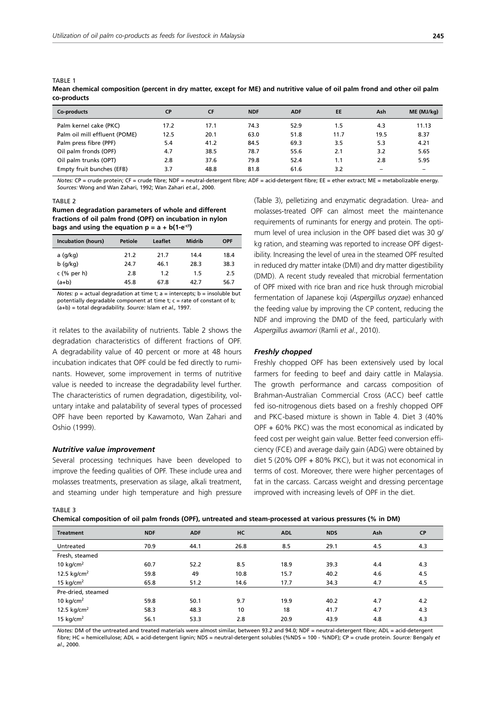| w-prouucu                     |           |           |            |            |           |      |            |
|-------------------------------|-----------|-----------|------------|------------|-----------|------|------------|
| Co-products                   | <b>CP</b> | <b>CF</b> | <b>NDF</b> | <b>ADF</b> | <b>EE</b> | Ash  | ME (MJ/kg) |
| Palm kernel cake (PKC)        | 17.2      | 17.1      | 74.3       | 52.9       | 1.5       | 4.3  | 11.13      |
| Palm oil mill effluent (POME) | 12.5      | 20.1      | 63.0       | 51.8       | 11.7      | 19.5 | 8.37       |
| Palm press fibre (PPF)        | 5.4       | 41.2      | 84.5       | 69.3       | 3.5       | 5.3  | 4.21       |
| Oil palm fronds (OPF)         | 4.7       | 38.5      | 78.7       | 55.6       | 2.1       | 3.2  | 5.65       |
| Oil palm trunks (OPT)         | 2.8       | 37.6      | 79.8       | 52.4       | 1.1       | 2.8  | 5.95       |
| Empty fruit bunches (EFB)     | 3.7       | 48.8      | 81.8       | 61.6       | 3.2       |      |            |

**Mean chemical composition (percent in dry matter, except for ME) and nutritive value of oil palm frond and other oil palm co-products**

*Notes:* CP = crude protein; CF = crude fibre; NDF = neutral-detergent fibre; ADF = acid-detergent fibre; EE = ether extract; ME = metabolizable energy. *Sources:* Wong and Wan Zahari, 1992; Wan Zahari *et.al.,* 2000.

#### TABLE 2

TABLE 1

**Rumen degradation parameters of whole and different fractions of oil palm frond (OPF) on incubation in nylon**  bags and using the equation  $p = a + b(1-e^{-ct})$ 

| Incubation (hours) | Petiole | Leaflet | Midrib | <b>OPF</b> |
|--------------------|---------|---------|--------|------------|
| a (g/kg)           | 21.2    | 21.7    | 14.4   | 18.4       |
| $b$ (q/kg)         | 24.7    | 46.1    | 28.3   | 38.3       |
| $c$ (% per h)      | 2.8     | 1.2     | 1.5    | 2.5        |
| (a+b)              | 45.8    | 67.8    | 42.7   | 56.7       |

*Notes:*  $p = actual degradation at time t$ :  $a = intercepts$ :  $b = insoluble but$ potentially degradable component at time  $t$ ;  $c$  = rate of constant of  $b$ ; (a+b) = total degradability. *Source:* Islam *et al.,* 1997.

it relates to the availability of nutrients. Table 2 shows the degradation characteristics of different fractions of OPF. A degradability value of 40 percent or more at 48 hours incubation indicates that OPF could be fed directly to ruminants. However, some improvement in terms of nutritive value is needed to increase the degradability level further. The characteristics of rumen degradation, digestibility, voluntary intake and palatability of several types of processed OPF have been reported by Kawamoto, Wan Zahari and Oshio (1999).

### *Nutritive value improvement*

Several processing techniques have been developed to improve the feeding qualities of OPF. These include urea and molasses treatments, preservation as silage, alkali treatment, and steaming under high temperature and high pressure

(Table 3), pelletizing and enzymatic degradation. Urea- and molasses-treated OPF can almost meet the maintenance requirements of ruminants for energy and protein. The optimum level of urea inclusion in the OPF based diet was 30 g/ kg ration, and steaming was reported to increase OPF digestibility. Increasing the level of urea in the steamed OPF resulted in reduced dry matter intake (DMI) and dry matter digestibility (DMD). A recent study revealed that microbial fermentation of OPF mixed with rice bran and rice husk through microbial fermentation of Japanese koji (*Aspergillus oryzae*) enhanced the feeding value by improving the CP content, reducing the NDF and improving the DMD of the feed, particularly with *Aspergillus awamori* (Ramli *et al*., 2010).

#### *Freshly chopped*

Freshly chopped OPF has been extensively used by local farmers for feeding to beef and dairy cattle in Malaysia. The growth performance and carcass composition of Brahman-Australian Commercial Cross (ACC) beef cattle fed iso-nitrogenous diets based on a freshly chopped OPF and PKC-based mixture is shown in Table 4. Diet 3 (40% OPF + 60% PKC) was the most economical as indicated by feed cost per weight gain value. Better feed conversion efficiency (FCE) and average daily gain (ADG) were obtained by diet 5 (20% OPF + 80% PKC), but it was not economical in terms of cost. Moreover, there were higher percentages of fat in the carcass. Carcass weight and dressing percentage improved with increasing levels of OPF in the diet.

TABLE 3

**Chemical composition of oil palm fronds (OPF), untreated and steam-processed at various pressures (% in DM)**

| <b>Treatment</b>        | <b>NDF</b> | <b>ADF</b> | HC   | <b>ADL</b> | <b>NDS</b> | Ash | <b>CP</b> |
|-------------------------|------------|------------|------|------------|------------|-----|-----------|
| Untreated               | 70.9       | 44.1       | 26.8 | 8.5        | 29.1       | 4.5 | 4.3       |
| Fresh, steamed          |            |            |      |            |            |     |           |
| 10 kg/cm <sup>2</sup>   | 60.7       | 52.2       | 8.5  | 18.9       | 39.3       | 4.4 | 4.3       |
| 12.5 kg/cm <sup>2</sup> | 59.8       | 49         | 10.8 | 15.7       | 40.2       | 4.6 | 4.5       |
| 15 kg/cm <sup>2</sup>   | 65.8       | 51.2       | 14.6 | 17.7       | 34.3       | 4.7 | 4.5       |
| Pre-dried, steamed      |            |            |      |            |            |     |           |
| 10 kg/cm <sup>2</sup>   | 59.8       | 50.1       | 9.7  | 19.9       | 40.2       | 4.7 | 4.2       |
| 12.5 $kg/cm2$           | 58.3       | 48.3       | 10   | 18         | 41.7       | 4.7 | 4.3       |
| 15 $kg/cm2$             | 56.1       | 53.3       | 2.8  | 20.9       | 43.9       | 4.8 | 4.3       |
|                         |            |            |      |            |            |     |           |

*Notes:* DM of the untreated and treated materials were almost similar, between 93.2 and 94.0; NDF = neutral-detergent fibre; ADL = acid-detergent fibre; HC = hemicellulose; ADL = acid-detergent lignin; NDS = neutral-detergent solubles (%NDS = 100 - %NDF); CP = crude protein. *Source:* Bengaly *et al*., 2000.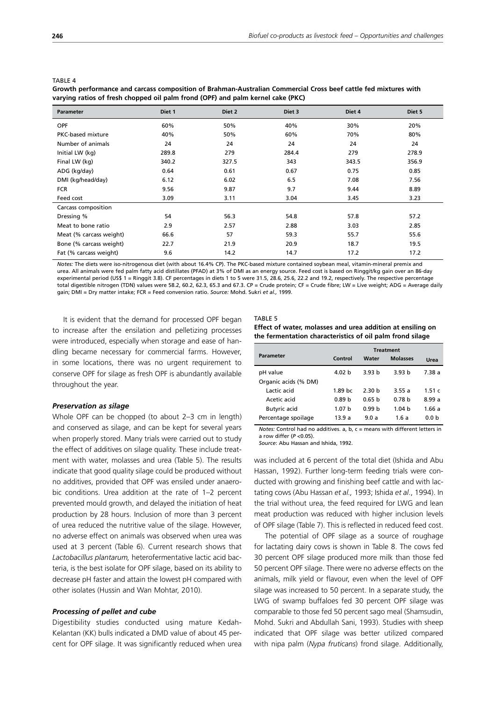| <b>Parameter</b>         | Diet 1 | Diet 2 | Diet 3 | Diet 4 | Diet 5 |
|--------------------------|--------|--------|--------|--------|--------|
| <b>OPF</b>               | 60%    | 50%    | 40%    | 30%    | 20%    |
| <b>PKC-based mixture</b> | 40%    | 50%    | 60%    | 70%    | 80%    |
| Number of animals        | 24     | 24     | 24     | 24     | 24     |
| Initial LW (kg)          | 289.8  | 279    | 284.4  | 279    | 278.9  |
| Final LW (kg)            | 340.2  | 327.5  | 343    | 343.5  | 356.9  |
| ADG (kg/day)             | 0.64   | 0.61   | 0.67   | 0.75   | 0.85   |
| DMI (kg/head/day)        | 6.12   | 6.02   | 6.5    | 7.08   | 7.56   |
| <b>FCR</b>               | 9.56   | 9.87   | 9.7    | 9.44   | 8.89   |
| Feed cost                | 3.09   | 3.11   | 3.04   | 3.45   | 3.23   |
| Carcass composition      |        |        |        |        |        |
| Dressing %               | 54     | 56.3   | 54.8   | 57.8   | 57.2   |
| Meat to bone ratio       | 2.9    | 2.57   | 2.88   | 3.03   | 2.85   |
| Meat (% carcass weight)  | 66.6   | 57     | 59.3   | 55.7   | 55.6   |
| Bone (% carcass weight)  | 22.7   | 21.9   | 20.9   | 18.7   | 19.5   |
| Fat (% carcass weight)   | 9.6    | 14.2   | 14.7   | 17.2   | 17.2   |

TARI F 4

**Growth performance and carcass composition of Brahman-Australian Commercial Cross beef cattle fed mixtures with varying ratios of fresh chopped oil palm frond (OPF) and palm kernel cake (PKC)**

*Notes:* The diets were iso-nitrogenous diet (with about 16.4% CP). The PKC-based mixture contained soybean meal, vitamin-mineral premix and urea. All animals were fed palm fatty acid distillates (PFAD) at 3% of DMI as an energy source. Feed cost is based on Ringgit/kg gain over an 86-day experimental period (US\$ 1 = Ringgit 3.8). CF percentages in diets 1 to 5 were 31.5, 28.6, 25.6, 22.2 and 19.2, respectively. The respective percentage total digestible nitrogen (TDN) values were 58.2, 60.2, 62.3, 65.3 and 67.3. CP = Crude protein; CF = Crude fibre; LW = Live weight; ADG = Average daily gain; DMI = Dry matter intake; FCR = Feed conversion ratio. *Source:* Mohd. Sukri *et al.,* 1999.

It is evident that the demand for processed OPF began to increase after the ensilation and pelletizing processes were introduced, especially when storage and ease of handling became necessary for commercial farms. However, in some locations, there was no urgent requirement to conserve OPF for silage as fresh OPF is abundantly available throughout the year.

#### *Preservation as silage*

Whole OPF can be chopped (to about 2–3 cm in length) and conserved as silage, and can be kept for several years when properly stored. Many trials were carried out to study the effect of additives on silage quality. These include treatment with water, molasses and urea (Table 5). The results indicate that good quality silage could be produced without no additives, provided that OPF was ensiled under anaerobic conditions. Urea addition at the rate of 1–2 percent prevented mould growth, and delayed the initiation of heat production by 28 hours. Inclusion of more than 3 percent of urea reduced the nutritive value of the silage. However, no adverse effect on animals was observed when urea was used at 3 percent (Table 6). Current research shows that *Lactobacillus plantarum,* heterofermentative lactic acid bacteria, is the best isolate for OPF silage, based on its ability to decrease pH faster and attain the lowest pH compared with other isolates (Hussin and Wan Mohtar, 2010).

#### *Processing of pellet and cube*

Digestibility studies conducted using mature Kedah-Kelantan (KK) bulls indicated a DMD value of about 45 percent for OPF silage. It was significantly reduced when urea TABLE 5

**Effect of water, molasses and urea addition at ensiling on the fermentation characteristics of oil palm frond silage**

|                      | <b>Treatment</b>  |                   |                   |          |  |
|----------------------|-------------------|-------------------|-------------------|----------|--|
| Parameter            | Control           | Water             | <b>Molasses</b>   | Urea     |  |
| pH value             | 4.02 b            | 3.93 b            | 3.93 <sub>b</sub> | 7.38a    |  |
| Organic acids (% DM) |                   |                   |                   |          |  |
| Lactic acid          | 1.89 bc           | 2.30 h            | 3.55a             | 1.51 $c$ |  |
| Acetic acid          | 0.89 <sub>b</sub> | 0.65 <sub>b</sub> | 0.78 <sub>b</sub> | 8.99a    |  |
| <b>Butyric acid</b>  | 1.07 <sub>b</sub> | 0.99h             | 1.04h             | 1.66a    |  |
| Percentage spoilage  | 13.9a             | 9.0a              | 1.6 a             | 0.0 b    |  |

*Notes:* Control had no additives. a, b, c = means with different letters in a row differ (*P* <0.05).

*Source*: Abu Hassan and Ishida, 1992.

was included at 6 percent of the total diet (Ishida and Abu Hassan, 1992). Further long-term feeding trials were conducted with growing and finishing beef cattle and with lactating cows (Abu Hassan *et al.,* 1993; Ishida *et al*., 1994). In the trial without urea, the feed required for LWG and lean meat production was reduced with higher inclusion levels of OPF silage (Table 7). This is reflected in reduced feed cost.

The potential of OPF silage as a source of roughage for lactating dairy cows is shown in Table 8. The cows fed 30 percent OPF silage produced more milk than those fed 50 percent OPF silage. There were no adverse effects on the animals, milk yield or flavour, even when the level of OPF silage was increased to 50 percent. In a separate study, the LWG of swamp buffaloes fed 30 percent OPF silage was comparable to those fed 50 percent sago meal (Shamsudin, Mohd. Sukri and Abdullah Sani, 1993). Studies with sheep indicated that OPF silage was better utilized compared with nipa palm (*Nypa fruticans*) frond silage. Additionally,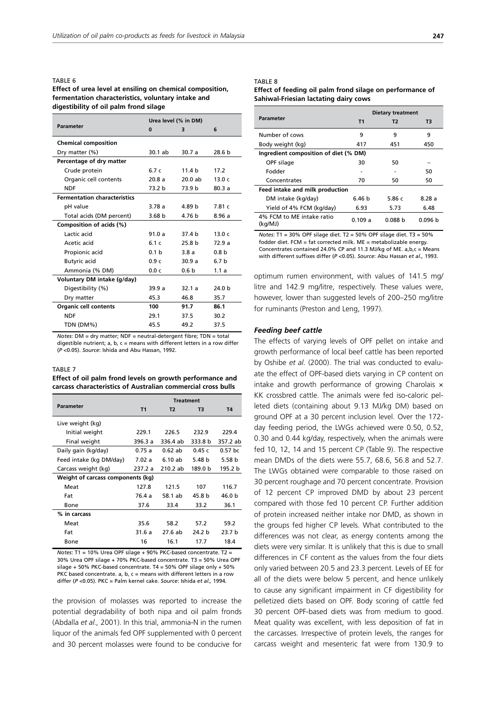#### TABLE 6

#### **Effect of urea level at ensiling on chemical composition, fermentation characteristics, voluntary intake and digestibility of oil palm frond silage**

|                                     | Urea level (% in DM) |                   |                   |  |
|-------------------------------------|----------------------|-------------------|-------------------|--|
| <b>Parameter</b>                    | $\Omega$             | з                 | 6                 |  |
| <b>Chemical composition</b>         |                      |                   |                   |  |
| Dry matter (%)                      | $30.1$ ab            | 30.7 a            | 28.6 b            |  |
| Percentage of dry matter            |                      |                   |                   |  |
| Crude protein                       | 6.7c                 | 11.4 <sub>b</sub> | 17.2              |  |
| Organic cell contents               | 20.8a                | 20.0ab            | 13.0c             |  |
| <b>NDF</b>                          | 73.2 b               | 73.9 b            | 80.3a             |  |
| <b>Fermentation characteristics</b> |                      |                   |                   |  |
| pH value                            | 3.78a                | 4.89 b            | 7.81c             |  |
| Total acids (DM percent)            | 3.68 <sub>b</sub>    | 4.76 b            | 8.96a             |  |
| Composition of acids (%)            |                      |                   |                   |  |
| Lactic acid                         | 91.0a                | 37.4 h            | 13.0c             |  |
| Acetic acid                         | 6.1c                 | 25.8 h            | 72.9a             |  |
| Propionic acid                      | 0.1 <sub>b</sub>     | 3.8a              | 0.8 <sub>b</sub>  |  |
| <b>Butyric acid</b>                 | 0.9c                 | 30.9a             | 6.7 <sub>b</sub>  |  |
| Ammonia (% DM)                      | 0.0c                 | 0.6 <sub>b</sub>  | 1.1a              |  |
| Voluntary DM intake (g/day)         |                      |                   |                   |  |
| Digestibility (%)                   | 39.9a                | 32.1a             | 24.0 <sub>b</sub> |  |
| Dry matter                          | 45.3                 | 46.8              | 35.7              |  |
| <b>Organic cell contents</b>        | 100                  | 91.7              | 86.1              |  |
| <b>NDF</b>                          | 29.1                 | 37.5              | 30.2              |  |
| TDN (DM%)                           | 45.5                 | 49.2              | 37.5              |  |

*Notes*: DM = dry matter; NDF = neutral-detergent fibre; TDN = total digestible nutrient;  $a, b, c$  = means with different letters in a row differ (*P* <0.05). *Source*: Ishida and Abu Hassan, 1992.

### TABLE 7

#### **Effect of oil palm frond levels on growth performance and carcass characteristics of Australian commercial cross bulls**

|                                   |           | <b>Treatment</b> |         |           |
|-----------------------------------|-----------|------------------|---------|-----------|
| <b>Parameter</b>                  | <b>T1</b> | T <sub>2</sub>   | T3      | T4        |
| Live weight (kg)                  |           |                  |         |           |
| Initial weight                    | 229.1     | 226.5            | 232.9   | 229.4     |
| Final weight                      | 396.3 a   | 336.4 ab         | 333.8 b | 357.2 ab  |
| Daily gain (kg/day)               | 0.75a     | $0.62$ ab        | 0.45c   | $0.57$ bc |
| Feed intake (kg DM/day)           | 7.02a     | 6.10 ab          | 5.48 b  | 5.58 b    |
| Carcass weight (kg)               | 237.2 a   | 210.2 ab         | 189.0 b | 195.2 b   |
| Weight of carcass components (kg) |           |                  |         |           |
| Meat                              | 127.8     | 121.5            | 107     | 116.7     |
| Fat                               | 76.4 a    | 58.1 ab          | 45.8 b  | 46.0 b    |
| Bone                              | 37.6      | 33.4             | 33.2    | 36.1      |
| % in carcass                      |           |                  |         |           |
| Meat                              | 35.6      | 58.2             | 57.2    | 59.2      |
| Fat                               | 31.6a     | 27.6 ab          | 24.2 b  | 23.7 b    |
| Bone                              | 16        | 16.1             | 17.7    | 18.4      |

*Notes*: T1 = 10% Urea OPF silage + 90% PKC-based concentrate. T2 = 30% Urea OPF silage + 70% PKC-based concentrate. T3 = 50% Urea OPF silage + 50% PKC-based concentrate. T4 = 50% OPF silage only + 50% PKC based concentrate. a, b,  $c$  = means with different letters in a row differ (*P* <0.05). PKC = Palm kernel cake. *Source*: Ishida *et al.,* 1994.

the provision of molasses was reported to increase the potential degradability of both nipa and oil palm fronds (Abdalla *et al.,* 2001). In this trial, ammonia-N in the rumen liquor of the animals fed OPF supplemented with 0 percent and 30 percent molasses were found to be conducive for

#### TABLE 8

#### **Effect of feeding oil palm frond silage on performance of Sahiwal-Friesian lactating dairy cows**

|                                       |                   | <b>Dietary treatment</b> |                    |  |  |  |
|---------------------------------------|-------------------|--------------------------|--------------------|--|--|--|
| <b>Parameter</b>                      | <b>T1</b>         | Т2                       | T3                 |  |  |  |
| Number of cows                        | 9                 | 9                        | q                  |  |  |  |
| Body weight (kg)                      | 417               | 451                      | 450                |  |  |  |
| Ingredient composition of diet (% DM) |                   |                          |                    |  |  |  |
| OPF silage                            | 30                | 50                       |                    |  |  |  |
| Fodder                                |                   |                          | 50                 |  |  |  |
| Concentrates                          | 70                | 50                       | 50                 |  |  |  |
| Feed intake and milk production       |                   |                          |                    |  |  |  |
| DM intake (kg/day)                    | 6.46 <sub>b</sub> | 5.86 c                   | 8.28a              |  |  |  |
| Yield of 4% FCM (kg/day)              | 6.93              | 5.73                     | 6.48               |  |  |  |
| 4% FCM to MF intake ratio<br>(kg/MJ)  | 0.109a            | 0.088 <sub>b</sub>       | 0.096 <sub>b</sub> |  |  |  |

*Notes*:  $T1 = 30\%$  OPF silage diet.  $T2 = 50\%$  OPF silage diet.  $T3 = 50\%$ fodder diet. FCM = fat corrected milk. ME = metabolizable energy. Concentrates contained 24.0% CP and 11.3 MJ/kg of ME. a,b,c = Means with different suffixes differ (*P* <0.05). *Source*: Abu Hassan *et al.,* 1993.

optimum rumen environment, with values of 141.5 mg/ litre and 142.9 mg/litre, respectively. These values were, however, lower than suggested levels of 200–250 mg/litre for ruminants (Preston and Leng, 1997).

#### *Feeding beef cattle*

The effects of varying levels of OPF pellet on intake and growth performance of local beef cattle has been reported by Oshibe *et al.* (2000). The trial was conducted to evaluate the effect of OPF-based diets varying in CP content on intake and growth performance of growing Charolais  $\times$ KK crossbred cattle. The animals were fed iso-caloric pelleted diets (containing about 9.13 MJ/kg DM) based on ground OPF at a 30 percent inclusion level. Over the 172 day feeding period, the LWGs achieved were 0.50, 0.52, 0.30 and 0.44 kg/day, respectively, when the animals were fed 10, 12, 14 and 15 percent CP (Table 9). The respective mean DMDs of the diets were 55.7, 68.6, 56.8 and 52.7. The LWGs obtained were comparable to those raised on 30 percent roughage and 70 percent concentrate. Provision of 12 percent CP improved DMD by about 23 percent compared with those fed 10 percent CP. Further addition of protein increased neither intake nor DMD, as shown in the groups fed higher CP levels. What contributed to the differences was not clear, as energy contents among the diets were very similar. It is unlikely that this is due to small differences in CF content as the values from the four diets only varied between 20.5 and 23.3 percent. Levels of EE for all of the diets were below 5 percent, and hence unlikely to cause any significant impairment in CF digestibility for pelletized diets based on OPF. Body scoring of cattle fed 30 percent OPF-based diets was from medium to good. Meat quality was excellent, with less deposition of fat in the carcasses. Irrespective of protein levels, the ranges for carcass weight and mesenteric fat were from 130.9 to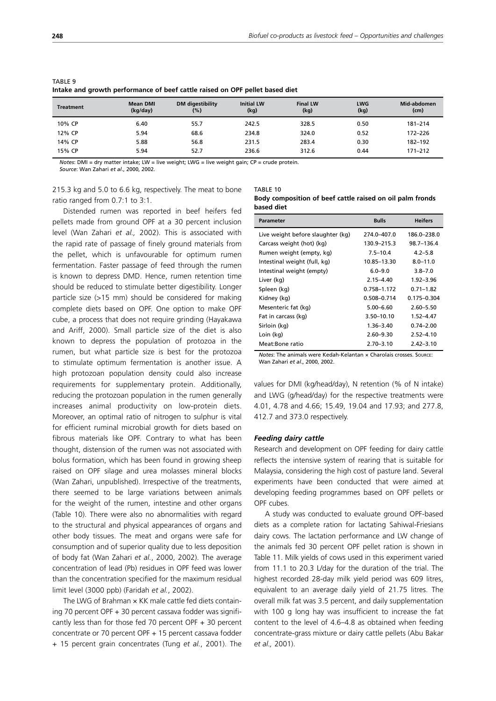| <b>Treatment</b> | <b>Mean DMI</b><br>(kg/day) | DM digestibility<br>(%) | <b>Initial LW</b><br>(kq) | <b>Final LW</b><br>(kg) | <b>LWG</b><br>(kg) | Mid-abdomen<br>(cm) |
|------------------|-----------------------------|-------------------------|---------------------------|-------------------------|--------------------|---------------------|
| 10% CP           | 6.40                        | 55.7                    | 242.5                     | 328.5                   | 0.50               | $181 - 214$         |
| 12% CP           | 5.94                        | 68.6                    | 234.8                     | 324.0                   | 0.52               | 172-226             |
| 14% CP           | 5.88                        | 56.8                    | 231.5                     | 283.4                   | 0.30               | 182-192             |
| 15% CP           | 5.94                        | 52.7                    | 236.6                     | 312.6                   | 0.44               | $171 - 212$         |

TABLE 9 **Intake and growth performance of beef cattle raised on OPF pellet based diet**

*Notes*: DMI = dry matter intake; LW = live weight; LWG = live weight gain; CP = crude protein.

*Source*: Wan Zahari *et al*., 2000, 2002.

215.3 kg and 5.0 to 6.6 kg, respectively. The meat to bone ratio ranged from 0.7:1 to 3:1.

Distended rumen was reported in beef heifers fed pellets made from ground OPF at a 30 percent inclusion level (Wan Zahari *et al.,* 2002). This is associated with the rapid rate of passage of finely ground materials from the pellet, which is unfavourable for optimum rumen fermentation. Faster passage of feed through the rumen is known to depress DMD. Hence, rumen retention time should be reduced to stimulate better digestibility. Longer particle size (>15 mm) should be considered for making complete diets based on OPF. One option to make OPF cube, a process that does not require grinding (Hayakawa and Ariff, 2000). Small particle size of the diet is also known to depress the population of protozoa in the rumen, but what particle size is best for the protozoa to stimulate optimum fermentation is another issue. A high protozoan population density could also increase requirements for supplementary protein. Additionally, reducing the protozoan population in the rumen generally increases animal productivity on low-protein diets. Moreover, an optimal ratio of nitrogen to sulphur is vital for efficient ruminal microbial growth for diets based on fibrous materials like OPF. Contrary to what has been thought, distension of the rumen was not associated with bolus formation, which has been found in growing sheep raised on OPF silage and urea molasses mineral blocks (Wan Zahari, unpublished). Irrespective of the treatments, there seemed to be large variations between animals for the weight of the rumen, intestine and other organs (Table 10). There were also no abnormalities with regard to the structural and physical appearances of organs and other body tissues. The meat and organs were safe for consumption and of superior quality due to less deposition of body fat (Wan Zahari *et al.*, 2000, 2002). The average concentration of lead (Pb) residues in OPF feed was lower than the concentration specified for the maximum residual limit level (3000 ppb) (Faridah *et al.*, 2002).

The LWG of Brahman x KK male cattle fed diets containing 70 percent OPF + 30 percent cassava fodder was significantly less than for those fed 70 percent OPF + 30 percent concentrate or 70 percent OPF + 15 percent cassava fodder + 15 percent grain concentrates (Tung *et al.*, 2001). The

| TABLE 10                                                  |
|-----------------------------------------------------------|
| Body composition of beef cattle raised on oil palm fronds |
| based diet                                                |

| <b>Parameter</b>                  | <b>Bulls</b>   | <b>Heifers</b>  |
|-----------------------------------|----------------|-----------------|
| Live weight before slaughter (kg) | 274 0-407 0    | 186.0-238.0     |
| Carcass weight (hot) (kg)         | 130.9-215.3    | 98.7-136.4      |
| Rumen weight (empty, kg)          | $7.5 - 10.4$   | $4.2 - 5.8$     |
| Intestinal weight (full, kg)      | 10.85-13.30    | $8.0 - 11.0$    |
| Intestinal weight (empty)         | $6.0 - 9.0$    | $3.8 - 7.0$     |
| Liver (kg)                        | $2.15 - 4.40$  | $1.92 - 3.96$   |
| Spleen (kg)                       | 0.758-1.172    | $0.71 - 1.82$   |
| Kidney (kg)                       | 0.508-0.714    | $0.175 - 0.304$ |
| Mesenteric fat (kg)               | $5.00 - 6.60$  | $2.60 - 5.50$   |
| Fat in carcass (kg)               | $3.50 - 10.10$ | 1.52-4.47       |
| Sirloin (kg)                      | $1.36 - 3.40$  | $0.74 - 2.00$   |
| Loin (kg)                         | $2.60 - 9.30$  | $2.52 - 4.10$   |
| Meat:Bone ratio                   | $2.70 - 3.10$  | $2.42 - 3.10$   |

*Notes*: The animals were Kedah-Kelantan × Charolais crosses. Source: Wan Zahari *et al*., 2000, 2002.

values for DMI (kg/head/day), N retention (% of N intake) and LWG (g/head/day) for the respective treatments were 4.01, 4.78 and 4.66; 15.49, 19.04 and 17.93; and 277.8, 412.7 and 373.0 respectively.

#### *Feeding dairy cattle*

Research and development on OPF feeding for dairy cattle reflects the intensive system of rearing that is suitable for Malaysia, considering the high cost of pasture land. Several experiments have been conducted that were aimed at developing feeding programmes based on OPF pellets or OPF cubes.

A study was conducted to evaluate ground OPF-based diets as a complete ration for lactating Sahiwal-Friesians dairy cows. The lactation performance and LW change of the animals fed 30 percent OPF pellet ration is shown in Table 11. Milk yields of cows used in this experiment varied from 11.1 to 20.3 L/day for the duration of the trial. The highest recorded 28-day milk yield period was 609 litres, equivalent to an average daily yield of 21.75 litres. The overall milk fat was 3.5 percent, and daily supplementation with 100 g long hay was insufficient to increase the fat content to the level of 4.6–4.8 as obtained when feeding concentrate-grass mixture or dairy cattle pellets (Abu Bakar *et al.,* 2001).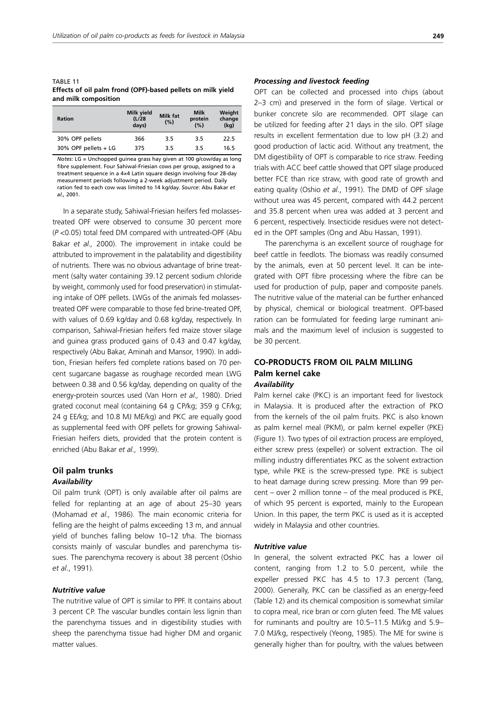TABLE 11 **Effects of oil palm frond (OPF)-based pellets on milk yield and milk composition**

| <b>Ration</b>        | Milk yield<br>(L/28)<br>days) | <b>Milk fat</b><br>(%) | <b>Milk</b><br>protein<br>(%) | Weight<br>change<br>(kq) |
|----------------------|-------------------------------|------------------------|-------------------------------|--------------------------|
| 30% OPF pellets      | 366                           | 3.5                    | 3.5                           | 22.5                     |
| 30% OPF pellets + LG | 375                           | 3.5                    | 3.5                           | 16.5                     |

*Notes*: LG = Unchopped guinea grass hay given at 100 g/cow/day as long fibre supplement. Four Sahiwal-Friesian cows per group, assigned to a treatment sequence in a 4×4 Latin square design involving four 28-day measurement periods following a 2-week adjustment period. Daily ration fed to each cow was limited to 14 kg/day. *Source*: Abu Bakar *et al.,* 2001.

In a separate study, Sahiwal-Friesian heifers fed molassestreated OPF were observed to consume 30 percent more (*P* <0.05) total feed DM compared with untreated-OPF (Abu Bakar *et al.,* 2000). The improvement in intake could be attributed to improvement in the palatability and digestibility of nutrients. There was no obvious advantage of brine treatment (salty water containing 39.12 percent sodium chloride by weight, commonly used for food preservation) in stimulating intake of OPF pellets. LWGs of the animals fed molassestreated OPF were comparable to those fed brine-treated OPF, with values of 0.69 kg/day and 0.68 kg/day, respectively. In comparison, Sahiwal-Friesian heifers fed maize stover silage and guinea grass produced gains of 0.43 and 0.47 kg/day, respectively (Abu Bakar, Aminah and Mansor, 1990). In addition, Friesian heifers fed complete rations based on 70 percent sugarcane bagasse as roughage recorded mean LWG between 0.38 and 0.56 kg/day, depending on quality of the energy-protein sources used (Van Horn *et al.,* 1980). Dried grated coconut meal (containing 64 g CP/kg; 359 g CF/kg; 24 g EE/kg; and 10.8 MJ ME/kg) and PKC are equally good as supplemental feed with OPF pellets for growing Sahiwal-Friesian heifers diets, provided that the protein content is enriched (Abu Bakar *et al.,* 1999).

## **Oil palm trunks**

## *Availability*

Oil palm trunk (OPT) is only available after oil palms are felled for replanting at an age of about 25–30 years (Mohamad *et al.,* 1986). The main economic criteria for felling are the height of palms exceeding 13 m, and annual yield of bunches falling below 10–12 t/ha. The biomass consists mainly of vascular bundles and parenchyma tissues. The parenchyma recovery is about 38 percent (Oshio *et al*., 1991).

#### *Nutritive value*

The nutritive value of OPT is similar to PPF. It contains about 3 percent CP. The vascular bundles contain less lignin than the parenchyma tissues and in digestibility studies with sheep the parenchyma tissue had higher DM and organic matter values.

#### *Processing and livestock feeding*

OPT can be collected and processed into chips (about 2–3 cm) and preserved in the form of silage. Vertical or bunker concrete silo are recommended. OPT silage can be utilized for feeding after 21 days in the silo. OPT silage results in excellent fermentation due to low pH (3.2) and good production of lactic acid. Without any treatment, the DM digestibility of OPT is comparable to rice straw. Feeding trials with ACC beef cattle showed that OPT silage produced better FCE than rice straw, with good rate of growth and eating quality (Oshio *et al*., 1991). The DMD of OPF silage without urea was 45 percent, compared with 44.2 percent and 35.8 percent when urea was added at 3 percent and 6 percent, respectively. Insecticide residues were not detected in the OPT samples (Ong and Abu Hassan, 1991).

The parenchyma is an excellent source of roughage for beef cattle in feedlots. The biomass was readily consumed by the animals, even at 50 percent level. It can be integrated with OPT fibre processing where the fibre can be used for production of pulp, paper and composite panels. The nutritive value of the material can be further enhanced by physical, chemical or biological treatment. OPT-based ration can be formulated for feeding large ruminant animals and the maximum level of inclusion is suggested to be 30 percent.

## **CO-PRODUCTS FROM OIL PALM MILLING Palm kernel cake**

## *Availability*

Palm kernel cake (PKC) is an important feed for livestock in Malaysia. It is produced after the extraction of PKO from the kernels of the oil palm fruits. PKC is also known as palm kernel meal (PKM), or palm kernel expeller (PKE) (Figure 1). Two types of oil extraction process are employed, either screw press (expeller) or solvent extraction. The oil milling industry differentiates PKC as the solvent extraction type, while PKE is the screw-pressed type. PKE is subject to heat damage during screw pressing. More than 99 percent – over 2 million tonne – of the meal produced is PKE, of which 95 percent is exported, mainly to the European Union. In this paper, the term PKC is used as it is accepted widely in Malaysia and other countries.

#### *Nutritive value*

In general, the solvent extracted PKC has a lower oil content, ranging from 1.2 to 5.0 percent, while the expeller pressed PKC has 4.5 to 17.3 percent (Tang, 2000). Generally, PKC can be classified as an energy-feed (Table 12) and its chemical composition is somewhat similar to copra meal, rice bran or corn gluten feed. The ME values for ruminants and poultry are 10.5–11.5 MJ/kg and 5.9– 7.0 MJ/kg, respectively (Yeong, 1985). The ME for swine is generally higher than for poultry, with the values between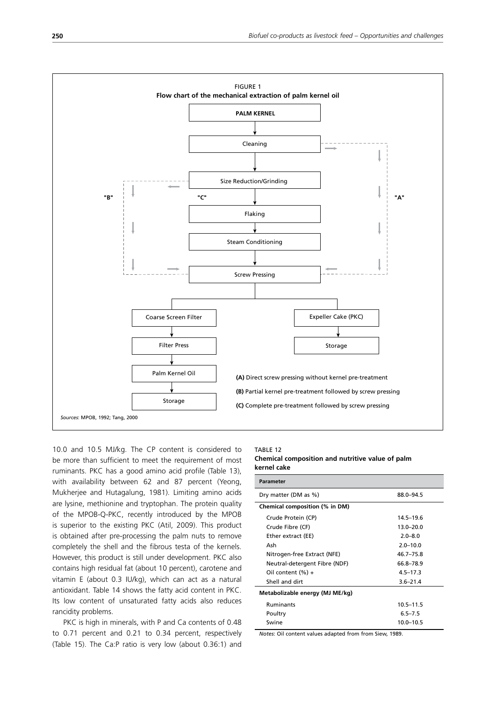

10.0 and 10.5 MJ/kg. The CP content is considered to be more than sufficient to meet the requirement of most ruminants. PKC has a good amino acid profile (Table 13), with availability between 62 and 87 percent (Yeong, Mukherjee and Hutagalung, 1981). Limiting amino acids are lysine, methionine and tryptophan. The protein quality of the MPOB-Q-PKC, recently introduced by the MPOB is superior to the existing PKC (Atil, 2009). This product is obtained after pre-processing the palm nuts to remove completely the shell and the fibrous testa of the kernels. However, this product is still under development. PKC also contains high residual fat (about 10 percent), carotene and vitamin E (about 0.3 IU/kg), which can act as a natural antioxidant. Table 14 shows the fatty acid content in PKC. Its low content of unsaturated fatty acids also reduces rancidity problems.

PKC is high in minerals, with P and Ca contents of 0.48 to 0.71 percent and 0.21 to 0.34 percent, respectively (Table 15). The Ca:P ratio is very low (about 0.36:1) and

#### TABLE 12

**Chemical composition and nutritive value of palm kernel cake**

| <b>Parameter</b>                |               |  |  |  |  |  |
|---------------------------------|---------------|--|--|--|--|--|
| Dry matter (DM as %)            | 88.0-94.5     |  |  |  |  |  |
| Chemical composition (% in DM)  |               |  |  |  |  |  |
| Crude Protein (CP)              | $14.5 - 19.6$ |  |  |  |  |  |
| Crude Fibre (CF)                | $13.0 - 20.0$ |  |  |  |  |  |
| Ether extract (EE)              | $2.0 - 8.0$   |  |  |  |  |  |
| Ash                             | $2.0 - 10.0$  |  |  |  |  |  |
| Nitrogen-free Extract (NFE)     | $46.7 - 75.8$ |  |  |  |  |  |
| Neutral-detergent Fibre (NDF)   | 66.8-78.9     |  |  |  |  |  |
| Oil content $(\% )$ +           | $4.5 - 17.3$  |  |  |  |  |  |
| Shell and dirt                  | $3.6 - 21.4$  |  |  |  |  |  |
| Metabolizable energy (MJ ME/kg) |               |  |  |  |  |  |
| <b>Ruminants</b>                | $10.5 - 11.5$ |  |  |  |  |  |
| Poultry                         | $6.5 - 7.5$   |  |  |  |  |  |
| Swine                           | $10.0 - 10.5$ |  |  |  |  |  |
|                                 |               |  |  |  |  |  |

*Notes*: Oil content values adapted from from Siew, 1989.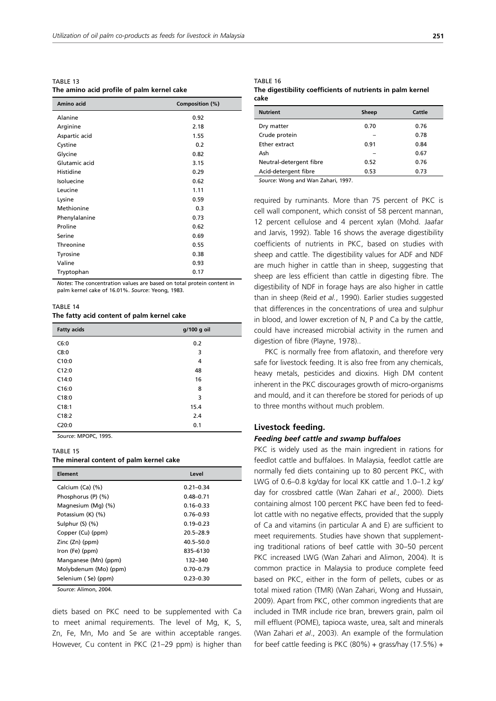TABLE 13 **The amino acid profile of palm kernel cake**

| Amino acid    | Composition (%) |
|---------------|-----------------|
| Alanine       | 0.92            |
| Arginine      | 2.18            |
| Aspartic acid | 1.55            |
| Cystine       | 0.2             |
| Glycine       | 0.82            |
| Glutamic acid | 3.15            |
| Histidine     | 0.29            |
| Isoluecine    | 0.62            |
| Leucine       | 1.11            |
| Lysine        | 0.59            |
| Methionine    | 0.3             |
| Phenylalanine | 0.73            |
| Proline       | 0.62            |
| Serine        | 0.69            |
| Threonine     | 0.55            |
| Tyrosine      | 0.38            |
| Valine        | 0.93            |
| Tryptophan    | 0.17            |

*Notes*: The concentration values are based on total protein content in palm kernel cake of 16.01%. *Source*: Yeong, 1983.

TABLE 14

#### **The fatty acid content of palm kernel cake**

| <b>Fatty acids</b> | g/100 g oil |
|--------------------|-------------|
| C6:0               | 0.2         |
| C8:0               | 3           |
| C10:0              | 4           |
| C12:0              | 48          |
| C14:0              | 16          |
| C16:0              | 8           |
| C18:0              | 3           |
| C18:1              | 15.4        |
| C18:2              | 2.4         |
| C20:0              | 0.1         |

*Source*: MPOPC, 1995.

#### TABLE 15

#### **The mineral content of palm kernel cake**

| Element               | Level         |  |  |
|-----------------------|---------------|--|--|
| Calcium (Ca) (%)      | $0.21 - 0.34$ |  |  |
| Phosphorus (P) (%)    | $0.48 - 0.71$ |  |  |
| Magnesium (Mg) (%)    | $0.16 - 0.33$ |  |  |
| Potassium (K) (%)     | $0.76 - 0.93$ |  |  |
| Sulphur $(S)$ $(\%)$  | $0.19 - 0.23$ |  |  |
| Copper (Cu) (ppm)     | $20.5 - 28.9$ |  |  |
| Zinc (Zn) (ppm)       | $40.5 - 50.0$ |  |  |
| Iron (Fe) (ppm)       | 835-6130      |  |  |
| Manganese (Mn) (ppm)  | 132-340       |  |  |
| Molybdenum (Mo) (ppm) | $0.70 - 0.79$ |  |  |
| Selenium (Se) (ppm)   | $0.23 - 0.30$ |  |  |

*Source*: Alimon, 2004.

diets based on PKC need to be supplemented with Ca to meet animal requirements. The level of Mg, K, S, Zn, Fe, Mn, Mo and Se are within acceptable ranges. However, Cu content in PKC (21–29 ppm) is higher than

#### TABLE 16

#### **The digestibility coefficients of nutrients in palm kernel cake**

| <b>Nutrient</b>         | Sheep | Cattle |
|-------------------------|-------|--------|
| Dry matter              | 0.70  | 0.76   |
| Crude protein           |       | 0.78   |
| Ether extract           | 0.91  | 0.84   |
| Ash                     |       | 0.67   |
| Neutral-detergent fibre | 0.52  | 0.76   |
| Acid-detergent fibre    | 0.53  | 0.73   |

*Source*: Wong and Wan Zahari, 1997.

required by ruminants. More than 75 percent of PKC is cell wall component, which consist of 58 percent mannan, 12 percent cellulose and 4 percent xylan (Mohd. Jaafar and Jarvis, 1992). Table 16 shows the average digestibility coefficients of nutrients in PKC, based on studies with sheep and cattle. The digestibility values for ADF and NDF are much higher in cattle than in sheep, suggesting that sheep are less efficient than cattle in digesting fibre. The digestibility of NDF in forage hays are also higher in cattle than in sheep (Reid *et al.*, 1990). Earlier studies suggested that differences in the concentrations of urea and sulphur in blood, and lower excretion of N, P and Ca by the cattle, could have increased microbial activity in the rumen and digestion of fibre (Playne, 1978)..

PKC is normally free from aflatoxin, and therefore very safe for livestock feeding. It is also free from any chemicals, heavy metals, pesticides and dioxins. High DM content inherent in the PKC discourages growth of micro-organisms and mould, and it can therefore be stored for periods of up to three months without much problem.

#### **Livestock feeding.**

#### *Feeding beef cattle and swamp buffaloes*

PKC is widely used as the main ingredient in rations for feedlot cattle and buffaloes. In Malaysia, feedlot cattle are normally fed diets containing up to 80 percent PKC, with LWG of 0.6–0.8 kg/day for local KK cattle and 1.0–1.2 kg/ day for crossbred cattle (Wan Zahari *et al*., 2000). Diets containing almost 100 percent PKC have been fed to feedlot cattle with no negative effects, provided that the supply of Ca and vitamins (in particular A and E) are sufficient to meet requirements. Studies have shown that supplementing traditional rations of beef cattle with 30–50 percent PKC increased LWG (Wan Zahari and Alimon, 2004). It is common practice in Malaysia to produce complete feed based on PKC, either in the form of pellets, cubes or as total mixed ration (TMR) (Wan Zahari, Wong and Hussain, 2009). Apart from PKC, other common ingredients that are included in TMR include rice bran, brewers grain, palm oil mill effluent (POME), tapioca waste, urea, salt and minerals (Wan Zahari *et al*., 2003). An example of the formulation for beef cattle feeding is PKC  $(80\%)$  + grass/hay  $(17.5\%)$  +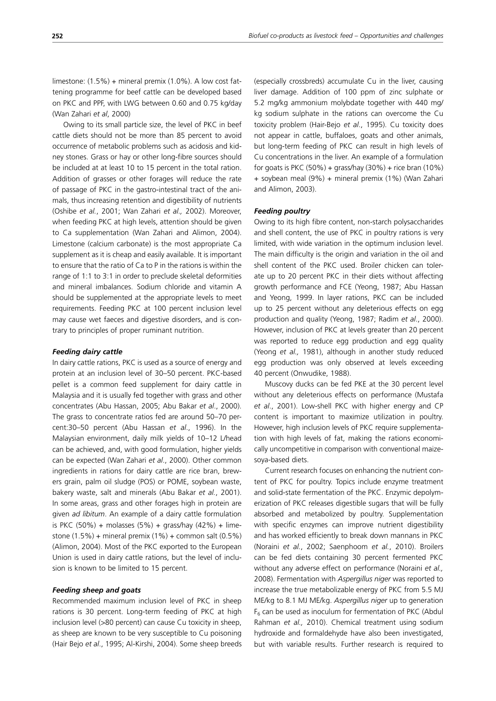limestone: (1.5%) + mineral premix (1.0%). A low cost fattening programme for beef cattle can be developed based on PKC and PPF, with LWG between 0.60 and 0.75 kg/day (Wan Zahari *et al*, 2000)

Owing to its small particle size, the level of PKC in beef cattle diets should not be more than 85 percent to avoid occurrence of metabolic problems such as acidosis and kidney stones. Grass or hay or other long-fibre sources should be included at at least 10 to 15 percent in the total ration. Addition of grasses or other forages will reduce the rate of passage of PKC in the gastro-intestinal tract of the animals, thus increasing retention and digestibility of nutrients (Oshibe *et al.*, 2001; Wan Zahari *et al.,* 2002). Moreover, when feeding PKC at high levels, attention should be given to Ca supplementation (Wan Zahari and Alimon, 2004). Limestone (calcium carbonate) is the most appropriate Ca supplement as it is cheap and easily available. It is important to ensure that the ratio of Ca to P in the rations is within the range of 1:1 to 3:1 in order to preclude skeletal deformities and mineral imbalances. Sodium chloride and vitamin A should be supplemented at the appropriate levels to meet requirements. Feeding PKC at 100 percent inclusion level may cause wet faeces and digestive disorders, and is contrary to principles of proper ruminant nutrition.

#### *Feeding dairy cattle*

In dairy cattle rations, PKC is used as a source of energy and protein at an inclusion level of 30–50 percent. PKC-based pellet is a common feed supplement for dairy cattle in Malaysia and it is usually fed together with grass and other concentrates (Abu Hassan, 2005; Abu Bakar *et al*., 2000). The grass to concentrate ratios fed are around 50–70 percent:30–50 percent (Abu Hassan *et al*., 1996). In the Malaysian environment, daily milk yields of 10–12 L/head can be achieved, and, with good formulation, higher yields can be expected (Wan Zahari *et al*., 2000). Other common ingredients in rations for dairy cattle are rice bran, brewers grain, palm oil sludge (POS) or POME, soybean waste, bakery waste, salt and minerals (Abu Bakar *et al.*, 2001). In some areas, grass and other forages high in protein are given *ad libitum*. An example of a dairy cattle formulation is PKC  $(50\%)$  + molasses  $(5\%)$  + grass/hay  $(42\%)$  + limestone  $(1.5\%)$  + mineral premix  $(1\%)$  + common salt  $(0.5\%)$ (Alimon, 2004). Most of the PKC exported to the European Union is used in dairy cattle rations, but the level of inclusion is known to be limited to 15 percent.

#### *Feeding sheep and goats*

Recommended maximum inclusion level of PKC in sheep rations is 30 percent. Long-term feeding of PKC at high inclusion level (>80 percent) can cause Cu toxicity in sheep, as sheep are known to be very susceptible to Cu poisoning (Hair Bejo *et al*., 1995; Al-Kirshi, 2004). Some sheep breeds (especially crossbreds) accumulate Cu in the liver, causing liver damage. Addition of 100 ppm of zinc sulphate or 5.2 mg/kg ammonium molybdate together with 440 mg/ kg sodium sulphate in the rations can overcome the Cu toxicity problem (Hair-Bejo *et al*., 1995). Cu toxicity does not appear in cattle, buffaloes, goats and other animals, but long-term feeding of PKC can result in high levels of Cu concentrations in the liver. An example of a formulation for goats is PKC (50%) + grass/hay  $(30\%)$  + rice bran  $(10\%)$ + soybean meal (9%) + mineral premix (1%) (Wan Zahari and Alimon, 2003).

#### *Feeding poultry*

Owing to its high fibre content, non-starch polysaccharides and shell content, the use of PKC in poultry rations is very limited, with wide variation in the optimum inclusion level. The main difficulty is the origin and variation in the oil and shell content of the PKC used. Broiler chicken can tolerate up to 20 percent PKC in their diets without affecting growth performance and FCE (Yeong, 1987; Abu Hassan and Yeong, 1999. In layer rations, PKC can be included up to 25 percent without any deleterious effects on egg production and quality (Yeong, 1987; Radim *et al*., 2000). However, inclusion of PKC at levels greater than 20 percent was reported to reduce egg production and egg quality (Yeong *et al.,* 1981), although in another study reduced egg production was only observed at levels exceeding 40 percent (Onwudike, 1988).

Muscovy ducks can be fed PKE at the 30 percent level without any deleterious effects on performance (Mustafa *et al*., 2001). Low-shell PKC with higher energy and CP content is important to maximize utilization in poultry. However, high inclusion levels of PKC require supplementation with high levels of fat, making the rations economically uncompetitive in comparison with conventional maizesoya-based diets.

Current research focuses on enhancing the nutrient content of PKC for poultry. Topics include enzyme treatment and solid-state fermentation of the PKC. Enzymic depolymerization of PKC releases digestible sugars that will be fully absorbed and metabolized by poultry. Supplementation with specific enzymes can improve nutrient digestibility and has worked efficiently to break down mannans in PKC (Noraini *et al.*, 2002; Saenphoom *et al.*, 2010). Broilers can be fed diets containing 30 percent fermented PKC without any adverse effect on performance (Noraini *et al.,* 2008). Fermentation with *Aspergillus niger* was reported to increase the true metabolizable energy of PKC from 5.5 MJ ME/kg to 8.1 MJ ME/kg. *Aspergillus niger* up to generation  $F_6$  can be used as inoculum for fermentation of PKC (Abdul Rahman *et al.,* 2010). Chemical treatment using sodium hydroxide and formaldehyde have also been investigated, but with variable results. Further research is required to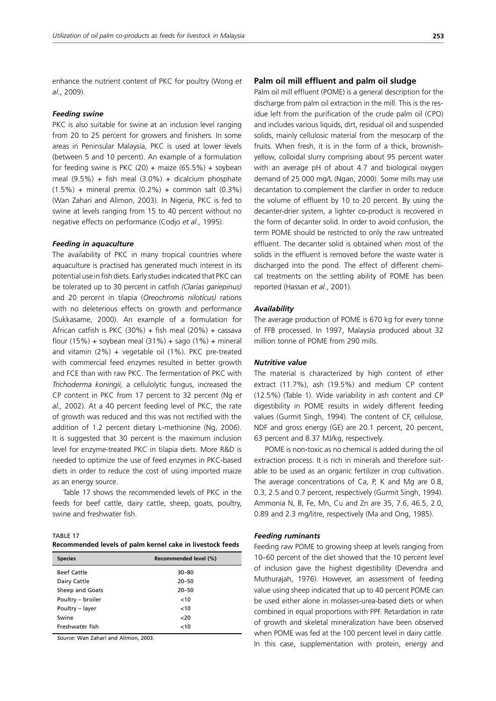enhance the nutrient content of PKC for poultry (Wong *et al*., 2009).

#### *Feeding swine*

PKC is also suitable for swine at an inclusion level ranging from 20 to 25 percent for growers and finishers. In some areas in Peninsular Malaysia, PKC is used at lower levels (between 5 and 10 percent). An example of a formulation for feeding swine is PKC (20) + maize (65.5%) + soybean meal  $(9.5%) +$  fish meal  $(3.0%) +$  dicalcium phosphate  $(1.5%) +$  mineral premix  $(0.2%) +$  common salt  $(0.3%)$ (Wan Zahari and Alimon, 2003). In Nigeria, PKC is fed to swine at levels ranging from 15 to 40 percent without no negative effects on performance (Codjo *et al.,* 1995).

#### *Feeding in aquaculture*

The availability of PKC in many tropical countries where aquaculture is practised has generated much interest in its potential use in fish diets. Early studies indicated that PKC can be tolerated up to 30 percent in catfish *(Clarias gariepinus)* and 20 percent in tilapia (*Oreochromis niloticus)* rations with no deleterious effects on growth and performance (Sukkasame, 2000). An example of a formulation for African catfish is PKC (30%) + fish meal (20%) + cassava flour (15%) + soybean meal (31%) + sago (1%) + mineral and vitamin  $(2%) +$  vegetable oil  $(1%)$ . PKC pre-treated with commercial feed enzymes resulted in better growth and FCE than with raw PKC. The fermentation of PKC with *Trichoderma koningii,* a cellulolytic fungus, increased the CP content in PKC from 17 percent to 32 percent (Ng *et al.,* 2002). At a 40 percent feeding level of PKC, the rate of growth was reduced and this was not rectified with the addition of 1.2 percent dietary L-methionine (Ng, 2006). It is suggested that 30 percent is the maximum inclusion level for enzyme-treated PKC in tilapia diets. More R&D is needed to optimize the use of feed enzymes in PKC-based diets in order to reduce the cost of using imported maize as an energy source.

Table 17 shows the recommended levels of PKC in the feeds for beef cattle, dairy cattle, sheep, goats, poultry, swine and freshwater fish.

TABLE 17 **Recommended levels of palm kernel cake in livestock feeds**

| <b>Species</b>     | Recommended level (%) |
|--------------------|-----------------------|
| <b>Beef Cattle</b> | $30 - 80$             |
| Dairy Cattle       | $20 - 50$             |
| Sheep and Goats    | $20 - 50$             |
| Poultry - broiler  | ~10                   |
| Poultry - layer    | < 10                  |
| Swine              | $20$                  |
| Freshwater fish    | < 10                  |

*Source*: Wan Zahari and Alimon, 2003.

#### **Palm oil mill effluent and palm oil sludge**

Palm oil mill effluent (POME) is a general description for the discharge from palm oil extraction in the mill. This is the residue left from the purification of the crude palm oil (CPO) and includes various liquids, dirt, residual oil and suspended solids, mainly cellulosic material from the mesocarp of the fruits. When fresh, it is in the form of a thick, brownishyellow, colloidal slurry comprising about 95 percent water with an average pH of about 4.7 and biological oxygen demand of 25 000 mg/L (Ngan, 2000). Some mills may use decantation to complement the clarifier in order to reduce the volume of effluent by 10 to 20 percent. By using the decanter-drier system, a lighter co-product is recovered in the form of decanter solid. In order to avoid confusion, the term POME should be restricted to only the raw untreated effluent. The decanter solid is obtained when most of the solids in the effluent is removed before the waste water is discharged into the pond. The effect of different chemical treatments on the settling ability of POME has been reported (Hassan *et al*., 2001).

#### *Availability*

The average production of POME is 670 kg for every tonne of FFB processed. In 1997, Malaysia produced about 32 million tonne of POME from 290 mills.

#### *Nutritive value*

The material is characterized by high content of ether extract (11.7%), ash (19.5%) and medium CP content (12.5%) (Table 1). Wide variability in ash content and CP digestibility in POME results in widely different feeding values (Gurmit Singh, 1994). The content of CF, cellulose, NDF and gross energy (GE) are 20.1 percent, 20 percent, 63 percent and 8.37 MJ/kg, respectively.

POME is non-toxic as no chemical is added during the oil extraction process. It is rich in minerals and therefore suitable to be used as an organic fertilizer in crop cultivation. The average concentrations of Ca, P, K and Mg are 0.8, 0.3, 2.5 and 0.7 percent, respectively (Gurmit Singh, 1994). Ammonia N, B, Fe, Mn, Cu and Zn are 35, 7.6, 46.5, 2.0, 0.89 and 2.3 mg/litre, respectively (Ma and Ong, 1985).

#### *Feeding ruminants*

Feeding raw POME to growing sheep at levels ranging from 10–60 percent of the diet showed that the 10 percent level of inclusion gave the highest digestibility (Devendra and Muthurajah, 1976). However, an assessment of feeding value using sheep indicated that up to 40 percent POME can be used either alone in molasses-urea-based diets or when combined in equal proportions with PPF. Retardation in rate of growth and skeletal mineralization have been observed when POME was fed at the 100 percent level in dairy cattle. In this case, supplementation with protein, energy and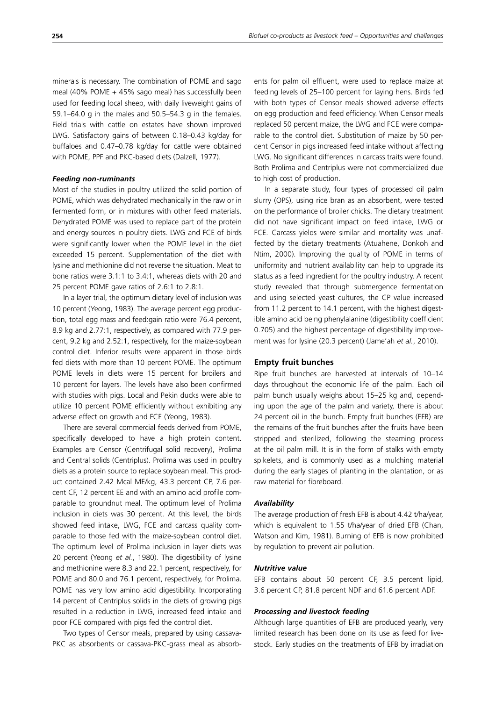minerals is necessary. The combination of POME and sago meal (40% POME + 45% sago meal) has successfully been used for feeding local sheep, with daily liveweight gains of 59.1–64.0 g in the males and 50.5–54.3 g in the females. Field trials with cattle on estates have shown improved LWG. Satisfactory gains of between 0.18–0.43 kg/day for buffaloes and 0.47–0.78 kg/day for cattle were obtained with POME, PPF and PKC-based diets (Dalzell, 1977).

#### *Feeding non-ruminants*

Most of the studies in poultry utilized the solid portion of POME, which was dehydrated mechanically in the raw or in fermented form, or in mixtures with other feed materials. Dehydrated POME was used to replace part of the protein and energy sources in poultry diets. LWG and FCE of birds were significantly lower when the POME level in the diet exceeded 15 percent. Supplementation of the diet with lysine and methionine did not reverse the situation. Meat to bone ratios were 3.1:1 to 3.4:1, whereas diets with 20 and 25 percent POME gave ratios of 2.6:1 to 2.8:1.

In a layer trial, the optimum dietary level of inclusion was 10 percent (Yeong, 1983). The average percent egg production, total egg mass and feed:gain ratio were 76.4 percent, 8.9 kg and 2.77:1, respectively, as compared with 77.9 percent, 9.2 kg and 2.52:1, respectively, for the maize-soybean control diet. Inferior results were apparent in those birds fed diets with more than 10 percent POME. The optimum POME levels in diets were 15 percent for broilers and 10 percent for layers. The levels have also been confirmed with studies with pigs. Local and Pekin ducks were able to utilize 10 percent POME efficiently without exhibiting any adverse effect on growth and FCE (Yeong, 1983).

There are several commercial feeds derived from POME, specifically developed to have a high protein content. Examples are Censor (Centrifugal solid recovery), Prolima and Central solids (Centriplus). Prolima was used in poultry diets as a protein source to replace soybean meal. This product contained 2.42 Mcal ME/kg, 43.3 percent CP, 7.6 percent CF, 12 percent EE and with an amino acid profile comparable to groundnut meal. The optimum level of Prolima inclusion in diets was 30 percent. At this level, the birds showed feed intake, LWG, FCE and carcass quality comparable to those fed with the maize-soybean control diet. The optimum level of Prolima inclusion in layer diets was 20 percent (Yeong *et al.*, 1980). The digestibility of lysine and methionine were 8.3 and 22.1 percent, respectively, for POME and 80.0 and 76.1 percent, respectively, for Prolima. POME has very low amino acid digestibility. Incorporating 14 percent of Centriplus solids in the diets of growing pigs resulted in a reduction in LWG, increased feed intake and poor FCE compared with pigs fed the control diet.

Two types of Censor meals, prepared by using cassava-PKC as absorbents or cassava-PKC-grass meal as absorbents for palm oil effluent, were used to replace maize at feeding levels of 25–100 percent for laying hens. Birds fed with both types of Censor meals showed adverse effects on egg production and feed efficiency. When Censor meals replaced 50 percent maize, the LWG and FCE were comparable to the control diet. Substitution of maize by 50 percent Censor in pigs increased feed intake without affecting LWG. No significant differences in carcass traits were found. Both Prolima and Centriplus were not commercialized due to high cost of production.

In a separate study, four types of processed oil palm slurry (OPS), using rice bran as an absorbent, were tested on the performance of broiler chicks. The dietary treatment did not have significant impact on feed intake, LWG or FCE. Carcass yields were similar and mortality was unaffected by the dietary treatments (Atuahene, Donkoh and Ntim, 2000). Improving the quality of POME in terms of uniformity and nutrient availability can help to upgrade its status as a feed ingredient for the poultry industry. A recent study revealed that through submergence fermentation and using selected yeast cultures, the CP value increased from 11.2 percent to 14.1 percent, with the highest digestible amino acid being phenylalanine (digestibility coefficient 0.705) and the highest percentage of digestibility improvement was for lysine (20.3 percent) (Jame'ah *et al.*, 2010).

#### **Empty fruit bunches**

Ripe fruit bunches are harvested at intervals of 10–14 days throughout the economic life of the palm. Each oil palm bunch usually weighs about 15–25 kg and, depending upon the age of the palm and variety, there is about 24 percent oil in the bunch. Empty fruit bunches (EFB) are the remains of the fruit bunches after the fruits have been stripped and sterilized, following the steaming process at the oil palm mill. It is in the form of stalks with empty spikelets, and is commonly used as a mulching material during the early stages of planting in the plantation, or as raw material for fibreboard.

#### *Availability*

The average production of fresh EFB is about 4.42 t/ha/year, which is equivalent to 1.55 t/ha/year of dried EFB (Chan, Watson and Kim, 1981). Burning of EFB is now prohibited by regulation to prevent air pollution.

### *Nutritive value*

EFB contains about 50 percent CF, 3.5 percent lipid, 3.6 percent CP, 81.8 percent NDF and 61.6 percent ADF.

#### *Processing and livestock feeding*

Although large quantities of EFB are produced yearly, very limited research has been done on its use as feed for livestock. Early studies on the treatments of EFB by irradiation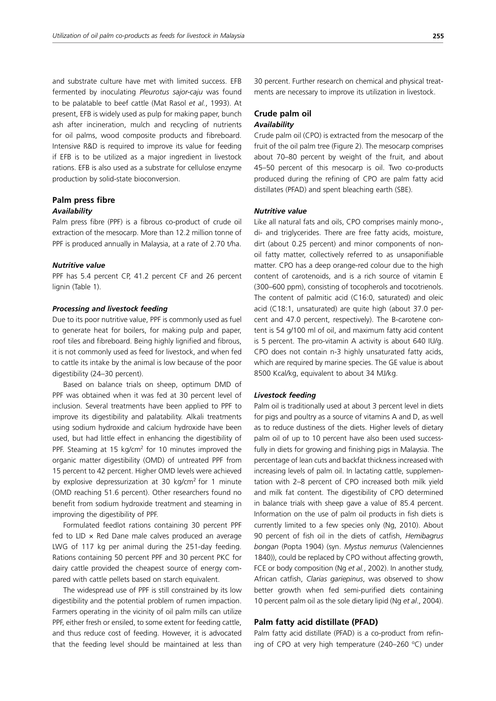and substrate culture have met with limited success. EFB fermented by inoculating *Pleurotus sajor-caju* was found to be palatable to beef cattle (Mat Rasol *et al.*, 1993). At present, EFB is widely used as pulp for making paper, bunch ash after incineration, mulch and recycling of nutrients for oil palms, wood composite products and fibreboard. Intensive R&D is required to improve its value for feeding if EFB is to be utilized as a major ingredient in livestock rations. EFB is also used as a substrate for cellulose enzyme production by solid-state bioconversion.

## **Palm press fibre** *Availability*

Palm press fibre (PPF) is a fibrous co-product of crude oil extraction of the mesocarp. More than 12.2 million tonne of PPF is produced annually in Malaysia, at a rate of 2.70 t/ha.

#### *Nutritive value*

PPF has 5.4 percent CP, 41.2 percent CF and 26 percent lignin (Table 1).

#### *Processing and livestock feeding*

Due to its poor nutritive value, PPF is commonly used as fuel to generate heat for boilers, for making pulp and paper, roof tiles and fibreboard. Being highly lignified and fibrous, it is not commonly used as feed for livestock, and when fed to cattle its intake by the animal is low because of the poor digestibility (24–30 percent).

Based on balance trials on sheep, optimum DMD of PPF was obtained when it was fed at 30 percent level of inclusion. Several treatments have been applied to PPF to improve its digestibility and palatability. Alkali treatments using sodium hydroxide and calcium hydroxide have been used, but had little effect in enhancing the digestibility of PPF. Steaming at 15  $kg/cm<sup>2</sup>$  for 10 minutes improved the organic matter digestibility (OMD) of untreated PPF from 15 percent to 42 percent. Higher OMD levels were achieved by explosive depressurization at 30  $kg/cm<sup>2</sup>$  for 1 minute (OMD reaching 51.6 percent). Other researchers found no benefit from sodium hydroxide treatment and steaming in improving the digestibility of PPF.

Formulated feedlot rations containing 30 percent PPF fed to LID  $\times$  Red Dane male calves produced an average LWG of 117 kg per animal during the 251-day feeding. Rations containing 50 percent PPF and 30 percent PKC for dairy cattle provided the cheapest source of energy compared with cattle pellets based on starch equivalent.

The widespread use of PPF is still constrained by its low digestibility and the potential problem of rumen impaction. Farmers operating in the vicinity of oil palm mills can utilize PPF, either fresh or ensiled, to some extent for feeding cattle, and thus reduce cost of feeding. However, it is advocated that the feeding level should be maintained at less than 30 percent. Further research on chemical and physical treatments are necessary to improve its utilization in livestock.

#### **Crude palm oil** *Availability*

Crude palm oil (CPO) is extracted from the mesocarp of the fruit of the oil palm tree (Figure 2). The mesocarp comprises about 70–80 percent by weight of the fruit, and about 45–50 percent of this mesocarp is oil. Two co-products produced during the refining of CPO are palm fatty acid distillates (PFAD) and spent bleaching earth (SBE).

#### *Nutritive value*

Like all natural fats and oils, CPO comprises mainly mono-, di- and triglycerides. There are free fatty acids, moisture, dirt (about 0.25 percent) and minor components of nonoil fatty matter, collectively referred to as unsaponifiable matter. CPO has a deep orange-red colour due to the high content of carotenoids, and is a rich source of vitamin E (300–600 ppm), consisting of tocopherols and tocotrienols. The content of palmitic acid (C16:0, saturated) and oleic acid (C18:1, unsaturated) are quite high (about 37.0 percent and 47.0 percent, respectively). The B-carotene content is 54 g/100 ml of oil, and maximum fatty acid content is 5 percent. The pro-vitamin A activity is about 640 IU/g. CPO does not contain n-3 highly unsaturated fatty acids, which are required by marine species. The GE value is about 8500 Kcal/kg, equivalent to about 34 MJ/kg.

#### *Livestock feeding*

Palm oil is traditionally used at about 3 percent level in diets for pigs and poultry as a source of vitamins A and D, as well as to reduce dustiness of the diets. Higher levels of dietary palm oil of up to 10 percent have also been used successfully in diets for growing and finishing pigs in Malaysia. The percentage of lean cuts and backfat thickness increased with increasing levels of palm oil. In lactating cattle, supplementation with 2–8 percent of CPO increased both milk yield and milk fat content. The digestibility of CPO determined in balance trials with sheep gave a value of 85.4 percent. Information on the use of palm oil products in fish diets is currently limited to a few species only (Ng, 2010). About 90 percent of fish oil in the diets of catfish, *Hemibagrus bongan* (Popta 1904) (syn. *Mystus nemurus* (Valenciennes 1840)), could be replaced by CPO without affecting growth, FCE or body composition (Ng *et al.*, 2002). In another study, African catfish, *Clarias gariepinus*, was observed to show better growth when fed semi-purified diets containing 10 percent palm oil as the sole dietary lipid (Ng *et al*., 2004).

#### **Palm fatty acid distillate (PFAD)**

Palm fatty acid distillate (PFAD) is a co-product from refining of CPO at very high temperature (240-260 °C) under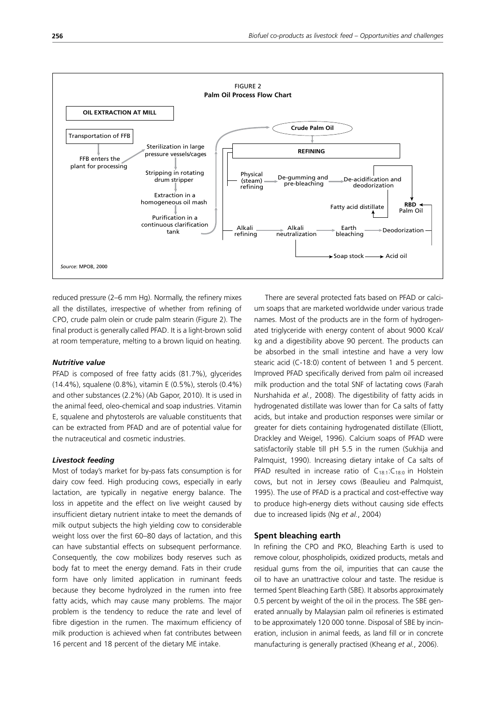

reduced pressure (2–6 mm Hg). Normally, the refinery mixes all the distillates, irrespective of whether from refining of CPO, crude palm olein or crude palm stearin (Figure 2). The final product is generally called PFAD. It is a light-brown solid at room temperature, melting to a brown liquid on heating.

#### *Nutritive value*

PFAD is composed of free fatty acids (81.7%), glycerides (14.4%), squalene (0.8%), vitamin E (0.5%), sterols (0.4%) and other substances (2.2%) (Ab Gapor, 2010). It is used in the animal feed, oleo-chemical and soap industries. Vitamin E, squalene and phytosterols are valuable constituents that can be extracted from PFAD and are of potential value for the nutraceutical and cosmetic industries.

#### *Livestock feeding*

Most of today's market for by-pass fats consumption is for dairy cow feed. High producing cows, especially in early lactation, are typically in negative energy balance. The loss in appetite and the effect on live weight caused by insufficient dietary nutrient intake to meet the demands of milk output subjects the high yielding cow to considerable weight loss over the first 60–80 days of lactation, and this can have substantial effects on subsequent performance. Consequently, the cow mobilizes body reserves such as body fat to meet the energy demand. Fats in their crude form have only limited application in ruminant feeds because they become hydrolyzed in the rumen into free fatty acids, which may cause many problems. The major problem is the tendency to reduce the rate and level of fibre digestion in the rumen. The maximum efficiency of milk production is achieved when fat contributes between 16 percent and 18 percent of the dietary ME intake.

There are several protected fats based on PFAD or calcium soaps that are marketed worldwide under various trade names. Most of the products are in the form of hydrogenated triglyceride with energy content of about 9000 Kcal/ kg and a digestibility above 90 percent. The products can be absorbed in the small intestine and have a very low stearic acid (C-18:0) content of between 1 and 5 percent. Improved PFAD specifically derived from palm oil increased milk production and the total SNF of lactating cows (Farah Nurshahida *et al.*, 2008). The digestibility of fatty acids in hydrogenated distillate was lower than for Ca salts of fatty acids, but intake and production responses were similar or greater for diets containing hydrogenated distillate (Elliott, Drackley and Weigel, 1996). Calcium soaps of PFAD were satisfactorily stable till pH 5.5 in the rumen (Sukhija and Palmquist, 1990). Increasing dietary intake of Ca salts of PFAD resulted in increase ratio of  $C_{18:1}:C_{18:0}$  in Holstein cows, but not in Jersey cows (Beaulieu and Palmquist, 1995). The use of PFAD is a practical and cost-effective way to produce high-energy diets without causing side effects due to increased lipids (Ng *et al.*, 2004)

#### **Spent bleaching earth**

In refining the CPO and PKO, Bleaching Earth is used to remove colour, phospholipids, oxidized products, metals and residual gums from the oil, impurities that can cause the oil to have an unattractive colour and taste. The residue is termed Spent Bleaching Earth (SBE). It absorbs approximately 0.5 percent by weight of the oil in the process. The SBE generated annually by Malaysian palm oil refineries is estimated to be approximately 120 000 tonne. Disposal of SBE by incineration, inclusion in animal feeds, as land fill or in concrete manufacturing is generally practised (Kheang *et al.*, 2006).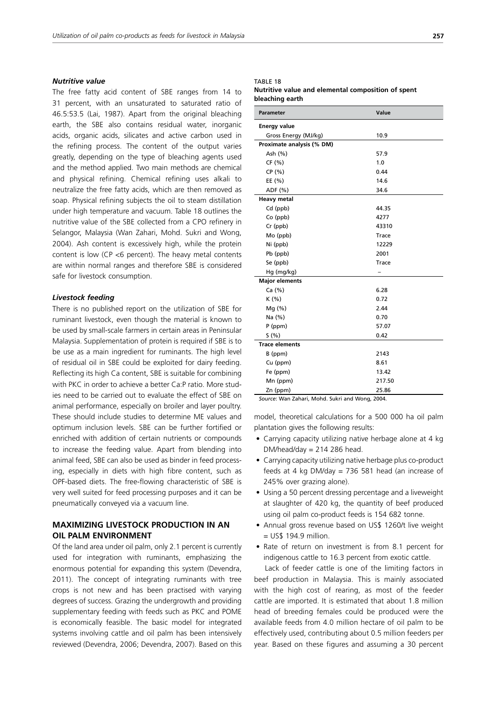#### *Nutritive value*

The free fatty acid content of SBE ranges from 14 to 31 percent, with an unsaturated to saturated ratio of 46.5:53.5 (Lai, 1987). Apart from the original bleaching earth, the SBE also contains residual water, inorganic acids, organic acids, silicates and active carbon used in the refining process. The content of the output varies greatly, depending on the type of bleaching agents used and the method applied. Two main methods are chemical and physical refining. Chemical refining uses alkali to neutralize the free fatty acids, which are then removed as soap. Physical refining subjects the oil to steam distillation under high temperature and vacuum. Table 18 outlines the nutritive value of the SBE collected from a CPO refinery in Selangor, Malaysia (Wan Zahari, Mohd. Sukri and Wong, 2004). Ash content is excessively high, while the protein content is low (CP <6 percent). The heavy metal contents are within normal ranges and therefore SBE is considered safe for livestock consumption.

#### *Livestock feeding*

There is no published report on the utilization of SBE for ruminant livestock, even though the material is known to be used by small-scale farmers in certain areas in Peninsular Malaysia. Supplementation of protein is required if SBE is to be use as a main ingredient for ruminants. The high level of residual oil in SBE could be exploited for dairy feeding. Reflecting its high Ca content, SBE is suitable for combining with PKC in order to achieve a better Ca:P ratio. More studies need to be carried out to evaluate the effect of SBE on animal performance, especially on broiler and layer poultry. These should include studies to determine ME values and optimum inclusion levels. SBE can be further fortified or enriched with addition of certain nutrients or compounds to increase the feeding value. Apart from blending into animal feed, SBE can also be used as binder in feed processing, especially in diets with high fibre content, such as OPF-based diets. The free-flowing characteristic of SBE is very well suited for feed processing purposes and it can be pneumatically conveyed via a vacuum line.

## **MAXIMIZING LIVESTOCK PRODUCTION IN AN OIL PALM ENVIRONMENT**

Of the land area under oil palm, only 2.1 percent is currently used for integration with ruminants, emphasizing the enormous potential for expanding this system (Devendra, 2011). The concept of integrating ruminants with tree crops is not new and has been practised with varying degrees of success. Grazing the undergrowth and providing supplementary feeding with feeds such as PKC and POME is economically feasible. The basic model for integrated systems involving cattle and oil palm has been intensively reviewed (Devendra, 2006; Devendra, 2007). Based on this

## TABLE 18

#### **Nutritive value and elemental composition of spent bleaching earth**

| <b>Parameter</b>          | Value        |
|---------------------------|--------------|
| <b>Energy value</b>       |              |
| Gross Energy (MJ/kg)      | 10.9         |
| Proximate analysis (% DM) |              |
| Ash (%)                   | 57.9         |
| CF(%)                     | 1.0          |
| CP(%)                     | 0.44         |
| EE(%)                     | 14.6         |
| ADF (%)                   | 34.6         |
| <b>Heavy metal</b>        |              |
| Cd (ppb)                  | 44.35        |
| $Co$ (ppb)                | 4277         |
| Cr (ppb)                  | 43310        |
| Mo (ppb)                  | <b>Trace</b> |
| Ni (ppb)                  | 12229        |
| Pb (ppb)                  | 2001         |
| Se (ppb)                  | <b>Trace</b> |
| Hg (mg/kg)                |              |
| <b>Major elements</b>     |              |
| Ca $(%)$                  | 6.28         |
| K(% )                     | 0.72         |
| Mq(%)                     | 2.44         |
| Na (%)                    | 0.70         |
| $P$ (ppm)                 | 57.07        |
| S(% )                     | 0.42         |
| <b>Trace elements</b>     |              |
| B (ppm)                   | 2143         |
| Cu (ppm)                  | 8.61         |
| Fe (ppm)                  | 13.42        |
| Mn (ppm)                  | 217.50       |
| Zn (ppm)                  | 25.86        |

*Source*: Wan Zahari, Mohd. Sukri and Wong, 2004.

model, theoretical calculations for a 500 000 ha oil palm plantation gives the following results:

- Carrying capacity utilizing native herbage alone at 4 kg DM/head/day =  $214$  286 head.
- Carrying capacity utilizing native herbage plus co-product feeds at 4  $kg$  DM/day = 736 581 head (an increase of 245% over grazing alone).
- Using a 50 percent dressing percentage and a liveweight at slaughter of 420 kg, the quantity of beef produced using oil palm co-product feeds is 154 682 tonne.
- Annual gross revenue based on US\$ 1260/t live weight = US\$ 194.9 million.
- Rate of return on investment is from 8.1 percent for indigenous cattle to 16.3 percent from exotic cattle.

Lack of feeder cattle is one of the limiting factors in beef production in Malaysia. This is mainly associated with the high cost of rearing, as most of the feeder cattle are imported. It is estimated that about 1.8 million head of breeding females could be produced were the available feeds from 4.0 million hectare of oil palm to be effectively used, contributing about 0.5 million feeders per year. Based on these figures and assuming a 30 percent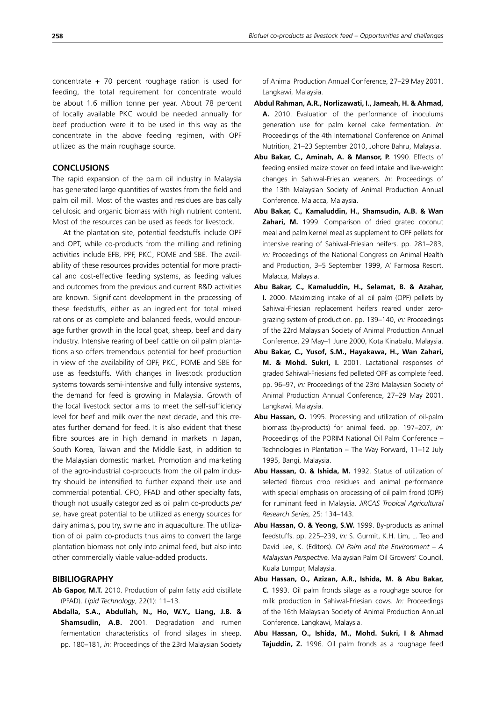concentrate  $+ 70$  percent roughage ration is used for feeding, the total requirement for concentrate would be about 1.6 million tonne per year. About 78 percent of locally available PKC would be needed annually for beef production were it to be used in this way as the concentrate in the above feeding regimen, with OPF utilized as the main roughage source.

#### **CONCLUSIONS**

The rapid expansion of the palm oil industry in Malaysia has generated large quantities of wastes from the field and palm oil mill. Most of the wastes and residues are basically cellulosic and organic biomass with high nutrient content. Most of the resources can be used as feeds for livestock.

At the plantation site, potential feedstuffs include OPF and OPT, while co-products from the milling and refining activities include EFB, PPF, PKC, POME and SBE. The availability of these resources provides potential for more practical and cost-effective feeding systems, as feeding values and outcomes from the previous and current R&D activities are known. Significant development in the processing of these feedstuffs, either as an ingredient for total mixed rations or as complete and balanced feeds, would encourage further growth in the local goat, sheep, beef and dairy industry. Intensive rearing of beef cattle on oil palm plantations also offers tremendous potential for beef production in view of the availability of OPF, PKC, POME and SBE for use as feedstuffs. With changes in livestock production systems towards semi-intensive and fully intensive systems, the demand for feed is growing in Malaysia. Growth of the local livestock sector aims to meet the self-sufficiency level for beef and milk over the next decade, and this creates further demand for feed. It is also evident that these fibre sources are in high demand in markets in Japan, South Korea, Taiwan and the Middle East, in addition to the Malaysian domestic market. Promotion and marketing of the agro-industrial co-products from the oil palm industry should be intensified to further expand their use and commercial potential. CPO, PFAD and other specialty fats, though not usually categorized as oil palm co-products *per se*, have great potential to be utilized as energy sources for dairy animals, poultry, swine and in aquaculture. The utilization of oil palm co-products thus aims to convert the large plantation biomass not only into animal feed, but also into other commercially viable value-added products.

#### **BIBILIOGRAPHY**

- **Ab Gapor, M.T.** 2010. Production of palm fatty acid distillate (PFAD). *Lipid Technology*, 22(1): 11–13.
- **Abdalla, S.A., Abdullah, N., Ho, W.Y., Liang, J.B. & Shamsudin, A.B.** 2001. Degradation and rumen fermentation characteristics of frond silages in sheep. pp. 180–181, *in:* Proceedings of the 23rd Malaysian Society

of Animal Production Annual Conference, 27–29 May 2001, Langkawi, Malaysia.

- **Abdul Rahman, A.R., Norlizawati, I., Jameah, H. & Ahmad, A.** 2010. Evaluation of the performance of inoculums generation use for palm kernel cake fermentation. *In:*  Proceedings of the 4th International Conference on Animal Nutrition, 21–23 September 2010, Johore Bahru, Malaysia.
- **Abu Bakar, C., Aminah, A. & Mansor, P.** 1990. Effects of feeding ensiled maize stover on feed intake and live-weight changes in Sahiwal-Friesian weaners. *In:* Proceedings of the 13th Malaysian Society of Animal Production Annual Conference, Malacca, Malaysia.
- **Abu Bakar, C., Kamaluddin, H., Shamsudin, A.B. & Wan Zahari, M.** 1999. Comparison of dried grated coconut meal and palm kernel meal as supplement to OPF pellets for intensive rearing of Sahiwal-Friesian heifers. pp. 281–283, *in:* Proceedings of the National Congress on Animal Health and Production, 3–5 September 1999, A' Farmosa Resort, Malacca, Malaysia.
- **Abu Bakar, C., Kamaluddin, H., Selamat, B. & Azahar, I.** 2000. Maximizing intake of all oil palm (OPF) pellets by Sahiwal-Friesian replacement heifers reared under zerograzing system of production. pp. 139–140, *in:* Proceedings of the 22rd Malaysian Society of Animal Production Annual Conference, 29 May–1 June 2000, Kota Kinabalu, Malaysia.
- **Abu Bakar, C., Yusof, S.M., Hayakawa, H., Wan Zahari, M. & Mohd. Sukri, I.** 2001. Lactational responses of graded Sahiwal-Friesians fed pelleted OPF as complete feed. pp. 96–97, *in:* Proceedings of the 23rd Malaysian Society of Animal Production Annual Conference, 27–29 May 2001, Langkawi, Malaysia.
- **Abu Hassan, O.** 1995. Processing and utilization of oil-palm biomass (by-products) for animal feed. pp. 197–207, *in:* Proceedings of the PORIM National Oil Palm Conference – Technologies in Plantation – The Way Forward, 11–12 July 1995, Bangi, Malaysia.
- **Abu Hassan, O. & Ishida, M.** 1992. Status of utilization of selected fibrous crop residues and animal performance with special emphasis on processing of oil palm frond (OPF) for ruminant feed in Malaysia. *JIRCAS Tropical Agricultural Research Series,* 25: 134–143.
- **Abu Hassan, O. & Yeong, S.W.** 1999. By-products as animal feedstuffs. pp. 225–239, *In:* S. Gurmit, K.H. Lim, L. Teo and David Lee, K. (Editors). *Oil Palm and the Environment – A Malaysian Perspective.* Malaysian Palm Oil Growers' Council, Kuala Lumpur, Malaysia.
- **Abu Hassan, O., Azizan, A.R., Ishida, M. & Abu Bakar, C.** 1993. Oil palm fronds silage as a roughage source for milk production in Sahiwal-Friesian cows. *In:* Proceedings of the 16th Malaysian Society of Animal Production Annual Conference, Langkawi, Malaysia.
- **Abu Hassan, O., Ishida, M., Mohd. Sukri, I & Ahmad Tajuddin, Z.** 1996. Oil palm fronds as a roughage feed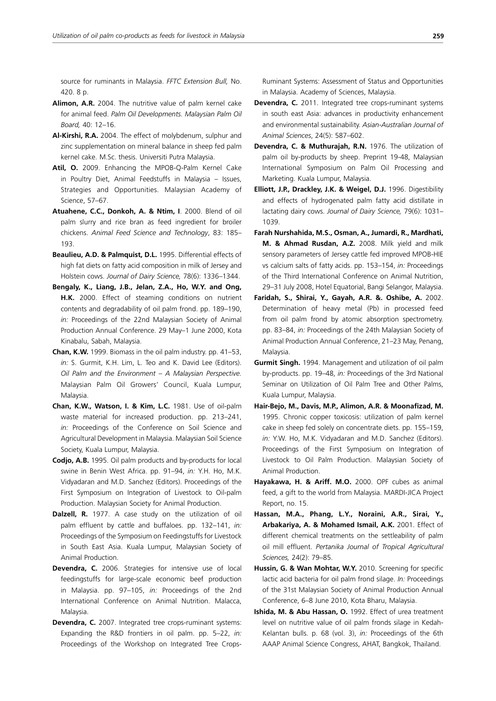source for ruminants in Malaysia. *FFTC Extension Bull,* No. 420. 8 p.

- **Alimon, A.R.** 2004. The nutritive value of palm kernel cake for animal feed. *Palm Oil Developments. Malaysian Palm Oil Board,* 40: 12–16.
- **Al-Kirshi, R.A.** 2004. The effect of molybdenum, sulphur and zinc supplementation on mineral balance in sheep fed palm kernel cake. M.Sc. thesis. Universiti Putra Malaysia.
- **Atil, O.** 2009. Enhancing the MPOB-Q-Palm Kernel Cake in Poultry Diet, Animal Feedstuffs in Malaysia – Issues, Strategies and Opportunities. Malaysian Academy of Science, 57–67.
- **Atuahene, C.C., Donkoh, A. & Ntim, I**. 2000. Blend of oil palm slurry and rice bran as feed ingredient for broiler chickens. *Animal Feed Science and Technology*, 83: 185– 193.
- **Beaulieu, A.D. & Palmquist, D.L.** 1995. Differential effects of high fat diets on fatty acid composition in milk of Jersey and Holstein cows. *Journal of Dairy Science,* 78(6): 1336–1344.
- **Bengaly, K., Liang, J.B., Jelan, Z.A., Ho, W.Y. and Ong, H.K.** 2000. Effect of steaming conditions on nutrient contents and degradability of oil palm frond. pp. 189–190, *in:* Proceedings of the 22nd Malaysian Society of Animal Production Annual Conference. 29 May–1 June 2000, Kota Kinabalu, Sabah, Malaysia.
- **Chan, K.W.** 1999. Biomass in the oil palm industry. pp. 41–53, *in:* S. Gurmit, K.H. Lim, L. Teo and K. David Lee (Editors). *Oil Palm and the Environment – A Malaysian Perspective.*  Malaysian Palm Oil Growers' Council, Kuala Lumpur, Malaysia.
- **Chan, K.W., Watson, I. & Kim, L.C.** 1981. Use of oil-palm waste material for increased production. pp. 213–241, *in:* Proceedings of the Conference on Soil Science and Agricultural Development in Malaysia. Malaysian Soil Science Society, Kuala Lumpur, Malaysia.
- **Codjo, A.B.** 1995. Oil palm products and by-products for local swine in Benin West Africa. pp. 91–94, *in:* Y.H. Ho, M.K. Vidyadaran and M.D. Sanchez (Editors). Proceedings of the First Symposium on Integration of Livestock to Oil-palm Production. Malaysian Society for Animal Production.
- **Dalzell, R.** 1977. A case study on the utilization of oil palm effluent by cattle and buffaloes. pp. 132–141, *in:*  Proceedings of the Symposium on Feedingstuffs for Livestock in South East Asia. Kuala Lumpur, Malaysian Society of Animal Production.
- **Devendra, C.** 2006. Strategies for intensive use of local feedingstuffs for large-scale economic beef production in Malaysia. pp. 97–105, *in:* Proceedings of the 2nd International Conference on Animal Nutrition. Malacca, Malaysia.
- **Devendra, C.** 2007. Integrated tree crops-ruminant systems: Expanding the R&D frontiers in oil palm. pp. 5–22, *in:* Proceedings of the Workshop on Integrated Tree Crops-

Ruminant Systems: Assessment of Status and Opportunities in Malaysia. Academy of Sciences, Malaysia.

- **Devendra, C.** 2011. Integrated tree crops-ruminant systems in south east Asia: advances in productivity enhancement and environmental sustainability. *Asian-Australian Journal of Animal Sciences*, 24(5): 587–602.
- **Devendra, C. & Muthurajah, R.N.** 1976. The utilization of palm oil by-products by sheep. Preprint 19-48, Malaysian International Symposium on Palm Oil Processing and Marketing. Kuala Lumpur, Malaysia.
- **Elliott, J.P., Drackley, J.K. & Weigel, D.J.** 1996. Digestibility and effects of hydrogenated palm fatty acid distillate in lactating dairy cows. *Journal of Dairy Science,* 79(6): 1031– 1039.
- **Farah Nurshahida, M.S., Osman, A., Jumardi, R., Mardhati, M. & Ahmad Rusdan, A.Z.** 2008. Milk yield and milk sensory parameters of Jersey cattle fed improved MPOB-HIE vs calcium salts of fatty acids. pp. 153–154, *in:* Proceedings of the Third International Conference on Animal Nutrition, 29–31 July 2008, Hotel Equatorial, Bangi Selangor, Malaysia.
- **Faridah, S., Shirai, Y., Gayah, A.R. &. Oshibe, A.** 2002. Determination of heavy metal (Pb) in processed feed from oil palm frond by atomic absorption spectrometry. pp. 83–84, *in:* Proceedings of the 24th Malaysian Society of Animal Production Annual Conference, 21–23 May, Penang, Malaysia.
- **Gurmit Singh.** 1994. Management and utilization of oil palm by-products. pp. 19–48, *in:* Proceedings of the 3rd National Seminar on Utilization of Oil Palm Tree and Other Palms, Kuala Lumpur, Malaysia.
- **Hair-Bejo, M., Davis, M.P., Alimon, A.R. & Moonafizad, M.**  1995. Chronic copper toxicosis: utilization of palm kernel cake in sheep fed solely on concentrate diets. pp. 155–159, *in:* Y.W. Ho, M.K. Vidyadaran and M.D. Sanchez (Editors). Proceedings of the First Symposium on Integration of Livestock to Oil Palm Production. Malaysian Society of Animal Production.
- **Hayakawa, H. & Ariff. M.O.** 2000. OPF cubes as animal feed, a gift to the world from Malaysia. MARDI-JICA Project Report, no. 15.
- **Hassan, M.A., Phang, L.Y., Noraini, A.R., Sirai, Y., Arbakariya, A. & Mohamed Ismail, A.K.** 2001. Effect of different chemical treatments on the settleability of palm oil mill effluent. *Pertanika Journal of Tropical Agricultural Sciences,* 24(2): 79–85.
- **Hussin, G. & Wan Mohtar, W.Y.** 2010. Screening for specific lactic acid bacteria for oil palm frond silage. *In:* Proceedings of the 31st Malaysian Society of Animal Production Annual Conference, 6–8 June 2010, Kota Bharu, Malaysia.
- **Ishida, M. & Abu Hassan, O.** 1992. Effect of urea treatment level on nutritive value of oil palm fronds silage in Kedah-Kelantan bulls. p. 68 (vol. 3), *in:* Proceedings of the 6th AAAP Animal Science Congress, AHAT, Bangkok, Thailand.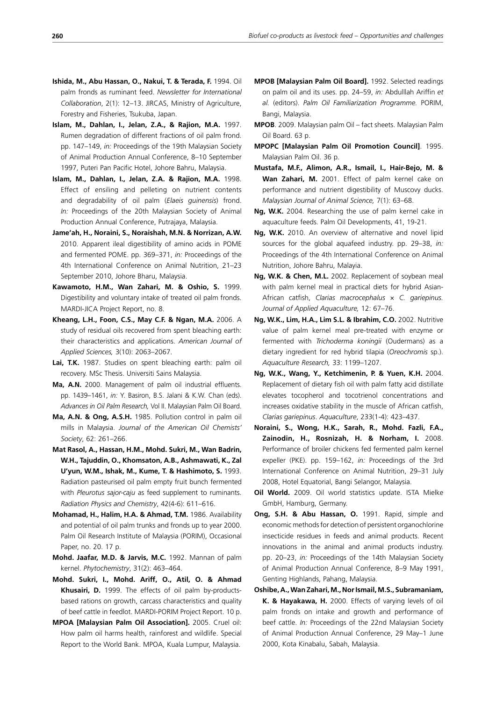- palm fronds as ruminant feed. *Newsletter for International Collaboration*, 2(1): 12–13. JIRCAS, Ministry of Agriculture, Forestry and Fisheries, Tsukuba, Japan.
- **Islam, M., Dahlan, I., Jelan, Z.A., & Rajion, M.A.** 1997. Rumen degradation of different fractions of oil palm frond. pp. 147–149, *in:* Proceedings of the 19th Malaysian Society of Animal Production Annual Conference, 8–10 September 1997, Puteri Pan Pacific Hotel, Johore Bahru, Malaysia.
- **Islam, M., Dahlan, I., Jelan, Z.A. & Rajion, M.A.** 1998. Effect of ensiling and pelleting on nutrient contents and degradability of oil palm (*Elaeis guinensis*) frond. *In:* Proceedings of the 20th Malaysian Society of Animal Production Annual Conference, Putrajaya, Malaysia.
- **Jame'ah, H., Noraini, S., Noraishah, M.N. & Norrizan, A.W.** 2010. Apparent ileal digestibility of amino acids in POME and fermented POME. pp. 369–371, *in:* Proceedings of the 4th International Conference on Animal Nutrition, 21–23 September 2010, Johore Bharu, Malaysia.
- **Kawamoto, H.M., Wan Zahari, M. & Oshio, S.** 1999. Digestibility and voluntary intake of treated oil palm fronds. MARDI-JICA Project Report, no. 8.
- **Kheang, L.H., Foon, C.S., May C.F. & Ngan, M.A.** 2006. A study of residual oils recovered from spent bleaching earth: their characteristics and applications. *American Journal of Applied Sciences,* 3(10): 2063–2067.
- **Lai, T.K.** 1987. Studies on spent bleaching earth: palm oil recovery. MSc Thesis. Universiti Sains Malaysia.
- **Ma, A.N.** 2000. Management of palm oil industrial effluents. pp. 1439–1461, *in:* Y. Basiron, B.S. Jalani & K.W. Chan (eds). *Advances in Oil Palm Research,* Vol II. Malaysian Palm Oil Board.
- **Ma, A.N. & Ong, A.S.H.** 1985. Pollution control in palm oil mills in Malaysia. *Journal of the American Oil Chemists' Society*, 62: 261–266.
- **Mat Rasol, A., Hassan, H.M., Mohd. Sukri, M., Wan Badrin, W.H., Tajuddin, O., Khomsaton, A.B., Ashmawati, K., Zal U'yun, W.M., Ishak, M., Kume, T. & Hashimoto, S.** 1993. Radiation pasteurised oil palm empty fruit bunch fermented with *Pleurotus sajor-caju* as feed supplement to ruminants. *Radiation Physics and Chemistry*, 42(4-6): 611–616.
- **Mohamad, H., Halim, H.A. & Ahmad, T.M.** 1986. Availability and potential of oil palm trunks and fronds up to year 2000. Palm Oil Research Institute of Malaysia (PORIM), Occasional Paper, no. 20. 17 p.
- **Mohd. Jaafar, M.D. & Jarvis, M.C.** 1992. Mannan of palm kernel. *Phytochemistry*, 31(2): 463–464.
- **Mohd. Sukri, I., Mohd. Ariff, O., Atil, O. & Ahmad Khusairi, D.** 1999. The effects of oil palm by-productsbased rations on growth, carcass characteristics and quality of beef cattle in feedlot. MARDI-PORIM Project Report. 10 p.
- **MPOA [Malaysian Palm Oil Association].** 2005. Cruel oil: How palm oil harms health, rainforest and wildlife. Special Report to the World Bank. MPOA, Kuala Lumpur, Malaysia.
- **MPOB [Malaysian Palm Oil Board].** 1992. Selected readings on palm oil and its uses. pp. 24–59, *in:* Abdulllah Ariffin *et al.* (editors). *Palm Oil Familiarization Programme.* PORIM, Bangi, Malaysia.
- **MPOB**. 2009. Malaysian palm Oil fact sheets. Malaysian Palm Oil Board. 63 p.
- **MPOPC [Malaysian Palm Oil Promotion Council]**. 1995. Malaysian Palm Oil. 36 p.
- **Mustafa, M.F., Alimon, A.R., Ismail, I., Hair-Bejo, M. & Wan Zahari, M.** 2001. Effect of palm kernel cake on performance and nutrient digestibility of Muscovy ducks. *Malaysian Journal of Animal Science,* 7(1): 63–68.
- **Ng, W.K.** 2004. Researching the use of palm kernel cake in aquaculture feeds. Palm Oil Developments, 41, 19-21.
- **Ng, W.K.** 2010. An overview of alternative and novel lipid sources for the global aquafeed industry. pp. 29–38, *in:*  Proceedings of the 4th International Conference on Animal Nutrition, Johore Bahru, Malayia.
- **Ng, W.K. & Chen, M.L.** 2002. Replacement of soybean meal with palm kernel meal in practical diets for hybrid Asian-African catfish, *Clarias macrocephalus* × *C. gariepinus. Journal of Applied Aquaculture,* 12: 67–76.
- **Ng, W.K., Lim, H.A., Lim S.L. & Ibrahim, C.O.** 2002. Nutritive value of palm kernel meal pre-treated with enzyme or fermented with *Trichoderma koningii* (Oudermans) as a dietary ingredient for red hybrid tilapia (*Oreochromis* sp.). *Aquaculture Research,* 33: 1199–1207.
- **Ng, W.K., Wang, Y., Ketchimenin, P. & Yuen, K.H.** 2004. Replacement of dietary fish oil with palm fatty acid distillate elevates tocopherol and tocotrienol concentrations and increases oxidative stability in the muscle of African catfish, *Clarias gariepinus*. *Aquaculture*, 233(1-4): 423–437.
- **Noraini, S., Wong, H.K., Sarah, R., Mohd. Fazli, F.A., Zainodin, H., Rosnizah, H. & Norham, I.** 2008. Performance of broiler chickens fed fermented palm kernel expeller (PKE). pp. 159–162, *in:* Proceedings of the 3rd International Conference on Animal Nutrition, 29–31 July 2008, Hotel Equatorial, Bangi Selangor, Malaysia.
- **Oil World.** 2009. Oil world statistics update. ISTA Mielke GmbH, Hamburg, Germany.
- **Ong, S.H. & Abu Hassan, O.** 1991. Rapid, simple and economic methods for detection of persistent organochlorine insecticide residues in feeds and animal products. Recent innovations in the animal and animal products industry. pp. 20–23, *in:* Proceedings of the 14th Malaysian Society of Animal Production Annual Conference, 8–9 May 1991, Genting Highlands, Pahang, Malaysia.
- **Oshibe, A., Wan Zahari, M., Nor Ismail, M.S., Subramaniam, K. & Hayakawa, H.** 2000. Effects of varying levels of oil palm fronds on intake and growth and performance of beef cattle. *In:* Proceedings of the 22nd Malaysian Society of Animal Production Annual Conference, 29 May–1 June 2000, Kota Kinabalu, Sabah, Malaysia.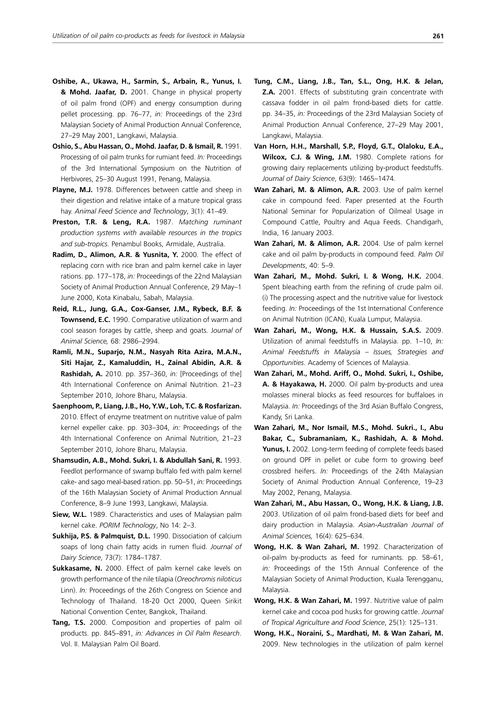- **Oshibe, A., Ukawa, H., Sarmin, S., Arbain, R., Yunus, I. & Mohd. Jaafar, D.** 2001. Change in physical property of oil palm frond (OPF) and energy consumption during pellet processing. pp. 76–77, *in:* Proceedings of the 23rd Malaysian Society of Animal Production Annual Conference, 27–29 May 2001, Langkawi, Malaysia.
- **Oshio, S., Abu Hassan, O., Mohd. Jaafar, D. & Ismail, R.** 1991. Processing of oil palm trunks for rumiant feed. *In:* Proceedings of the 3rd International Symposium on the Nutrition of Herbivores, 25–30 August 1991, Penang, Malaysia.
- **Playne, M.J.** 1978. Differences between cattle and sheep in their digestion and relative intake of a mature tropical grass hay. *Animal Feed Science and Technology*, 3(1): 41–49.
- **Preston, T.R. & Leng, R.A.** 1987. *Matching ruminant production systems with available resources in the tropics and sub-tropics.* Penambul Books, Armidale, Australia.
- **Radim, D., Alimon, A.R. & Yusnita, Y.** 2000. The effect of replacing corn with rice bran and palm kernel cake in layer rations. pp. 177–178, *in:* Proceedings of the 22nd Malaysian Society of Animal Production Annual Conference, 29 May–1 June 2000, Kota Kinabalu, Sabah, Malaysia.
- **Reid, R.L., Jung, G.A., Cox-Ganser, J.M., Rybeck, B.F. & Townsend, E.C.** 1990. Comparative utilization of warm and cool season forages by cattle, sheep and goats. J*ournal of Animal Science,* 68: 2986–2994.
- **Ramli, M.N., Suparjo, N.M., Nasyah Rita Azira, M.A.N., Siti Hajar, Z., Kamaluddin, H., Zainal Abidin, A.R. & Rashidah, A.** 2010. pp. 357–360, *in:* [Proceedings of the] 4th International Conference on Animal Nutrition. 21–23 September 2010, Johore Bharu, Malaysia.
- **Saenphoom, P., Liang, J.B., Ho, Y.W., Loh, T.C. & Rosfarizan.**  2010. Effect of enzyme treatment on nutritive value of palm kernel expeller cake. pp. 303–304, *in:* Proceedings of the 4th International Conference on Animal Nutrition, 21–23 September 2010, Johore Bharu, Malaysia.
- **Shamsudin, A.B., Mohd. Sukri, I. & Abdullah Sani, R.** 1993. Feedlot performance of swamp buffalo fed with palm kernel cake- and sago meal-based ration. pp. 50–51, *in:* Proceedings of the 16th Malaysian Society of Animal Production Annual Conference, 8–9 June 1993, Langkawi, Malaysia.
- **Siew, W.L.** 1989. Characteristics and uses of Malaysian palm kernel cake. *PORIM Technology*, No 14: 2–3.
- **Sukhija, P.S. & Palmquist, D.L.** 1990. Dissociation of calcium soaps of long chain fatty acids in rumen fluid. *Journal of Dairy Science*, 73(7): 1784–1787.
- **Sukkasame, N.** 2000. Effect of palm kernel cake levels on growth performance of the nile tilapia (*Oreochromis niloticus* Linn). *In:* Proceedings of the 26th Congress on Science and Technology of Thailand. 18-20 Oct 2000, Queen Sirikit National Convention Center, Bangkok, Thailand.
- **Tang, T.S.** 2000. Composition and properties of palm oil products. pp. 845–891, *in: Advances in Oil Palm Research*. Vol. II. Malaysian Palm Oil Board.
- **Tung, C.M., Liang, J.B., Tan, S.L., Ong, H.K. & Jelan, Z.A.** 2001. Effects of substituting grain concentrate with cassava fodder in oil palm frond-based diets for cattle. pp. 34–35, *in:* Proceedings of the 23rd Malaysian Society of Animal Production Annual Conference, 27–29 May 2001, Langkawi, Malaysia.
- **Van Horn, H.H., Marshall, S.P., Floyd, G.T., Olaloku, E.A., Wilcox, C.J. & Wing, J.M.** 1980. Complete rations for growing dairy replacements utilizing by-product feedstuffs. *Journal of Dairy Science*, 63(9): 1465–1474.
- **Wan Zahari, M. & Alimon, A.R.** 2003. Use of palm kernel cake in compound feed. Paper presented at the Fourth National Seminar for Popularization of Oilmeal Usage in Compound Cattle, Poultry and Aqua Feeds. Chandigarh, India, 16 January 2003.
- **Wan Zahari, M. & Alimon, A.R.** 2004. Use of palm kernel cake and oil palm by-products in compound feed. *Palm Oil Developments*, 40: 5–9.
- **Wan Zahari, M., Mohd. Sukri, I. & Wong, H.K.** 2004. Spent bleaching earth from the refining of crude palm oil. (i) The processing aspect and the nutritive value for livestock feeding. *In:* Proceedings of the 1st International Conference on Animal Nutrition (ICAN), Kuala Lumpur, Malaysia.
- **Wan Zahari, M., Wong, H.K. & Hussain, S.A.S.** 2009. Utilization of animal feedstuffs in Malaysia. pp. 1–10, *In: Animal Feedstuffs in Malaysia – Issues, Strategies and Opportunities*. Academy of Sciences of Malaysia.
- **Wan Zahari, M., Mohd. Ariff, O., Mohd. Sukri, I., Oshibe, A. & Hayakawa, H.** 2000. Oil palm by-products and urea molasses mineral blocks as feed resources for buffaloes in Malaysia. *In:* Proceedings of the 3rd Asian Buffalo Congress, Kandy, Sri Lanka.
- **Wan Zahari, M., Nor Ismail, M.S., Mohd. Sukri., I., Abu Bakar, C., Subramaniam, K., Rashidah, A. & Mohd.**  Yunus, I. 2002. Long-term feeding of complete feeds based on ground OPF in pellet or cube form to growing beef crossbred heifers. *In:* Proceedings of the 24th Malaysian Society of Animal Production Annual Conference, 19–23 May 2002, Penang, Malaysia.
- **Wan Zahari, M., Abu Hassan, O., Wong, H.K. & Liang, J.B.** 2003. Utilization of oil palm frond-based diets for beef and dairy production in Malaysia. *Asian-Australian Journal of Animal Sciences,* 16(4): 625–634.
- **Wong, H.K. & Wan Zahari, M.** 1992. Characterization of oil-palm by-products as feed for ruminants. pp. 58–61, *in:* Proceedings of the 15th Annual Conference of the Malaysian Society of Animal Production, Kuala Terengganu, Malaysia.
- **Wong, H.K. & Wan Zahari, M.** 1997. Nutritive value of palm kernel cake and cocoa pod husks for growing cattle. *Journal of Tropical Agriculture and Food Science*, 25(1): 125–131.
- **Wong, H.K., Noraini, S., Mardhati, M. & Wan Zahari, M.** 2009. New technologies in the utilization of palm kernel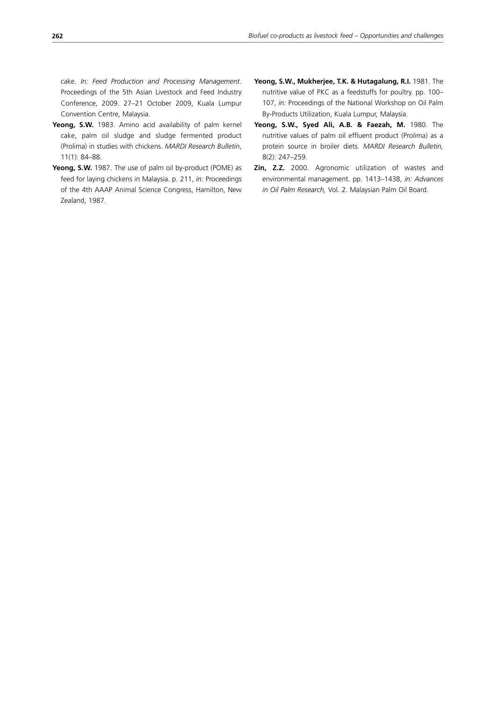cake. *In: Feed Production and Processing Management*. Proceedings of the 5th Asian Livestock and Feed Industry Conference, 2009. 27–21 October 2009, Kuala Lumpur Convention Centre, Malaysia.

- **Yeong, S.W.** 1983. Amino acid availability of palm kernel cake, palm oil sludge and sludge fermented product (Prolima) in studies with chickens. *MARDI Research Bulletin*, 11(1): 84–88.
- **Yeong, S.W.** 1987. The use of palm oil by-product (POME) as feed for laying chickens in Malaysia. p. 211, *in:* Proceedings of the 4th AAAP Animal Science Congress, Hamilton, New Zealand, 1987.
- **Yeong, S.W., Mukherjee, T.K. & Hutagalung, R.I.** 1981. The nutritive value of PKC as a feedstuffs for poultry. pp. 100– 107, *in:* Proceedings of the National Workshop on Oil Palm By-Products Utilization, Kuala Lumpur, Malaysia.
- Yeong, S.W., Syed Ali, A.B. & Faezah, M. 1980. The nutritive values of palm oil effluent product (Prolima) as a protein source in broiler diets. *MARDI Research Bulletin,* 8(2): 247–259.
- **Zin, Z.Z.** 2000. Agronomic utilization of wastes and environmental management. pp. 1413–1438, *in: Advances in Oil Palm Research,* Vol. 2. Malaysian Palm Oil Board.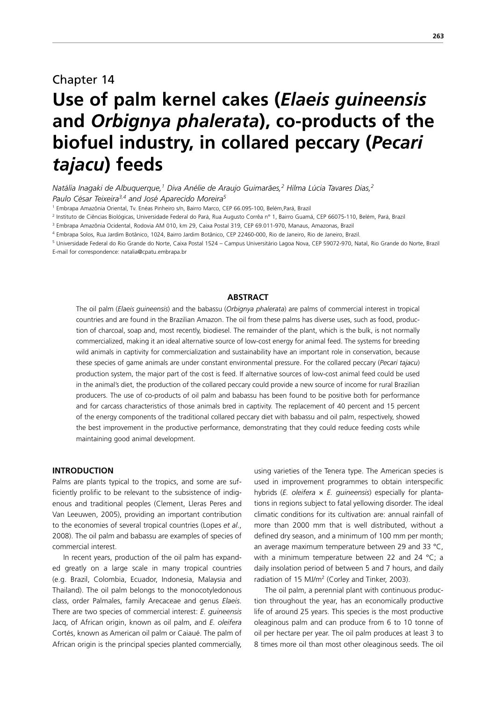## Chapter 14

# **Use of palm kernel cakes (***Elaeis guineensis*  **and** *Orbignya phalerata***), co-products of the biofuel industry, in collared peccary (***Pecari tajacu***) feeds**

*Natália Inagaki de Albuquerque,1 Diva Anélie de Araujo Guimarães,2 Hilma Lúcia Tavares Dias,2 Paulo César Teixeira3,4 and José Aparecido Moreira5*

1 Embrapa Amazônia Oriental, Tv. Enéas Pinheiro s/n, Bairro Marco, CEP 66.095-100, Belém,Pará, Brazil

2 Instituto de Ciências Biológicas, Universidade Federal do Pará, Rua Augusto Corrêa n° 1, Bairro Guamá, CEP 66075-110, Belém, Pará, Brazil

3 Embrapa Amazônia Ocidental, Rodovia AM 010, km 29, Caixa Postal 319, CEP 69.011-970, Manaus, Amazonas, Brazil

4 Embrapa Solos, Rua Jardim Botânico, 1024, Bairro Jardim Botânico, CEP 22460-000, Rio de Janeiro, Rio de Janeiro, Brazil.

<sup>5</sup> Universidade Federal do Rio Grande do Norte, Caixa Postal 1524 – Campus Universitário Lagoa Nova, CEP 59072-970, Natal, Rio Grande do Norte, Brazil E-mail for correspondence: natalia@cpatu.embrapa.br

## **ABSTRACT**

The oil palm (*Elaeis guineensis*) and the babassu (*Orbignya phalerata*) are palms of commercial interest in tropical countries and are found in the Brazilian Amazon. The oil from these palms has diverse uses, such as food, production of charcoal, soap and, most recently, biodiesel. The remainder of the plant, which is the bulk, is not normally commercialized, making it an ideal alternative source of low-cost energy for animal feed. The systems for breeding wild animals in captivity for commercialization and sustainability have an important role in conservation, because these species of game animals are under constant environmental pressure. For the collared peccary (*Pecari tajacu*) production system, the major part of the cost is feed. If alternative sources of low-cost animal feed could be used in the animal's diet, the production of the collared peccary could provide a new source of income for rural Brazilian producers. The use of co-products of oil palm and babassu has been found to be positive both for performance and for carcass characteristics of those animals bred in captivity. The replacement of 40 percent and 15 percent of the energy components of the traditional collared peccary diet with babassu and oil palm, respectively, showed the best improvement in the productive performance, demonstrating that they could reduce feeding costs while maintaining good animal development.

#### **INTRODUCTION**

Palms are plants typical to the tropics, and some are sufficiently prolific to be relevant to the subsistence of indigenous and traditional peoples (Clement, Lleras Peres and Van Leeuwen, 2005), providing an important contribution to the economies of several tropical countries (Lopes *et al*., 2008). The oil palm and babassu are examples of species of commercial interest.

In recent years, production of the oil palm has expanded greatly on a large scale in many tropical countries (e.g. Brazil, Colombia, Ecuador, Indonesia, Malaysia and Thailand). The oil palm belongs to the monocotyledonous class, order Palmales, family Arecaceae and genus *Elaeis*. There are two species of commercial interest: *E. guineensis* Jacq, of African origin, known as oil palm, and *E. oleifera* Cortés, known as American oil palm or Caiaué. The palm of African origin is the principal species planted commercially, using varieties of the Tenera type. The American species is used in improvement programmes to obtain interspecific hybrids (*E. oleifera* × *E. guineensis*) especially for plantations in regions subject to fatal yellowing disorder. The ideal climatic conditions for its cultivation are: annual rainfall of more than 2000 mm that is well distributed, without a defined dry season, and a minimum of 100 mm per month; an average maximum temperature between 29 and 33 °C, with a minimum temperature between 22 and 24 °C; a daily insolation period of between 5 and 7 hours, and daily radiation of 15 MJ/m<sup>2</sup> (Corley and Tinker, 2003).

The oil palm, a perennial plant with continuous production throughout the year, has an economically productive life of around 25 years. This species is the most productive oleaginous palm and can produce from 6 to 10 tonne of oil per hectare per year. The oil palm produces at least 3 to 8 times more oil than most other oleaginous seeds. The oil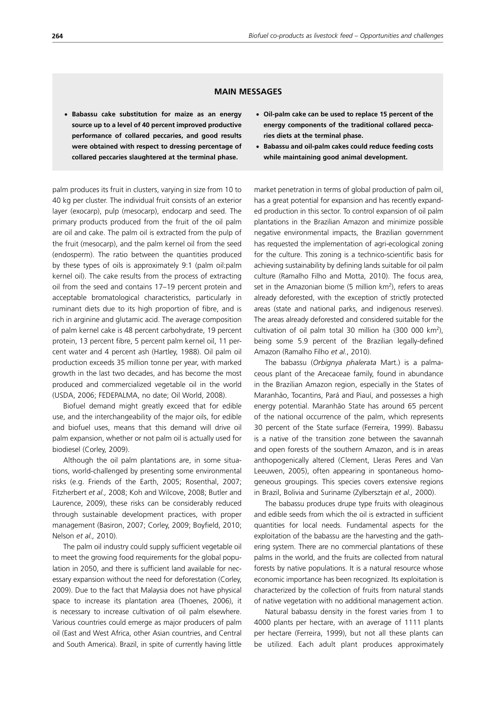### **MAIN MESSAGES**

- **Babassu cake substitution for maize as an energy source up to a level of 40 percent improved productive performance of collared peccaries, and good results were obtained with respect to dressing percentage of collared peccaries slaughtered at the terminal phase.**
- x **Oil-palm cake can be used to replace 15 percent of the energy components of the traditional collared peccaries diets at the terminal phase.**
- x **Babassu and oil-palm cakes could reduce feeding costs while maintaining good animal development.**

palm produces its fruit in clusters, varying in size from 10 to 40 kg per cluster. The individual fruit consists of an exterior layer (exocarp), pulp (mesocarp), endocarp and seed. The primary products produced from the fruit of the oil palm are oil and cake. The palm oil is extracted from the pulp of the fruit (mesocarp), and the palm kernel oil from the seed (endosperm). The ratio between the quantities produced by these types of oils is approximately 9:1 (palm oil:palm kernel oil). The cake results from the process of extracting oil from the seed and contains 17–19 percent protein and acceptable bromatological characteristics, particularly in ruminant diets due to its high proportion of fibre, and is rich in arginine and glutamic acid. The average composition of palm kernel cake is 48 percent carbohydrate, 19 percent protein, 13 percent fibre, 5 percent palm kernel oil, 11 percent water and 4 percent ash (Hartley, 1988). Oil palm oil production exceeds 35 million tonne per year, with marked growth in the last two decades, and has become the most produced and commercialized vegetable oil in the world (USDA, 2006; FEDEPALMA, no date; Oil World, 2008).

Biofuel demand might greatly exceed that for edible use, and the interchangeability of the major oils, for edible and biofuel uses, means that this demand will drive oil palm expansion, whether or not palm oil is actually used for biodiesel (Corley, 2009).

Although the oil palm plantations are, in some situations, world-challenged by presenting some environmental risks (e.g. Friends of the Earth, 2005; Rosenthal, 2007; Fitzherbert *et al.,* 2008; Koh and Wilcove, 2008; Butler and Laurence, 2009), these risks can be considerably reduced through sustainable development practices, with proper management (Basiron, 2007; Corley, 2009; Boyfield, 2010; Nelson *et al.,* 2010).

The palm oil industry could supply sufficient vegetable oil to meet the growing food requirements for the global population in 2050, and there is sufficient land available for necessary expansion without the need for deforestation (Corley, 2009). Due to the fact that Malaysia does not have physical space to increase its plantation area (Thoenes, 2006), it is necessary to increase cultivation of oil palm elsewhere. Various countries could emerge as major producers of palm oil (East and West Africa, other Asian countries, and Central and South America). Brazil, in spite of currently having little market penetration in terms of global production of palm oil, has a great potential for expansion and has recently expanded production in this sector. To control expansion of oil palm plantations in the Brazilian Amazon and minimize possible negative environmental impacts, the Brazilian government has requested the implementation of agri-ecological zoning for the culture. This zoning is a technico-scientific basis for achieving sustainability by defining lands suitable for oil palm culture (Ramalho Filho and Motta, 2010). The focus area, set in the Amazonian biome (5 million  $km<sup>2</sup>$ ), refers to areas already deforested, with the exception of strictly protected areas (state and national parks, and indigenous reserves). The areas already deforested and considered suitable for the cultivation of oil palm total 30 million ha  $(300 000 km<sup>2</sup>)$ , being some 5.9 percent of the Brazilian legally-defined Amazon (Ramalho Filho *et al.*, 2010).

The babassu (*Orbignya phalerata* Mart.) is a palmaceous plant of the Arecaceae family, found in abundance in the Brazilian Amazon region, especially in the States of Maranhão, Tocantins, Pará and Piauí, and possesses a high energy potential. Maranhão State has around 65 percent of the national occurrence of the palm, which represents 30 percent of the State surface (Ferreira, 1999). Babassu is a native of the transition zone between the savannah and open forests of the southern Amazon, and is in areas anthopogenically altered (Clement, Lleras Peres and Van Leeuwen, 2005), often appearing in spontaneous homogeneous groupings. This species covers extensive regions in Brazil, Bolivia and Suriname (Zylbersztajn *et al.,* 2000).

The babassu produces drupe type fruits with oleaginous and edible seeds from which the oil is extracted in sufficient quantities for local needs. Fundamental aspects for the exploitation of the babassu are the harvesting and the gathering system. There are no commercial plantations of these palms in the world, and the fruits are collected from natural forests by native populations. It is a natural resource whose economic importance has been recognized. Its exploitation is characterized by the collection of fruits from natural stands of native vegetation with no additional management action.

Natural babassu density in the forest varies from 1 to 4000 plants per hectare, with an average of 1111 plants per hectare (Ferreira, 1999), but not all these plants can be utilized. Each adult plant produces approximately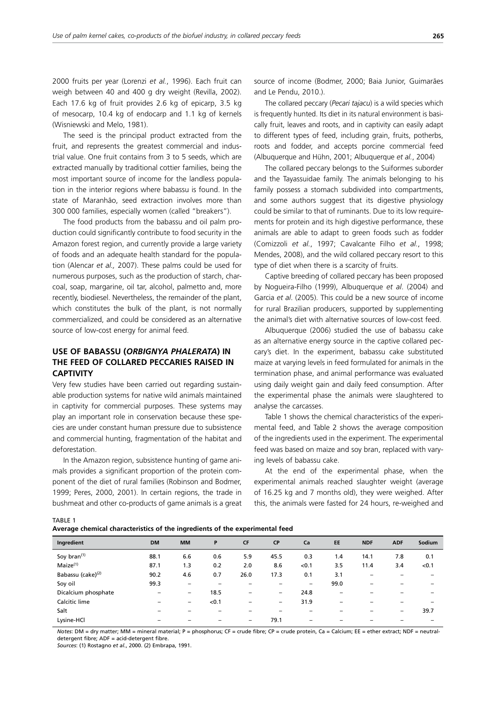2000 fruits per year (Lorenzi *et al.*, 1996). Each fruit can weigh between 40 and 400 g dry weight (Revilla, 2002). Each 17.6 kg of fruit provides 2.6 kg of epicarp, 3.5 kg of mesocarp, 10.4 kg of endocarp and 1.1 kg of kernels (Wisniewski and Melo, 1981).

The seed is the principal product extracted from the fruit, and represents the greatest commercial and industrial value. One fruit contains from 3 to 5 seeds, which are extracted manually by traditional cottier families, being the most important source of income for the landless population in the interior regions where babassu is found. In the state of Maranhão, seed extraction involves more than 300 000 families, especially women (called "breakers").

The food products from the babassu and oil palm production could significantly contribute to food security in the Amazon forest region, and currently provide a large variety of foods and an adequate health standard for the population (Alencar *et al.,* 2007). These palms could be used for numerous purposes, such as the production of starch, charcoal, soap, margarine, oil tar, alcohol, palmetto and, more recently, biodiesel. Nevertheless, the remainder of the plant, which constitutes the bulk of the plant, is not normally commercialized, and could be considered as an alternative source of low-cost energy for animal feed.

## **USE OF BABASSU (***ORBIGNYA PHALERATA***) IN THE FEED OF COLLARED PECCARIES RAISED IN CAPTIVITY**

Very few studies have been carried out regarding sustainable production systems for native wild animals maintained in captivity for commercial purposes. These systems may play an important role in conservation because these species are under constant human pressure due to subsistence and commercial hunting, fragmentation of the habitat and deforestation.

In the Amazon region, subsistence hunting of game animals provides a significant proportion of the protein component of the diet of rural families (Robinson and Bodmer, 1999; Peres, 2000, 2001). In certain regions, the trade in bushmeat and other co-products of game animals is a great source of income (Bodmer, 2000; Baia Junior, Guimarães and Le Pendu, 2010.).

The collared peccary (*Pecari tajacu*) is a wild species which is frequently hunted. Its diet in its natural environment is basically fruit, leaves and roots, and in captivity can easily adapt to different types of feed, including grain, fruits, potherbs, roots and fodder, and accepts porcine commercial feed (Albuquerque and Hühn, 2001; Albuquerque *et al.*, 2004)

The collared peccary belongs to the Suiformes suborder and the Tayassuidae family. The animals belonging to his family possess a stomach subdivided into compartments, and some authors suggest that its digestive physiology could be similar to that of ruminants. Due to its low requirements for protein and its high digestive performance, these animals are able to adapt to green foods such as fodder (Comizzoli *et al.*, 1997; Cavalcante Filho *et al.*, 1998; Mendes, 2008), and the wild collared peccary resort to this type of diet when there is a scarcity of fruits.

Captive breeding of collared peccary has been proposed by Nogueira-Filho (1999), Albuquerque *et al*. (2004) and Garcia *et al*. (2005). This could be a new source of income for rural Brazilian producers, supported by supplementing the animal's diet with alternative sources of low-cost feed.

Albuquerque (2006) studied the use of babassu cake as an alternative energy source in the captive collared peccary's diet. In the experiment, babassu cake substituted maize at varying levels in feed formulated for animals in the termination phase, and animal performance was evaluated using daily weight gain and daily feed consumption. After the experimental phase the animals were slaughtered to analyse the carcasses.

Table 1 shows the chemical characteristics of the experimental feed, and Table 2 shows the average composition of the ingredients used in the experiment. The experimental feed was based on maize and soy bran, replaced with varying levels of babassu cake.

At the end of the experimental phase, when the experimental animals reached slaughter weight (average of 16.25 kg and 7 months old), they were weighed. After this, the animals were fasted for 24 hours, re-weighed and

TABLE 1

| Average chemical characteristics of the ingredients of the experimental feed |  |
|------------------------------------------------------------------------------|--|
|------------------------------------------------------------------------------|--|

| Ingredient                    | <b>DM</b> | <b>MM</b>                | P     | <b>CF</b>                | <b>CP</b>                | Ca                       | <b>EE</b> | <b>NDF</b>               | <b>ADF</b>               | Sodium |
|-------------------------------|-----------|--------------------------|-------|--------------------------|--------------------------|--------------------------|-----------|--------------------------|--------------------------|--------|
| Soy bran <sup>(1)</sup>       | 88.1      | 6.6                      | 0.6   | 5.9                      | 45.5                     | 0.3                      | 1.4       | 14.1                     | 7.8                      | 0.1    |
| $M$ aize $(1)$                | 87.1      | 1.3                      | 0.2   | 2.0                      | 8.6                      | < 0.1                    | 3.5       | 11.4                     | 3.4                      | < 0.1  |
| Babassu (cake) <sup>(2)</sup> | 90.2      | 4.6                      | 0.7   | 26.0                     | 17.3                     | 0.1                      | 3.1       | -                        |                          |        |
| Soy oil                       | 99.3      | -                        |       |                          |                          | -                        | 99.0      | $\overline{\phantom{a}}$ |                          |        |
| Dicalcium phosphate           | -         | $\overline{\phantom{0}}$ | 18.5  | -                        | $\overline{\phantom{0}}$ | 24.8                     | -         | -                        |                          |        |
| Calcitic lime                 | -         | -                        | < 0.1 | -                        | -                        | 31.9                     | -         | -                        | -                        |        |
| Salt                          | -         | -                        | -     |                          |                          | -                        | -         | -                        | $\overline{\phantom{0}}$ | 39.7   |
| Lysine-HCl                    | -         | $\overline{\phantom{0}}$ | -     | $\overline{\phantom{0}}$ | 79.1                     | $\overline{\phantom{0}}$ | -         | -                        | -                        |        |

*Notes*: DM = dry matter; MM = mineral material; P = phosphorus; CF = crude fibre; CP = crude protein, Ca = Calcium; EE = ether extract; NDF = neutraldetergent fibre; ADF = acid-detergent fibre.

*Sources*: (1) Rostagno *et al.*, 2000. (2) Embrapa, 1991.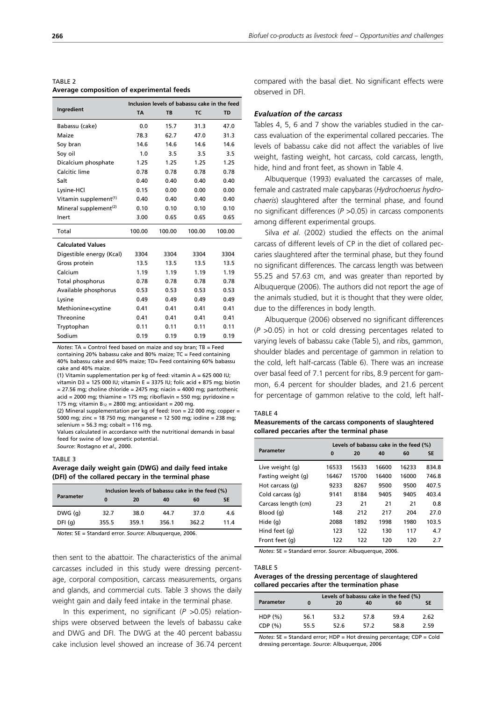| TABLE 2                                   |  |
|-------------------------------------------|--|
| Average composition of experimental feeds |  |

|                                   | Inclusion levels of babassu cake in the feed |        |           |        |  |
|-----------------------------------|----------------------------------------------|--------|-----------|--------|--|
| Ingredient                        | <b>TA</b>                                    | TC.    | <b>TD</b> |        |  |
| Babassu (cake)                    | 0.0                                          | 15.7   | 31.3      | 47.0   |  |
| Maize                             | 78.3                                         | 62.7   | 47.0      | 31.3   |  |
| Soy bran                          | 14.6                                         | 14.6   | 14.6      | 14.6   |  |
| Soy oil                           | 1.0                                          | 3.5    | 3.5       | 3.5    |  |
| Dicalcium phosphate               | 1.25                                         | 1.25   | 1.25      | 1.25   |  |
| Calcitic lime                     | 0.78                                         | 0.78   | 0.78      | 0.78   |  |
| Salt                              | 0.40                                         | 0.40   | 0.40      | 0.40   |  |
| Lysine-HCl                        | 0.15                                         | 0.00   | 0.00      | 0.00   |  |
| Vitamin supplement <sup>(1)</sup> | 0.40                                         | 0.40   | 0.40      | 0.40   |  |
| Mineral supplement <sup>(2)</sup> | 0.10                                         | 0.10   | 0.10      | 0.10   |  |
| Inert                             | 3.00                                         | 0.65   | 0.65      | 0.65   |  |
| Total                             | 100.00                                       | 100.00 | 100.00    | 100.00 |  |
| <b>Calculated Values</b>          |                                              |        |           |        |  |
| Digestible energy (Kcal)          | 3304                                         | 3304   | 3304      | 3304   |  |
| Gross protein                     | 13.5                                         | 13.5   | 13.5      | 13.5   |  |
| Calcium                           | 1.19                                         | 1.19   | 1.19      | 1.19   |  |
| Total phosphorus                  | 0.78                                         | 0.78   | 0.78      | 0.78   |  |
| Available phosphorus              | 0.53                                         | 0.53   | 0.53      | 0.53   |  |
| Lysine                            | 0.49                                         | 0.49   | 0.49      | 0.49   |  |
| Methionine+cystine                | 0.41                                         | 0.41   | 0.41      | 0.41   |  |
| Threonine                         | 0.41                                         | 0.41   | 0.41      | 0.41   |  |
| Tryptophan                        | 0.11                                         | 0.11   | 0.11      | 0.11   |  |
| Sodium                            | 0.19                                         | 0.19   | 0.19      | 0.19   |  |

*Notes*: TA = Control feed based on maize and soy bran; TB = Feed containing 20% babassu cake and 80% maize; TC = Feed containing 40% babassu cake and 60% maize; TD= Feed containing 60% babassu cake and 40% maize.

(1) Vitamin supplementation per kg of feed: vitamin A =  $625 000$  IU; vitamin D3 = 125 000 IU; vitamin E = 3375 IU; folic acid + 875 mg; biotin

 $= 27.56$  mg; choline chloride  $= 2475$  mg; niacin  $= 4000$  mg; pantothenic acid = 2000 mg; thiamine = 175 mg; riboflavin = 550 mg; pyridoxine = 175 mg; vitamin B<sub>12</sub> = 2800 mg; antioxidant = 200 mg.

(2) Mineral supplementation per kg of feed: Iron = 22 000 mg; copper = 5000 mg; zinc = 18 750 mg; manganese = 12 500 mg; iodine = 238 mg; selenium = 56.3 mg; cobalt = 116 mg.

Values calculated in accordance with the nutritional demands in basal feed for swine of low genetic potential.

*Source*: Rostagno *et al.,* 2000.

#### TABLE 3

#### **Average daily weight gain (DWG) and daily feed intake (DFI) of the collared peccary in the terminal phase**

|                  |       | Inclusion levels of babassu cake in the feed (%) |       |       |      |  |  |
|------------------|-------|--------------------------------------------------|-------|-------|------|--|--|
| <b>Parameter</b> | 0     | 20                                               | 40    | 60    | SE   |  |  |
| DWG(q)           | 32.7  | 38.0                                             | 44.7  | 37.0  | 4.6  |  |  |
| DFI(q)           | 355.5 | 359.1                                            | 356.1 | 362.2 | 11.4 |  |  |

*Notes*: SE = Standard error. *Source*: Albuquerque, 2006.

then sent to the abattoir. The characteristics of the animal carcasses included in this study were dressing percentage, corporal composition, carcass measurements, organs and glands, and commercial cuts. Table 3 shows the daily weight gain and daily feed intake in the terminal phase.

In this experiment, no significant (*P* >0.05) relationships were observed between the levels of babassu cake and DWG and DFI. The DWG at the 40 percent babassu cake inclusion level showed an increase of 36.74 percent compared with the basal diet. No significant effects were observed in DFI.

#### *Evaluation of the carcass*

Tables 4, 5, 6 and 7 show the variables studied in the carcass evaluation of the experimental collared peccaries. The levels of babassu cake did not affect the variables of live weight, fasting weight, hot carcass, cold carcass, length, hide, hind and front feet, as shown in Table 4.

Albuquerque (1993) evaluated the carcasses of male, female and castrated male capybaras (*Hydrochoerus hydrochaeris*) slaughtered after the terminal phase, and found no significant differences (*P* >0.05) in carcass components among different experimental groups.

Silva *et al.* (2002) studied the effects on the animal carcass of different levels of CP in the diet of collared peccaries slaughtered after the terminal phase, but they found no significant differences. The carcass length was between 55.25 and 57.63 cm, and was greater than reported by Albuquerque (2006). The authors did not report the age of the animals studied, but it is thought that they were older, due to the differences in body length.

Albuquerque (2006) observed no significant differences (*P* >0.05) in hot or cold dressing percentages related to varying levels of babassu cake (Table 5), and ribs, gammon, shoulder blades and percentage of gammon in relation to the cold, left half-carcass (Table 6). There was an increase over basal feed of 7.1 percent for ribs, 8.9 percent for gammon, 6.4 percent for shoulder blades, and 21.6 percent for percentage of gammon relative to the cold, left half-

#### TABLE 4

**Measurements of the carcass components of slaughtered collared peccaries after the terminal phase**

|                     | Levels of babassu cake in the feed (%) |       |       |       |           |  |  |
|---------------------|----------------------------------------|-------|-------|-------|-----------|--|--|
| <b>Parameter</b>    | 0                                      | 20    | 40    | 60    | <b>SE</b> |  |  |
| Live weight (g)     | 16533                                  | 15633 | 16600 | 16233 | 834.8     |  |  |
| Fasting weight (g)  | 16467                                  | 15700 | 16400 | 16000 | 746.8     |  |  |
| Hot carcass (q)     | 9233                                   | 8267  | 9500  | 9500  | 407.5     |  |  |
| Cold carcass (q)    | 9141                                   | 8184  | 9405  | 9405  | 403.4     |  |  |
| Carcass length (cm) | 23                                     | 21    | 21    | 21    | 0.8       |  |  |
| Blood (g)           | 148                                    | 212   | 217   | 204   | 27.0      |  |  |
| Hide (g)            | 2088                                   | 1892  | 1998  | 1980  | 103.5     |  |  |
| Hind feet (g)       | 123                                    | 122   | 130   | 117   | 4.7       |  |  |
| Front feet (g)      | 122                                    | 122   | 120   | 120   | 2.7       |  |  |

*Notes*: SE = Standard error. *Source*: Albuquerque, 2006.

#### TABLE 5

### **Averages of the dressing percentage of slaughtered collared peccaries after the termination phase**

| Parameter | O    | Levels of babassu cake in the feed (%)<br>SE<br>60<br>40<br>20 |      |      |      |  |  |  |  |
|-----------|------|----------------------------------------------------------------|------|------|------|--|--|--|--|
| $HDP(\%)$ | 56.1 | 53.2                                                           | 57.8 | 59.4 | 2.62 |  |  |  |  |
| CDF(%)    | 55.5 | 52.6                                                           | 57.2 | 58.8 | 2.59 |  |  |  |  |

*Notes*: SE = Standard error; HDP = Hot dressing percentage; CDP = Cold dressing percentage. *Source*: Albuquerque, 2006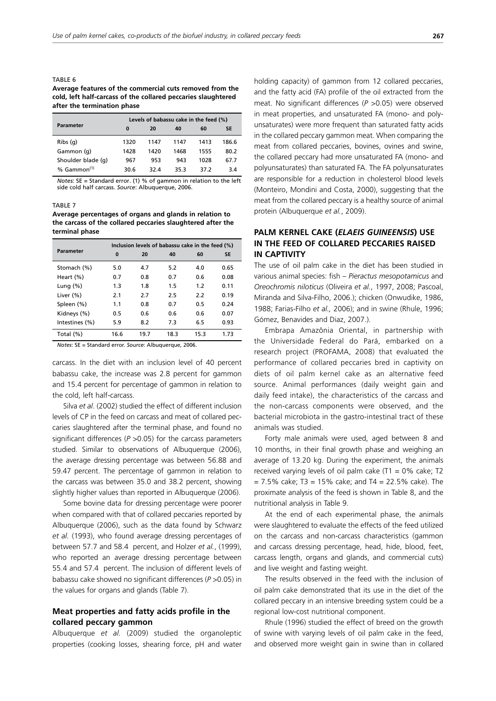#### TABLE 6 **Average features of the commercial cuts removed from the cold, left half-carcass of the collared peccaries slaughtered after the termination phase**

|                    | Levels of babassu cake in the feed (%) |      |      |      |           |  |  |
|--------------------|----------------------------------------|------|------|------|-----------|--|--|
| Parameter          | 0                                      | 20   | 40   | 60   | <b>SE</b> |  |  |
| $Ribs$ (q)         | 1320                                   | 1147 | 1147 | 1413 | 186.6     |  |  |
| Gammon (q)         | 1428                                   | 1420 | 1468 | 1555 | 80.2      |  |  |
| Shoulder blade (q) | 967                                    | 953  | 943  | 1028 | 67.7      |  |  |
| % $Gamma(1)$       | 30.6                                   | 32.4 | 35.3 | 37.2 | 3.4       |  |  |

*Notes*: SE = Standard error. (1) % of gammon in relation to the left side cold half carcass. *Source*: Albuquerque, 2006.

#### TABLE 7

**Average percentages of organs and glands in relation to the carcass of the collared peccaries slaughtered after the terminal phase**

|                | Inclusion levels of babassu cake in the feed (%) |      |      |      |           |  |  |
|----------------|--------------------------------------------------|------|------|------|-----------|--|--|
| Parameter      | $\bf{0}$                                         | 20   | 40   | 60   | <b>SE</b> |  |  |
| Stomach (%)    | 5.0                                              | 4.7  | 5.2  | 4.0  | 0.65      |  |  |
| Heart (%)      | 0.7                                              | 0.8  | 0.7  | 0.6  | 0.08      |  |  |
| Lung $(\% )$   | 1.3                                              | 1.8  | 1.5  | 1.2  | 0.11      |  |  |
| Liver $(\%)$   | 2.1                                              | 2.7  | 2.5  | 2.2  | 0.19      |  |  |
| Spleen (%)     | 1.1                                              | 0.8  | 0.7  | 0.5  | 0.24      |  |  |
| Kidneys (%)    | 0.5                                              | 0.6  | 0.6  | 0.6  | 0.07      |  |  |
| Intestines (%) | 5.9                                              | 8.2  | 7.3  | 6.5  | 0.93      |  |  |
| Total (%)      | 16.6                                             | 19.7 | 18.3 | 15.3 | 1.73      |  |  |

*Notes*: SE = Standard error. *Source*: Albuquerque, 2006.

carcass. In the diet with an inclusion level of 40 percent babassu cake, the increase was 2.8 percent for gammon and 15.4 percent for percentage of gammon in relation to the cold, left half-carcass.

Silva *et al*. (2002) studied the effect of different inclusion levels of CP in the feed on carcass and meat of collared peccaries slaughtered after the terminal phase, and found no significant differences ( $P > 0.05$ ) for the carcass parameters studied. Similar to observations of Albuquerque (2006), the average dressing percentage was between 56.88 and 59.47 percent. The percentage of gammon in relation to the carcass was between 35.0 and 38.2 percent, showing slightly higher values than reported in Albuquerque (2006).

Some bovine data for dressing percentage were poorer when compared with that of collared peccaries reported by Albuquerque (2006), such as the data found by Schwarz *et al.* (1993), who found average dressing percentages of between 57.7 and 58.4 percent, and Holzer *et al.*, (1999), who reported an average dressing percentage between 55.4 and 57.4 percent. The inclusion of different levels of babassu cake showed no significant differences (*P* >0.05) in the values for organs and glands (Table 7).

## **Meat properties and fatty acids profile in the collared peccary gammon**

Albuquerque *et al.* (2009) studied the organoleptic properties (cooking losses, shearing force, pH and water

holding capacity) of gammon from 12 collared peccaries, and the fatty acid (FA) profile of the oil extracted from the meat. No significant differences (*P* >0.05) were observed in meat properties, and unsaturated FA (mono- and polyunsaturates) were more frequent than saturated fatty acids in the collared peccary gammon meat. When comparing the meat from collared peccaries, bovines, ovines and swine, the collared peccary had more unsaturated FA (mono- and polyunsaturates) than saturated FA. The FA polyunsaturates are responsible for a reduction in cholesterol blood levels (Monteiro, Mondini and Costa, 2000), suggesting that the meat from the collared peccary is a healthy source of animal protein (Albuquerque *et al.*, 2009).

## **PALM KERNEL CAKE (***ELAEIS GUINEENSIS***) USE IN THE FEED OF COLLARED PECCARIES RAISED IN CAPTIVITY**

The use of oil palm cake in the diet has been studied in various animal species: fish – *Pieractus mesopotamicus* and *Oreochromis niloticus* (Oliveira *et al.*, 1997, 2008; Pascoal, Miranda and Silva-Filho, 2006.); chicken (Onwudike, 1986, 1988; Farias-Filho *et al.,* 2006); and in swine (Rhule, 1996; Gómez, Benavides and Diaz, 2007.).

Embrapa Amazônia Oriental, in partnership with the Universidade Federal do Pará, embarked on a research project (PROFAMA, 2008) that evaluated the performance of collared peccaries bred in captivity on diets of oil palm kernel cake as an alternative feed source. Animal performances (daily weight gain and daily feed intake), the characteristics of the carcass and the non-carcass components were observed, and the bacterial microbiota in the gastro-intestinal tract of these animals was studied.

Forty male animals were used, aged between 8 and 10 months, in their final growth phase and weighing an average of 13.20 kg. During the experiment, the animals received varying levels of oil palm cake  $(T1 = 0\%$  cake; T2  $= 7.5\%$  cake; T3 = 15% cake; and T4 = 22.5% cake). The proximate analysis of the feed is shown in Table 8, and the nutritional analysis in Table 9.

At the end of each experimental phase, the animals were slaughtered to evaluate the effects of the feed utilized on the carcass and non-carcass characteristics (gammon and carcass dressing percentage, head, hide, blood, feet, carcass length, organs and glands, and commercial cuts) and live weight and fasting weight.

The results observed in the feed with the inclusion of oil palm cake demonstrated that its use in the diet of the collared peccary in an intensive breeding system could be a regional low-cost nutritional component.

Rhule (1996) studied the effect of breed on the growth of swine with varying levels of oil palm cake in the feed, and observed more weight gain in swine than in collared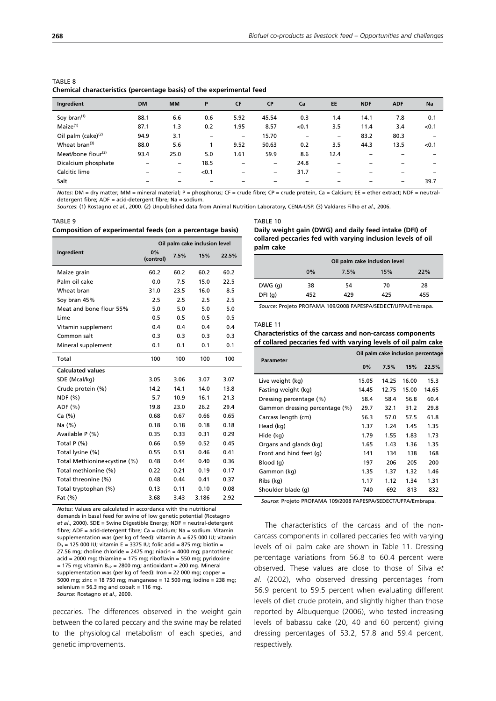| TABLE 8                                                              |  |  |
|----------------------------------------------------------------------|--|--|
| Chemical characteristics (percentage basis) of the experimental feed |  |  |

| Ingredient                     | <b>DM</b> | <b>MM</b> | P     | <b>CF</b> | <b>CP</b> | Ca    | <b>EE</b>                | <b>NDF</b> | <b>ADF</b>               | Na                       |
|--------------------------------|-----------|-----------|-------|-----------|-----------|-------|--------------------------|------------|--------------------------|--------------------------|
| Soy bran <sup>(1)</sup>        | 88.1      | 6.6       | 0.6   | 5.92      | 45.54     | 0.3   | 1.4                      | 14.1       | 7.8                      | 0.1                      |
| $M$ aize $(1)$                 | 87.1      | 1.3       | 0.2   | 1.95      | 8.57      | < 0.1 | 3.5                      | 11.4       | 3.4                      | < 0.1                    |
| Oil palm (cake) <sup>(2)</sup> | 94.9      | 3.1       | -     | -         | 15.70     | -     | $\overline{\phantom{0}}$ | 83.2       | 80.3                     |                          |
| Wheat bran <sup>(3)</sup>      | 88.0      | 5.6       |       | 9.52      | 50.63     | 0.2   | 3.5                      | 44.3       | 13.5                     | < 0.1                    |
| Meat/bone flour $(3)$          | 93.4      | 25.0      | 5.0   | 1.61      | 59.9      | 8.6   | 12.4                     |            |                          |                          |
| Dicalcium phosphate            | -         | -         | 18.5  | -         | -         | 24.8  | $\overline{\phantom{a}}$ | -          | -                        | $\overline{\phantom{a}}$ |
| Calcitic lime                  |           | -         | < 0.1 | -         | -         | 31.7  | -                        |            |                          |                          |
| Salt                           |           |           |       | -         | -         | -     |                          |            | $\overline{\phantom{0}}$ | 39.7                     |

*Notes*: DM = dry matter; MM = mineral material; P = phosphorus; CF = crude fibre; CP = crude protein, Ca = Calcium; EE = ether extract; NDF = neutraldetergent fibre; ADF = acid-detergent fibre; Na = sodium.

*Sources*: (1) Rostagno *et al.*, 2000. (2) Unpublished data from Animal Nutrition Laboratory, CENA-USP. (3) Valdares Filho *et al.*, 2006.

#### TABLE 9 **Composition of experimental feeds (on a percentage basis)**

|                              | Oil palm cake inclusion level |      |       |       |  |
|------------------------------|-------------------------------|------|-------|-------|--|
| Ingredient                   | 0%<br>(control)               | 7.5% | 15%   | 22.5% |  |
| Maize grain                  | 60.2                          | 60.2 | 60.2  | 60.2  |  |
| Palm oil cake                | 0.0                           | 7.5  | 15.0  | 22.5  |  |
| Wheat bran                   | 31.0                          | 23.5 | 16.0  | 8.5   |  |
| Soy bran 45%                 | 2.5                           | 2.5  | 2.5   | 2.5   |  |
| Meat and bone flour 55%      | 5.0                           | 5.0  | 5.0   | 5.0   |  |
| Lime                         | 0.5                           | 0.5  | 0.5   | 0.5   |  |
| Vitamin supplement           | 0.4                           | 0.4  | 0.4   | 0.4   |  |
| Common salt                  | 0.3                           | 0.3  | 0.3   | 0.3   |  |
| Mineral supplement           | 0.1                           | 0.1  | 0.1   | 0.1   |  |
| Total                        | 100                           | 100  | 100   | 100   |  |
| <b>Calculated values</b>     |                               |      |       |       |  |
| SDE (Mcal/kg)                | 3.05                          | 3.06 | 3.07  | 3.07  |  |
| Crude protein (%)            | 14.2                          | 14.1 | 14.0  | 13.8  |  |
| NDF (%)                      | 5.7                           | 10.9 | 16.1  | 21.3  |  |
| ADF (%)                      | 19.8                          | 23.0 | 26.2  | 29.4  |  |
| Ca (%)                       | 0.68                          | 0.67 | 0.66  | 0.65  |  |
| Na (%)                       | 0.18                          | 0.18 | 0.18  | 0.18  |  |
| Available P (%)              | 0.35                          | 0.33 | 0.31  | 0.29  |  |
| Total $P($ %)                | 0.66                          | 0.59 | 0.52  | 0.45  |  |
| Total lysine (%)             | 0.55                          | 0.51 | 0.46  | 0.41  |  |
| Total Methionine+cystine (%) | 0.48                          | 0.44 | 0.40  | 0.36  |  |
| Total methionine (%)         | 0.22                          | 0.21 | 0.19  | 0.17  |  |
| Total threonine (%)          | 0.48                          | 0.44 | 0.41  | 0.37  |  |
| Total tryptophan (%)         | 0.13                          | 0.11 | 0.10  | 0.08  |  |
| Fat $(\%)$                   | 3.68                          | 3.43 | 3.186 | 2.92  |  |

*Notes*: Values are calculated in accordance with the nutritional demands in basal feed for swine of low genetic potential (Rostagno *et al*., 2000). SDE = Swine Digestible Energy; NDF = neutral-detergent fibre; ADF = acid-detergent fibre; Ca = calcium; Na = sodium. Vitamin supplementation was (per kg of feed): vitamin A = 625 000 IU; vitamin  $D_3$  = 125 000 IU; vitamin E = 3375 IU; folic acid = 875 mg; biotin = 27.56 mg; choline chloride = 2475 mg; niacin = 4000 mg; pantothenic  $acid = 2000$  mg; thiamine = 175 mg; riboflavin = 550 mg; pyridoxine  $= 175$  mg; vitamin B<sub>12</sub> = 2800 mg; antioxidant = 200 mg. Mineral supplementation was (per kg of feed): Iron = 22 000 mg; copper = 5000 mg; zinc = 18 750 mg; manganese = 12 500 mg; iodine = 238 mg; selenium = 56.3 mg and cobalt = 116 mg. *Source*: Rostagno *et al*., 2000.

peccaries. The differences observed in the weight gain between the collared peccary and the swine may be related to the physiological metabolism of each species, and genetic improvements.

#### TABLE 10

| Daily weight gain (DWG) and daily feed intake (DFI) of      |  |
|-------------------------------------------------------------|--|
| collared peccaries fed with varying inclusion levels of oil |  |
| palm cake                                                   |  |

|        | Oil palm cake inclusion level |      |     |     |  |  |  |
|--------|-------------------------------|------|-----|-----|--|--|--|
|        | $0\%$                         | 7.5% | 15% | 22% |  |  |  |
| DWG(q) | 38                            | 54   | 70  | 28  |  |  |  |
| DFI(q) | 452                           | 429  | 425 | 455 |  |  |  |
|        |                               |      |     |     |  |  |  |

*Source*: Projeto PROFAMA 109/2008 FAPESPA/SEDECT/UFPA/Embrapa.

#### TABLE 11

#### **Characteristics of the carcass and non-carcass components of collared peccaries fed with varying levels of oil palm cake**

| <b>Parameter</b>               | Oil palm cake inclusion percentage |       |       |       |  |
|--------------------------------|------------------------------------|-------|-------|-------|--|
|                                | 0%                                 | 7.5%  | 15%   | 22.5% |  |
| Live weight (kg)               | 15.05                              | 14.25 | 16.00 | 15.3  |  |
| Fasting weight (kg)            | 14.45                              | 12.75 | 15.00 | 14.65 |  |
| Dressing percentage (%)        | 58.4                               | 58.4  | 56.8  | 60.4  |  |
| Gammon dressing percentage (%) | 29.7                               | 32.1  | 31.2  | 29.8  |  |
| Carcass length (cm)            | 56.3                               | 57.0  | 57.5  | 61.8  |  |
| Head (kg)                      | 1.37                               | 1.24  | 1.45  | 1.35  |  |
| Hide (kg)                      | 1.79                               | 1.55  | 1.83  | 1.73  |  |
| Organs and glands (kg)         | 1.65                               | 1.43  | 1.36  | 1.35  |  |
| Front and hind feet (q)        | 141                                | 134   | 138   | 168   |  |
| Blood (q)                      | 197                                | 206   | 205   | 200   |  |
| Gammon (kg)                    | 1.35                               | 1.37  | 1.32  | 1.46  |  |
| Ribs (kg)                      | 1.17                               | 1.12  | 1.34  | 1.31  |  |
| Shoulder blade (q)             | 740                                | 692   | 813   | 832   |  |
|                                |                                    |       |       |       |  |

*Source*: Projeto PROFAMA 109/2008 FAPESPA/SEDECT/UFPA/Embrapa.

The characteristics of the carcass and of the noncarcass components in collared peccaries fed with varying levels of oil palm cake are shown in Table 11. Dressing percentage variations from 56.8 to 60.4 percent were observed. These values are close to those of Silva *et al.* (2002), who observed dressing percentages from 56.9 percent to 59.5 percent when evaluating different levels of diet crude protein, and slightly higher than those reported by Albuquerque (2006), who tested increasing levels of babassu cake (20, 40 and 60 percent) giving dressing percentages of 53.2, 57.8 and 59.4 percent, respectively.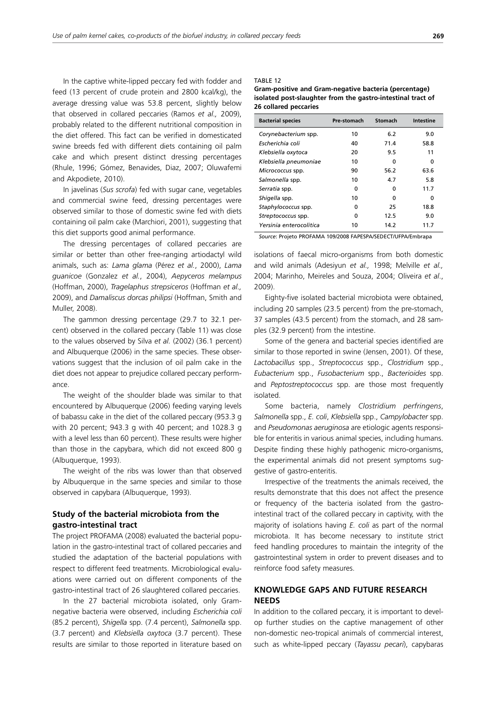In the captive white-lipped peccary fed with fodder and feed (13 percent of crude protein and 2800 kcal/kg), the average dressing value was 53.8 percent, slightly below that observed in collared peccaries (Ramos *et al.,* 2009), probably related to the different nutritional composition in the diet offered. This fact can be verified in domesticated swine breeds fed with different diets containing oil palm cake and which present distinct dressing percentages (Rhule, 1996; Gómez, Benavides, Diaz, 2007; Oluwafemi and Akpodiete, 2010).

In javelinas (*Sus scrofa*) fed with sugar cane, vegetables and commercial swine feed, dressing percentages were observed similar to those of domestic swine fed with diets containing oil palm cake (Marchiori, 2001), suggesting that this diet supports good animal performance.

The dressing percentages of collared peccaries are similar or better than other free-ranging artiodactyl wild animals, such as: *Lama glama* (Pérez *et al.*, 2000), *Lama guanicoe* (Gonzalez *et al.*, 2004), *Aepyceros melampus* (Hoffman, 2000), *Tragelaphus strepsiceros* (Hoffman *et al.,* 2009), and *Damaliscus dorcas philipsi* (Hoffman, Smith and Muller, 2008).

The gammon dressing percentage (29.7 to 32.1 percent) observed in the collared peccary (Table 11) was close to the values observed by Silva *et al.* (2002) (36.1 percent) and Albuquerque (2006) in the same species. These observations suggest that the inclusion of oil palm cake in the diet does not appear to prejudice collared peccary performance.

The weight of the shoulder blade was similar to that encountered by Albuquerque (2006) feeding varying levels of babassu cake in the diet of the collared peccary (953.3 g with 20 percent:  $943.3$  a with 40 percent: and 1028.3  $\alpha$ with a level less than 60 percent). These results were higher than those in the capybara, which did not exceed 800 g (Albuquerque, 1993).

The weight of the ribs was lower than that observed by Albuquerque in the same species and similar to those observed in capybara (Albuquerque, 1993).

## **Study of the bacterial microbiota from the gastro-intestinal tract**

The project PROFAMA (2008) evaluated the bacterial population in the gastro-intestinal tract of collared peccaries and studied the adaptation of the bacterial populations with respect to different feed treatments. Microbiological evaluations were carried out on different components of the gastro-intestinal tract of 26 slaughtered collared peccaries.

In the 27 bacterial microbiota isolated, only Gramnegative bacteria were observed, including *Escherichia coli* (85.2 percent), *Shigella* spp. (7.4 percent), *Salmonella* spp. (3.7 percent) and *Klebsiella oxytoca* (3.7 percent). These results are similar to those reported in literature based on

#### TABLE 12

| Gram-positive and Gram-negative bacteria (percentage)       |
|-------------------------------------------------------------|
| isolated post-slaughter from the gastro-intestinal tract of |
| 26 collared peccaries                                       |

| <b>Bacterial species</b> | Pre-stomach | <b>Stomach</b> | Intestine |
|--------------------------|-------------|----------------|-----------|
| Corynebacterium spp.     | 10          | 6.2            | 9.0       |
| Escherichia coli         | 40          | 71.4           | 58.8      |
| Klebsiella oxytoca       | 20          | 9.5            | 11        |
| Klebsiella pneumoniae    | 10          | U              | 0         |
| Micrococcus spp.         | 90          | 56.2           | 63.6      |
| Salmonella spp.          | 10          | 4.7            | 5.8       |
| Serratia spp.            | 0           | U              | 11.7      |
| Shigella spp.            | 10          | U              | ŋ         |
| Staphylococcus spp.      | 0           | 25             | 18.8      |
| Streptococcus spp.       | 0           | 12.5           | 9.0       |
| Yersinia enterocolitica  | 10          | 14.2           | 11.7      |

*Source*: Projeto PROFAMA 109/2008 FAPESPA/SEDECT/UFPA/Embrapa

isolations of faecal micro-organisms from both domestic and wild animals (Adesiyun *et al.,* 1998; Melville *et al.,* 2004; Marinho, Meireles and Souza, 2004; Oliveira *et al*., 2009).

Eighty-five isolated bacterial microbiota were obtained, including 20 samples (23.5 percent) from the pre-stomach, 37 samples (43.5 percent) from the stomach, and 28 samples (32.9 percent) from the intestine.

Some of the genera and bacterial species identified are similar to those reported in swine (Jensen, 2001). Of these, *Lactobacillus* spp., *Streptococcus* spp., *Clostridium* spp., *Eubacterium* spp., *Fusobacterium* spp., *Bacterioides* spp. and *Peptostreptococcus* spp. are those most frequently isolated.

Some bacteria, namely *Clostridium perfringens*, *Salmonella* spp., *E. coli*, *Klebsiella* spp., *Campylobacter* spp. and *Pseudomonas aeruginosa* are etiologic agents responsible for enteritis in various animal species, including humans. Despite finding these highly pathogenic micro-organisms, the experimental animals did not present symptoms suggestive of gastro-enteritis.

Irrespective of the treatments the animals received, the results demonstrate that this does not affect the presence or frequency of the bacteria isolated from the gastrointestinal tract of the collared peccary in captivity, with the majority of isolations having *E. coli* as part of the normal microbiota. It has become necessary to institute strict feed handling procedures to maintain the integrity of the gastrointestinal system in order to prevent diseases and to reinforce food safety measures.

## **KNOWLEDGE GAPS AND FUTURE RESEARCH NEEDS**

In addition to the collared peccary, it is important to develop further studies on the captive management of other non-domestic neo-tropical animals of commercial interest, such as white-lipped peccary (*Tayassu pecari*), capybaras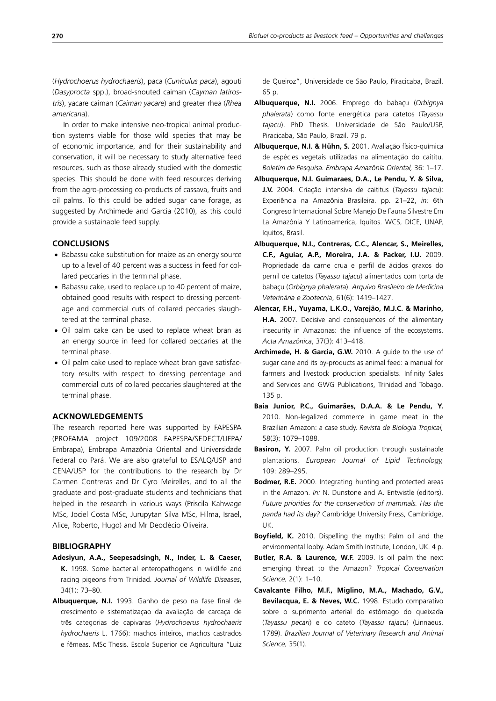(*Hydrochoerus hydrochaeris*), paca (*Cuniculus paca*), agouti (*Dasyprocta* spp.), broad-snouted caiman (*Cayman latirostris*), yacare caiman (*Caiman yacare*) and greater rhea (*Rhea americana*).

In order to make intensive neo-tropical animal production systems viable for those wild species that may be of economic importance, and for their sustainability and conservation, it will be necessary to study alternative feed resources, such as those already studied with the domestic species. This should be done with feed resources deriving from the agro-processing co-products of cassava, fruits and oil palms. To this could be added sugar cane forage, as suggested by Archimede and Garcia (2010), as this could provide a sustainable feed supply.

#### **CONCLUSIONS**

- Babassu cake substitution for maize as an energy source up to a level of 40 percent was a success in feed for collared peccaries in the terminal phase.
- Babassu cake, used to replace up to 40 percent of maize, obtained good results with respect to dressing percentage and commercial cuts of collared peccaries slaughtered at the terminal phase.
- Oil palm cake can be used to replace wheat bran as an energy source in feed for collared peccaries at the terminal phase.
- Oil palm cake used to replace wheat bran gave satisfactory results with respect to dressing percentage and commercial cuts of collared peccaries slaughtered at the terminal phase.

#### **ACKNOWLEDGEMENTS**

The research reported here was supported by FAPESPA (PROFAMA project 109/2008 FAPESPA/SEDECT/UFPA/ Embrapa), Embrapa Amazônia Oriental and Universidade Federal do Pará. We are also grateful to ESALQ/USP and CENA/USP for the contributions to the research by Dr Carmen Contreras and Dr Cyro Meirelles, and to all the graduate and post-graduate students and technicians that helped in the research in various ways (Priscila Kahwage MSc, Jociel Costa MSc, Jurupytan Silva MSc, Hilma, Israel, Alice, Roberto, Hugo) and Mr Deoclécio Oliveira.

#### **BIBLIOGRAPHY**

- **Adesiyun, A.A., Seepesadsingh, N., Inder, L. & Caeser, K.** 1998. Some bacterial enteropathogens in wildlife and racing pigeons from Trinidad. *Journal of Wildlife Diseases*, 34(1): 73–80.
- **Albuquerque, N.I.** 1993. Ganho de peso na fase final de crescimento e sistematizaçao da avaliação de carcaça de três categorias de capivaras (*Hydrochoerus hydrochaeris hydrochaeris* L. 1766): machos inteiros, machos castrados e fêmeas. MSc Thesis. Escola Superior de Agricultura "Luiz

de Queiroz", Universidade de São Paulo, Piracicaba, Brazil. 65 p.

- **Albuquerque, N.I.** 2006. Emprego do babaçu (*Orbignya phalerata*) como fonte energética para catetos (*Tayassu tajacu*). PhD Thesis. Universidade de São Paulo/USP, Piracicaba, São Paulo, Brazil. 79 p.
- **Albuquerque, N.I. & Hühn, S.** 2001. Avaliação físico-química de espécies vegetais utilizadas na alimentação do caititu. *Boletim de Pesquisa. Embrapa Amazônia Oriental,* 36: 1–17.
- **Albuquerque, N.I. Guimaraes, D.A., Le Pendu, Y. & Silva, J.V.** 2004. Criação intensiva de caititus (*Tayassu tajacu*): Experiência na Amazônia Brasileira. pp. 21–22, *in:* 6th Congreso Internacional Sobre Manejo De Fauna Silvestre Em La Amazônia Y Latinoamerica, Iquitos. WCS, DICE, UNAP, Iquitos, Brasil.
- **Albuquerque, N.I., Contreras, C.C., Alencar, S., Meirelles, C.F., Aguiar, A.P., Moreira, J.A. & Packer, I.U.** 2009. Propriedade da carne crua e perfil de ácidos graxos do pernil de catetos (*Tayassu tajacu*) alimentados com torta de babaçu (*Orbignya phalerata*). *Arquivo Brasileiro de Medicina Veterinária e Zootecnia*, 61(6): 1419–1427.
- **Alencar, F.H., Yuyama, L.K.O., Varejão, M.J.C. & Marinho, H.A.** 2007. Decisive and consequences of the alimentary insecurity in Amazonas: the influence of the ecosystems. *Acta Amazônica*, 37(3): 413–418.
- **Archimede, H. & Garcia, G.W.** 2010. A guide to the use of sugar cane and its by-products as animal feed: a manual for farmers and livestock production specialists. Infinity Sales and Services and GWG Publications, Trinidad and Tobago. 135 p.
- **Baia Junior, P.C., Guimarães, D.A.A. & Le Pendu, Y.** 2010. Non-legalized commerce in game meat in the Brazilian Amazon: a case study. *Revista de Biologia Tropical,* 58(3): 1079–1088.
- **Basiron, Y.** 2007. Palm oil production through sustainable plantations. *European Journal of Lipid Technology,*  109: 289–295.
- **Bodmer, R.E.** 2000. Integrating hunting and protected areas in the Amazon. *In:* N. Dunstone and A. Entwistle (editors). *Future priorities for the conservation of mammals. Has the panda had its day?* Cambridge University Press, Cambridge, UK.
- **Boyfield, K.** 2010. Dispelling the myths: Palm oil and the environmental lobby. Adam Smith Institute, London, UK. 4 p.
- **Butler, R.A. & Laurence, W.F.** 2009. Is oil palm the next emerging threat to the Amazon? *Tropical Conservation Science,* 2(1): 1–10.
- **Cavalcante Filho, M.F., Miglino, M.A., Machado, G.V., Bevilacqua, E. & Neves, W.C.** 1998. Estudo comparativo sobre o suprimento arterial do estômago do queixada (*Tayassu pecari*) e do cateto (*Tayassu tajacu*) (Linnaeus, 1789). *Brazilian Journal of Veterinary Research and Animal Science,* 35(1).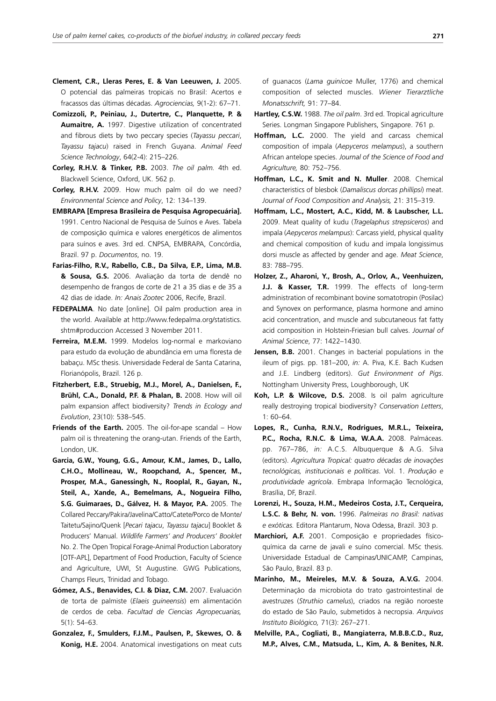- **Clement, C.R., Lleras Peres, E. & Van Leeuwen, J.** 2005. O potencial das palmeiras tropicais no Brasil: Acertos e fracassos das últimas décadas. *Agrociencias,* 9(1-2): 67–71.
- **Comizzoli, P., Peiniau, J., Dutertre, C., Planquette, P. & Aumaitre, A.** 1997. Digestive utilization of concentrated and fibrous diets by two peccary species (*Tayassu peccari*, *Tayassu tajacu*) raised in French Guyana. *Animal Feed Science Technology*, 64(2-4): 215–226.
- **Corley, R.H.V. & Tinker, P.B.** 2003. *The oil palm.* 4th ed. Blackwell Science, Oxford, UK. 562 p.
- **Corley, R.H.V.** 2009. How much palm oil do we need? *Environmental Science and Policy*, 12: 134–139.
- **EMBRAPA [Empresa Brasileira de Pesquisa Agropecuária].**  1991. Centro Nacional de Pesquisa de Suínos e Aves. Tabela de composição química e valores energéticos de alimentos para suínos e aves. 3rd ed. CNPSA, EMBRAPA, Concórdia, Brazil. 97 p. *Documentos*, no. 19.
- **Farias-Filho, R.V., Rabello, C.B., Da Silva, E.P., Lima, M.B. & Sousa, G.S.** 2006. Avaliação da torta de dendê no desempenho de frangos de corte de 21 a 35 dias e de 35 a 42 dias de idade. *In: Anais Zootec* 2006, Recife, Brazil.
- **FEDEPALMA**. No date [online]. Oil palm production area in the world. Available at http://www.fedepalma.org/statistics. shtm#produccion Accessed 3 November 2011.
- **Ferreira, M.E.M.** 1999. Modelos log-normal e markoviano para estudo da evolução de abundância em uma floresta de babaçu. MSc thesis. Universidade Federal de Santa Catarina, Florianópolis, Brazil. 126 p.
- **Fitzherbert, E.B., Struebig, M.J., Morel, A., Danielsen, F., Brühl, C.A., Donald, P.F. & Phalan, B.** 2008. How will oil palm expansion affect biodiversity? *Trends in Ecology and Evolution*, 23(10): 538–545.
- **Friends of the Earth.** 2005. The oil-for-ape scandal How palm oil is threatening the orang-utan. Friends of the Earth, London, UK.
- **Garcia, G.W., Young, G.G., Amour, K.M., James, D., Lallo, C.H.O., Mollineau, W., Roopchand, A., Spencer, M., Prosper, M.A., Ganessingh, N., Rooplal, R., Gayan, N., Steil, A., Xande, A., Bemelmans, A., Nogueira Filho, S.G. Guimaraes, D., Gálvez, H. & Mayor, P.A.** 2005. The Collared Peccary/Pakira/Javelina/Catto/Catete/Porco de Monte/ Taitetu/Sajino/Quenk [*Pecari tajacu*, *Tayassu tajacu*] Booklet & Producers' Manual. *Wildlife Farmers' and Producers' Booklet* No. 2. The Open Tropical Forage-Animal Production Laboratory [OTF-APL], Department of Food Production, Faculty of Science and Agriculture, UWI, St Augustine. GWG Publications, Champs Fleurs, Trinidad and Tobago.
- **Gómez, A.S., Benavides, C.I. & Diaz, C.M.** 2007. Evaluación de torta de palmiste (*Elaeis guineensis*) em alimentación de cerdos de ceba. *Facultad de Ciencias Agropecuarias,*  5(1): 54–63.
- **Gonzalez, F., Smulders, F.J.M., Paulsen, P., Skewes, O. & Konig, H.E.** 2004. Anatomical investigations on meat cuts

of guanacos (*Lama guinicoe* Muller, 1776) and chemical composition of selected muscles. *Wiener Tierarztliche Monatsschrift,* 91: 77–84.

- **Hartley, C.S.W.** 1988. *The oil palm*. 3rd ed. Tropical agriculture Series. Longman Singapore Publishers, Singapore. 761 p.
- **Hoffman, L.C.** 2000. The yield and carcass chemical composition of impala (*Aepyceros melampus*), a southern African antelope species. *Journal of the Science of Food and Agriculture,* 80: 752–756.
- **Hoffman, L.C., K. Smit and N. Muller**. 2008. Chemical characteristics of blesbok (*Damaliscus dorcas phillipsi*) meat. *Journal of Food Composition and Analysis,* 21: 315–319.
- **Hoffmam, L.C., Mostert, A.C., Kidd, M. & Laubscher, L.L.** 2009. Meat quality of kudu (*Tragelaphus strepsiceros*) and impala (*Aepyceros melampus*): Carcass yield, physical quality and chemical composition of kudu and impala longissimus dorsi muscle as affected by gender and age. *Meat Science*, 83: 788–795.
- **Holzer, Z., Aharoni, Y., Brosh, A., Orlov, A., Veenhuizen, J.J. & Kasser, T.R.** 1999. The effects of long-term administration of recombinant bovine somatotropin (Posilac) and Synovex on performance, plasma hormone and amino acid concentration, and muscle and subcutaneous fat fatty acid composition in Holstein-Friesian bull calves. *Journal of Animal Science*, 77: 1422–1430.
- **Jensen, B.B.** 2001. Changes in bacterial populations in the ileum of pigs. pp. 181–200, *in:* A. Piva, K.E. Bach Kudsen and J.E. Lindberg (editors). *Gut Environment of Pigs*. Nottingham University Press, Loughborough, UK
- **Koh, L.P. & Wilcove, D.S.** 2008. Is oil palm agriculture really destroying tropical biodiversity? *Conservation Letters*, 1: 60–64.
- **Lopes, R., Cunha, R.N.V., Rodrigues, M.R.L., Teixeira, P.C., Rocha, R.N.C. & Lima, W.A.A.** 2008. Palmáceas. pp. 767–786, *in:* A.C.S. Albuquerque & A.G. Silva (editors). *Agricultura Tropical: quatro décadas de inovações tecnológicas, institucionais e políticas*. Vol. 1. *Produção e produtividade agrícola*. Embrapa Informação Tecnológica, Brasília, DF, Brazil.
- **Lorenzi, H., Souza, H.M., Medeiros Costa, J.T., Cerqueira, L.S.C. & Behr, N. von.** 1996. *Palmeiras no Brasil: nativas e exóticas.* Editora Plantarum, Nova Odessa, Brazil. 303 p.
- **Marchiori, A.F.** 2001. Composição e propriedades físicoquímica da carne de javali e suíno comercial. MSc thesis. Universidade Estadual de Campinas/UNICAMP, Campinas, São Paulo, Brazil. 83 p.
- **Marinho, M., Meireles, M.V. & Souza, A.V.G.** 2004. Determinação da microbiota do trato gastrointestinal de avestruzes (*Struthio camelus*), criados na região noroeste do estado de São Paulo, submetidos à necropsia. *Arquivos Instituto Biológico,* 71(3): 267–271.
- **Melville, P.A., Cogliati, B., Mangiaterra, M.B.B.C.D., Ruz, M.P., Alves, C.M., Matsuda, L., Kim, A. & Benites, N.R.**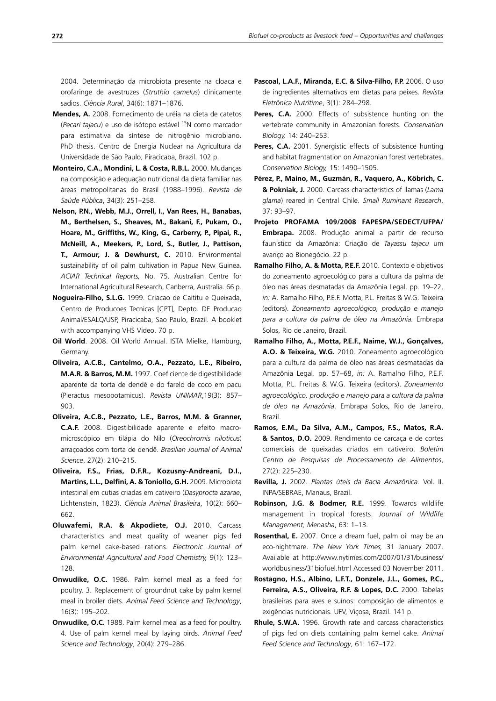2004. Determinação da microbiota presente na cloaca e orofaringe de avestruzes (*Struthio camelus*) clinicamente sadios. *Ciência Rural*, 34(6): 1871–1876.

- **Mendes, A.** 2008. Fornecimento de uréia na dieta de catetos (*Pecari tajacu*) e uso de isótopo estável 15N como marcador para estimativa da síntese de nitrogênio microbiano. PhD thesis. Centro de Energia Nuclear na Agricultura da Universidade de São Paulo, Piracicaba, Brazil. 102 p.
- **Monteiro, C.A., Mondini, L. & Costa, R.B.L.** 2000. Mudanças na composição e adequação nutricional da dieta familiar nas áreas metropolitanas do Brasil (1988–1996). *Revista de Saúde Pública*, 34(3): 251–258.
- **Nelson, P.N., Webb, M.J., Orrell, I., Van Rees, H., Banabas, M., Berthelsen, S., Sheaves, M., Bakani, F., Pukam, O., Hoare, M., Griffiths, W., King, G., Carberry, P., Pipai, R., McNeill, A., Meekers, P., Lord, S., Butler, J., Pattison, T., Armour, J. & Dewhurst, C.** 2010. Environmental sustainability of oil palm cultivation in Papua New Guinea. *ACIAR Technical Reports,* No. 75. Australian Centre for International Agricultural Research, Canberra, Australia. 66 p.
- **Nogueira-Filho, S.L.G.** 1999. Criacao de Caititu e Queixada, Centro de Producoes Tecnicas [CPT], Depto. DE Producao Animal/ESALQ/USP, Piracicaba, Sao Paulo, Brazil. A booklet with accompanying VHS Video. 70 p.
- **Oil World**. 2008. Oil World Annual. ISTA Mielke, Hamburg, Germany.
- **Oliveira, A.C.B., Cantelmo, O.A., Pezzato, L.E., Ribeiro, M.A.R. & Barros, M.M.** 1997. Coeficiente de digestibilidade aparente da torta de dendê e do farelo de coco em pacu (Pieractus mesopotamicus). *Revista UNIMAR*,19(3): 857– 903.
- **Oliveira, A.C.B., Pezzato, L.E., Barros, M.M. & Granner, C.A.F.** 2008. Digestibilidade aparente e efeito macromicroscópico em tilápia do Nilo (*Oreochromis niloticus*) arraçoados com torta de dendê. *Brasilian Journal of Animal Science*, 27(2): 210–215.
- **Oliveira, F.S., Frias, D.F.R., Kozusny-Andreani, D.I., Martins, L.L., Delfini, A. & Toniollo, G.H.** 2009. Microbiota intestinal em cutias criadas em cativeiro (*Dasyprocta azarae*, Lichtenstein, 1823). *Ciência Animal Brasileira*, 10(2): 660– 662.
- **Oluwafemi, R.A. & Akpodiete, O.J.** 2010. Carcass characteristics and meat quality of weaner pigs fed palm kernel cake-based rations. *Electronic Journal of Environmental Agricultural and Food Chemistry,* 9(1): 123– 128.
- **Onwudike, O.C.** 1986. Palm kernel meal as a feed for poultry. 3. Replacement of groundnut cake by palm kernel meal in broiler diets. *Animal Feed Science and Technology*, 16(3): 195–202.
- **Onwudike, O.C.** 1988. Palm kernel meal as a feed for poultry. 4. Use of palm kernel meal by laying birds. *Animal Feed Science and Technology*, 20(4): 279–286.
- **Pascoal, L.A.F., Miranda, E.C. & Silva-Filho, F.P.** 2006. O uso de ingredientes alternativos em dietas para peixes. *Revista Eletrônica Nutritime*, 3(1): 284–298.
- Peres, C.A. 2000. Effects of subsistence hunting on the vertebrate community in Amazonian forests. *Conservation Biology,* 14: 240–253.
- Peres, C.A. 2001. Synergistic effects of subsistence hunting and habitat fragmentation on Amazonian forest vertebrates. *Conservation Biology,* 15: 1490–1505.
- **Pérez, P., Maino, M., Guzmán, R., Vaquero, A., Köbrich, C. & Pokniak, J.** 2000. Carcass characteristics of llamas (*Lama glama*) reared in Central Chile. *Small Ruminant Research*, 37: 93–97.
- **Projeto PROFAMA 109/2008 FAPESPA/SEDECT/UFPA/ Embrapa.** 2008. Produção animal a partir de recurso faunístico da Amazônia: Criação de *Tayassu tajacu* um avanço ao Bionegócio. 22 p.
- **Ramalho Filho, A. & Motta, P.E.F.** 2010. Contexto e objetivos do zoneamento agroecológico para a cultura da palma de óleo nas áreas desmatadas da Amazônia Legal. pp. 19–22, *in:* A. Ramalho Filho, P.E.F. Motta, P.L. Freitas & W.G. Teixeira (editors). *Zoneamento agroecológico, produção e manejo para a cultura da palma de óleo na Amazônia.* Embrapa Solos, Rio de Janeiro, Brazil.
- **Ramalho Filho, A., Motta, P.E.F., Naime, W.J., Gonçalves, A.O. & Teixeira, W.G.** 2010. Zoneamento agroecológico para a cultura da palma de óleo nas áreas desmatadas da Amazônia Legal. pp. 57–68, *in:* A. Ramalho Filho, P.E.F. Motta, P.L. Freitas & W.G. Teixeira (editors). *Zoneamento agroecológico, produção e manejo para a cultura da palma de óleo na Amazônia*. Embrapa Solos, Rio de Janeiro, Brazil.
- **Ramos, E.M., Da Silva, A.M., Campos, F.S., Matos, R.A. & Santos, D.O.** 2009. Rendimento de carcaça e de cortes comerciais de queixadas criados em cativeiro. *Boletim Centro de Pesquisas de Processamento de Alimentos*, 27(2): 225–230.
- **Revilla, J.** 2002. *Plantas úteis da Bacia Amazônica.* Vol. II. INPA/SEBRAE, Manaus, Brazil.
- **Robinson, J.G. & Bodmer, R.E.** 1999. Towards wildlife management in tropical forests. *Journal of Wildlife Management, Menasha*, 63: 1–13.
- **Rosenthal, E.** 2007. Once a dream fuel, palm oil may be an eco-nightmare. *The New York Times,* 31 January 2007. Available at http://www.nytimes.com/2007/01/31/business/ worldbusiness/31biofuel.html Accessed 03 November 2011.
- **Rostagno, H.S., Albino, L.F.T., Donzele, J.L., Gomes, P.C., Ferreira, A.S., Oliveira, R.F. & Lopes, D.C.** 2000. Tabelas brasileiras para aves e suínos: composição de alimentos e exigências nutricionais. UFV, Viçosa, Brazil. 141 p.
- **Rhule, S.W.A.** 1996. Growth rate and carcass characteristics of pigs fed on diets containing palm kernel cake. *Animal Feed Science and Technology*, 61: 167–172.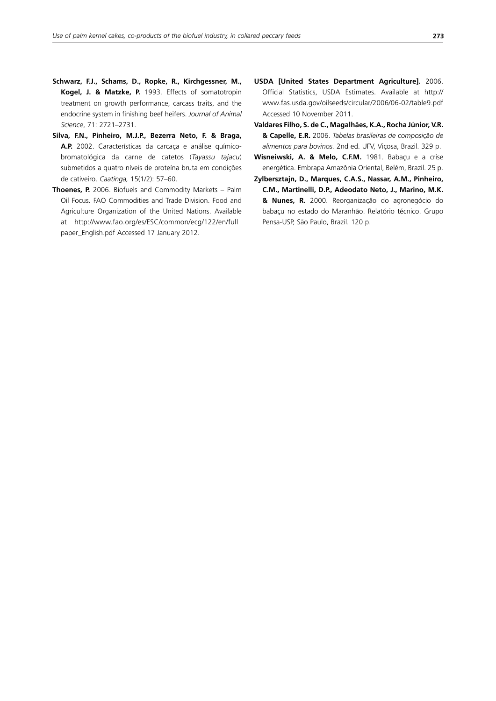- **Schwarz, F.J., Schams, D., Ropke, R., Kirchgessner, M., Kogel, J. & Matzke, P.** 1993. Effects of somatotropin treatment on growth performance, carcass traits, and the endocrine system in finishing beef heifers. *Journal of Animal Science*, 71: 2721–2731.
- **Silva, F.N., Pinheiro, M.J.P., Bezerra Neto, F. & Braga, A.P.** 2002. Características da carcaça e análise químicobromatológica da carne de catetos (*Tayassu tajacu*) submetidos a quatro níveis de proteína bruta em condições de cativeiro. *Caatinga,* 15(1/2): 57–60.
- **Thoenes, P.** 2006. Biofuels and Commodity Markets Palm Oil Focus. FAO Commodities and Trade Division. Food and Agriculture Organization of the United Nations. Available at http://www.fao.org/es/ESC/common/ecg/122/en/full\_ paper\_English.pdf Accessed 17 January 2012.
- **USDA [United States Department Agriculture].** 2006. Official Statistics, USDA Estimates. Available at http:// www.fas.usda.gov/oilseeds/circular/2006/06-02/table9.pdf Accessed 10 November 2011.
- **Valdares Filho, S. de C., Magalhães, K.A., Rocha Júnior, V.R. & Capelle, E.R.** 2006. *Tabelas brasileiras de composição de alimentos para bovinos.* 2nd ed. UFV, Viçosa, Brazil. 329 p.
- **Wisneiwski, A. & Melo, C.F.M.** 1981. Babaçu e a crise energética. Embrapa Amazônia Oriental, Belém, Brazil. 25 p.
- **Zylbersztajn, D., Marques, C.A.S., Nassar, A.M., Pinheiro, C.M., Martinelli, D.P., Adeodato Neto, J., Marino, M.K. & Nunes, R.** 2000. Reorganização do agronegócio do babaçu no estado do Maranhão. Relatório técnico. Grupo Pensa-USP, São Paulo, Brazil. 120 p.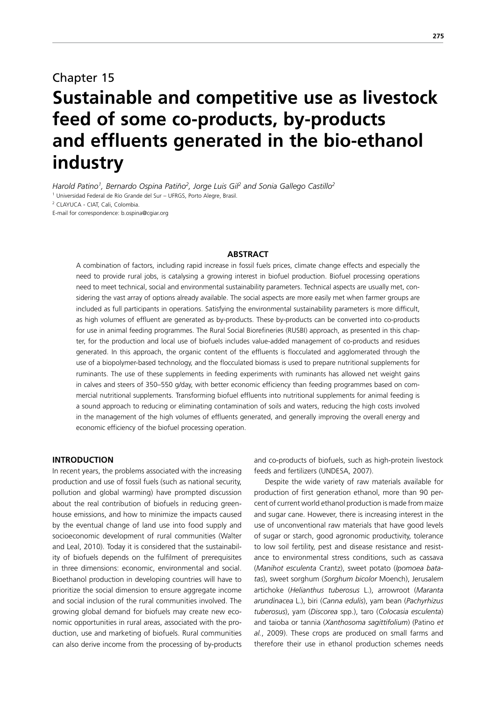## Chapter 15 **Sustainable and competitive use as livestock feed of some co-products, by-products and effluents generated in the bio-ethanol industry**

Harold Patino<sup>1</sup>, Bernardo Ospina Patiño<sup>2</sup>, Jorge Luis Gil<sup>2</sup> and Sonia Gallego Castillo<sup>2</sup>

<sup>1</sup> Universidad Federal de Río Grande del Sur - UFRGS, Porto Alegre, Brasil.

E-mail for correspondence: b.ospina@cgiar.org

#### **ABSTRACT**

A combination of factors, including rapid increase in fossil fuels prices, climate change effects and especially the need to provide rural jobs, is catalysing a growing interest in biofuel production. Biofuel processing operations need to meet technical, social and environmental sustainability parameters. Technical aspects are usually met, considering the vast array of options already available. The social aspects are more easily met when farmer groups are included as full participants in operations. Satisfying the environmental sustainability parameters is more difficult, as high volumes of effluent are generated as by-products. These by-products can be converted into co-products for use in animal feeding programmes. The Rural Social Biorefineries (RUSBI) approach, as presented in this chapter, for the production and local use of biofuels includes value-added management of co-products and residues generated. In this approach, the organic content of the effluents is flocculated and agglomerated through the use of a biopolymer-based technology, and the flocculated biomass is used to prepare nutritional supplements for ruminants. The use of these supplements in feeding experiments with ruminants has allowed net weight gains in calves and steers of 350–550 g/day, with better economic efficiency than feeding programmes based on commercial nutritional supplements. Transforming biofuel effluents into nutritional supplements for animal feeding is a sound approach to reducing or eliminating contamination of soils and waters, reducing the high costs involved in the management of the high volumes of effluents generated, and generally improving the overall energy and economic efficiency of the biofuel processing operation.

### **INTRODUCTION**

In recent years, the problems associated with the increasing production and use of fossil fuels (such as national security, pollution and global warming) have prompted discussion about the real contribution of biofuels in reducing greenhouse emissions, and how to minimize the impacts caused by the eventual change of land use into food supply and socioeconomic development of rural communities (Walter and Leal, 2010). Today it is considered that the sustainability of biofuels depends on the fulfilment of prerequisites in three dimensions: economic, environmental and social. Bioethanol production in developing countries will have to prioritize the social dimension to ensure aggregate income and social inclusion of the rural communities involved. The growing global demand for biofuels may create new economic opportunities in rural areas, associated with the production, use and marketing of biofuels. Rural communities can also derive income from the processing of by-products

and co-products of biofuels, such as high-protein livestock feeds and fertilizers (UNDESA, 2007).

Despite the wide variety of raw materials available for production of first generation ethanol, more than 90 percent of current world ethanol production is made from maize and sugar cane. However, there is increasing interest in the use of unconventional raw materials that have good levels of sugar or starch, good agronomic productivity, tolerance to low soil fertility, pest and disease resistance and resistance to environmental stress conditions, such as cassava (*Manihot esculenta* Crantz), sweet potato (*Ipomoea batatas*), sweet sorghum (*Sorghum bicolor* Moench), Jerusalem artichoke (*Helianthus tuberosus* L.), arrowroot (*Maranta arundinacea* L.), biri (*Canna edulis*), yam bean (*Pachyrhizus tuberosus*), yam (*Discorea* spp.), taro (*Colocasia esculenta*) and taioba or tannia (*Xanthosoma sagittifolium*) (Patino *et al.*, 2009). These crops are produced on small farms and therefore their use in ethanol production schemes needs

<sup>2</sup> CLAYUCA - CIAT, Cali, Colombia.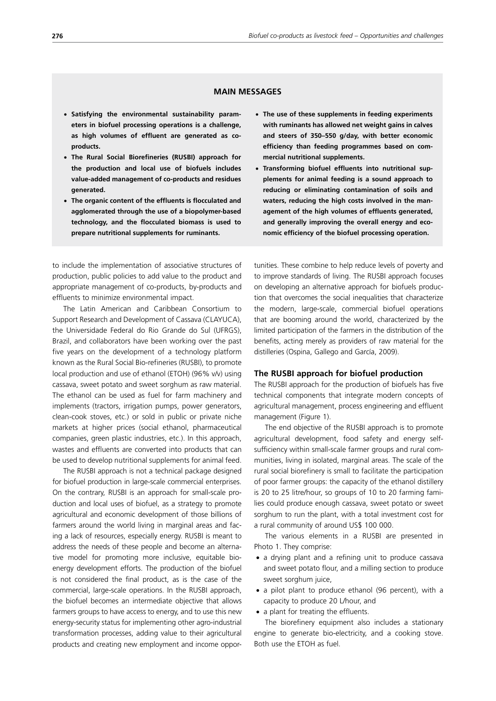## **MAIN MESSAGES**

- x **Satisfying the environmental sustainability parameters in biofuel processing operations is a challenge, as high volumes of effluent are generated as coproducts.**
- x **The Rural Social Biorefineries (RUSBI) approach for the production and local use of biofuels includes value-added management of co-products and residues generated.**
- **The organic content of the effluents is flocculated and agglomerated through the use of a biopolymer-based technology, and the flocculated biomass is used to prepare nutritional supplements for ruminants.**

to include the implementation of associative structures of production, public policies to add value to the product and appropriate management of co-products, by-products and effluents to minimize environmental impact.

The Latin American and Caribbean Consortium to Support Research and Development of Cassava (CLAYUCA), the Universidade Federal do Rio Grande do Sul (UFRGS), Brazil, and collaborators have been working over the past five years on the development of a technology platform known as the Rural Social Bio-refineries (RUSBI), to promote local production and use of ethanol (ETOH) (96% v/v) using cassava, sweet potato and sweet sorghum as raw material. The ethanol can be used as fuel for farm machinery and implements (tractors, irrigation pumps, power generators, clean-cook stoves, etc.) or sold in public or private niche markets at higher prices (social ethanol, pharmaceutical companies, green plastic industries, etc.). In this approach, wastes and effluents are converted into products that can be used to develop nutritional supplements for animal feed.

The RUSBI approach is not a technical package designed for biofuel production in large-scale commercial enterprises. On the contrary, RUSBI is an approach for small-scale production and local uses of biofuel, as a strategy to promote agricultural and economic development of those billions of farmers around the world living in marginal areas and facing a lack of resources, especially energy. RUSBI is meant to address the needs of these people and become an alternative model for promoting more inclusive, equitable bioenergy development efforts. The production of the biofuel is not considered the final product, as is the case of the commercial, large-scale operations. In the RUSBI approach, the biofuel becomes an intermediate objective that allows farmers groups to have access to energy, and to use this new energy-security status for implementing other agro-industrial transformation processes, adding value to their agricultural products and creating new employment and income oppor-

- x **The use of these supplements in feeding experiments with ruminants has allowed net weight gains in calves and steers of 350–550 g/day, with better economic efficiency than feeding programmes based on commercial nutritional supplements.**
- **Transforming biofuel effluents into nutritional supplements for animal feeding is a sound approach to reducing or eliminating contamination of soils and waters, reducing the high costs involved in the management of the high volumes of effluents generated, and generally improving the overall energy and economic efficiency of the biofuel processing operation.**

tunities. These combine to help reduce levels of poverty and to improve standards of living. The RUSBI approach focuses on developing an alternative approach for biofuels production that overcomes the social inequalities that characterize the modern, large-scale, commercial biofuel operations that are booming around the world, characterized by the limited participation of the farmers in the distribution of the benefits, acting merely as providers of raw material for the distilleries (Ospina, Gallego and García, 2009).

#### **The RUSBI approach for biofuel production**

The RUSBI approach for the production of biofuels has five technical components that integrate modern concepts of agricultural management, process engineering and effluent management (Figure 1).

The end objective of the RUSBI approach is to promote agricultural development, food safety and energy selfsufficiency within small-scale farmer groups and rural communities, living in isolated, marginal areas. The scale of the rural social biorefinery is small to facilitate the participation of poor farmer groups: the capacity of the ethanol distillery is 20 to 25 litre/hour, so groups of 10 to 20 farming families could produce enough cassava, sweet potato or sweet sorghum to run the plant, with a total investment cost for a rural community of around US\$ 100 000.

The various elements in a RUSBI are presented in Photo 1. They comprise:

- a drying plant and a refining unit to produce cassava and sweet potato flour, and a milling section to produce sweet sorghum juice,
- a pilot plant to produce ethanol (96 percent), with a capacity to produce 20 L/hour, and
- a plant for treating the effluents.

The biorefinery equipment also includes a stationary engine to generate bio-electricity, and a cooking stove. Both use the ETOH as fuel.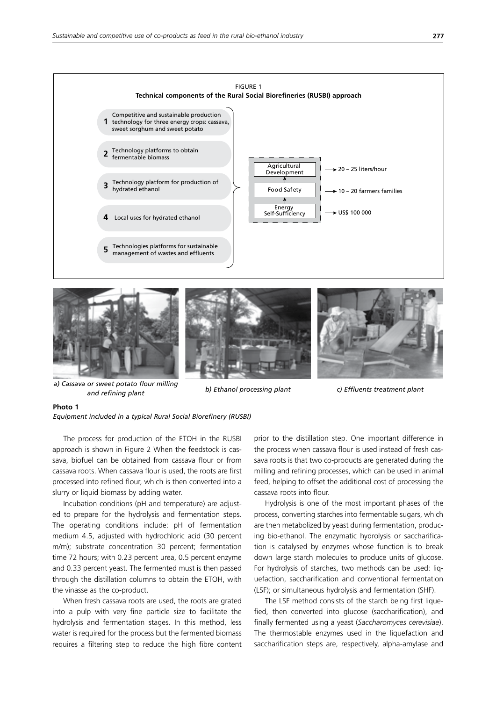



*a) Cassava or sweet potato flour milling and refining plant b) Ethanol processing plant c) Effluents treatment plant*

#### **Photo 1**

*Equipment included in a typical Rural Social Biorefinery (RUSBI)*

The process for production of the ETOH in the RUSBI approach is shown in Figure 2 When the feedstock is cassava, biofuel can be obtained from cassava flour or from cassava roots. When cassava flour is used, the roots are first processed into refined flour, which is then converted into a slurry or liquid biomass by adding water.

Incubation conditions (pH and temperature) are adjusted to prepare for the hydrolysis and fermentation steps. The operating conditions include: pH of fermentation medium 4.5, adjusted with hydrochloric acid (30 percent m/m); substrate concentration 30 percent; fermentation time 72 hours; with 0.23 percent urea, 0.5 percent enzyme and 0.33 percent yeast. The fermented must is then passed through the distillation columns to obtain the ETOH, with the vinasse as the co-product.

When fresh cassava roots are used, the roots are grated into a pulp with very fine particle size to facilitate the hydrolysis and fermentation stages. In this method, less water is required for the process but the fermented biomass requires a filtering step to reduce the high fibre content prior to the distillation step. One important difference in the process when cassava flour is used instead of fresh cassava roots is that two co-products are generated during the milling and refining processes, which can be used in animal feed, helping to offset the additional cost of processing the cassava roots into flour.

Hydrolysis is one of the most important phases of the process, converting starches into fermentable sugars, which are then metabolized by yeast during fermentation, producing bio-ethanol. The enzymatic hydrolysis or saccharification is catalysed by enzymes whose function is to break down large starch molecules to produce units of glucose. For hydrolysis of starches, two methods can be used: liquefaction, saccharification and conventional fermentation (LSF); or simultaneous hydrolysis and fermentation (SHF).

The LSF method consists of the starch being first liquefied, then converted into glucose (saccharification), and finally fermented using a yeast (*Saccharomyces cerevisiae*). The thermostable enzymes used in the liquefaction and saccharification steps are, respectively, alpha-amylase and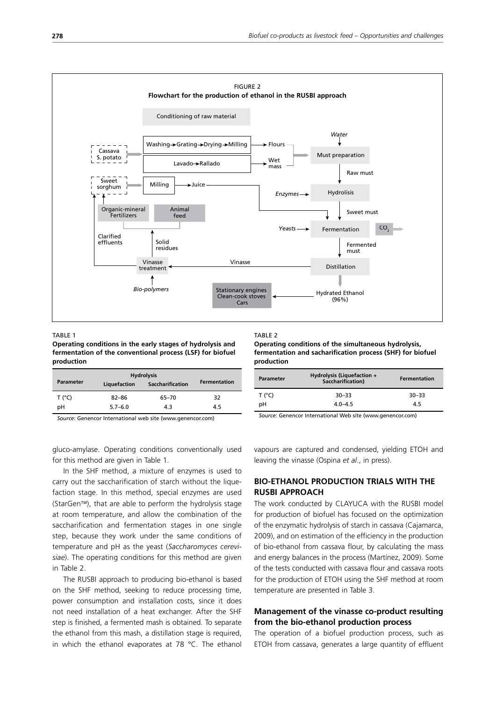

TABLE 1

**Operating conditions in the early stages of hydrolysis and fermentation of the conventional process (LSF) for biofuel production**

| <b>Parameter</b> | Liquefaction | <b>Saccharification</b> | <b>Fermentation</b> |
|------------------|--------------|-------------------------|---------------------|
| T (°C)           | $82 - 86$    | 65-70                   | 32                  |
| pН               | $5.7 - 6.0$  | 4.3                     | 4.5                 |

*Source*: Genencor International web site (www.genencor.com)

gluco-amylase. Operating conditions conventionally used for this method are given in Table 1.

In the SHF method, a mixture of enzymes is used to carry out the saccharification of starch without the liquefaction stage. In this method, special enzymes are used (StarGen™), that are able to perform the hydrolysis stage at room temperature, and allow the combination of the saccharification and fermentation stages in one single step, because they work under the same conditions of temperature and pH as the yeast (*Saccharomyces cerevisiae*). The operating conditions for this method are given in Table 2.

The RUSBI approach to producing bio-ethanol is based on the SHF method, seeking to reduce processing time, power consumption and installation costs, since it does not need installation of a heat exchanger. After the SHF step is finished, a fermented mash is obtained. To separate the ethanol from this mash, a distillation stage is required, in which the ethanol evaporates at 78 °C. The ethanol

#### TARI F<sub>2</sub>

**Operating conditions of the simultaneous hydrolysis, fermentation and sacharification process (SHF) for biofuel production**

| <b>Parameter</b> | <b>Hydrolysis (Liquefaction +</b><br>Saccharification) | Fermentation |
|------------------|--------------------------------------------------------|--------------|
| T (°C)           | $30 - 33$                                              | $30 - 33$    |
| pН               | $4.0 - 4.5$                                            | 4.5          |

*Source*: Genencor International Web site (www.genencor.com)

vapours are captured and condensed, yielding ETOH and leaving the vinasse (Ospina *et al*., in press).

## **BIO-ETHANOL PRODUCTION TRIALS WITH THE RUSBI APPROACH**

The work conducted by CLAYUCA with the RUSBI model for production of biofuel has focused on the optimization of the enzymatic hydrolysis of starch in cassava (Cajamarca, 2009), and on estimation of the efficiency in the production of bio-ethanol from cassava flour, by calculating the mass and energy balances in the process (Martínez, 2009). Some of the tests conducted with cassava flour and cassava roots for the production of ETOH using the SHF method at room temperature are presented in Table 3.

## **Management of the vinasse co-product resulting from the bio-ethanol production process**

The operation of a biofuel production process, such as ETOH from cassava, generates a large quantity of effluent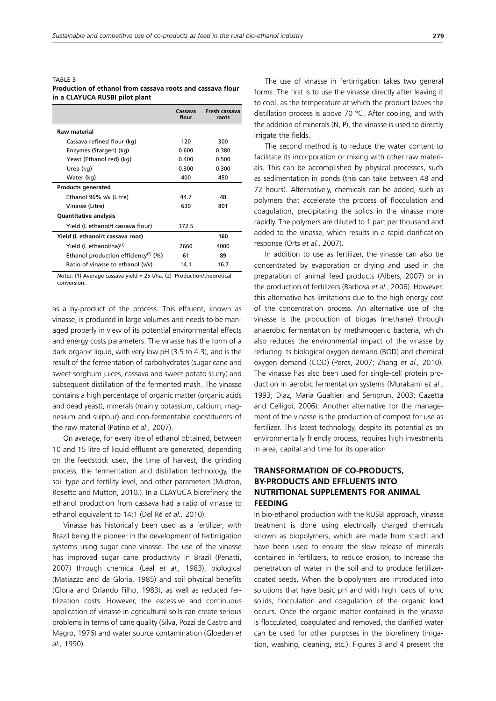#### TABLE 3 **Production of ethanol from cassava roots and cassava flour in a CLAYUCA RUSBI pilot plant**

|                                                  | Cassava<br>flour | Fresh cassava<br>roots |
|--------------------------------------------------|------------------|------------------------|
| <b>Raw material</b>                              |                  |                        |
| Cassava refined flour (kg)                       | 120              | 300                    |
| Enzymes (Stargen) (kg)                           | 0.600            | 0.380                  |
| Yeast (Ethanol red) (kg)                         | 0.400            | 0.500                  |
| Urea (kg)                                        | 0.300            | 0.300                  |
| Water (kg)                                       | 400              | 450                    |
| <b>Products generated</b>                        |                  |                        |
| Ethanol 96% v/v (Litre)                          | 44.7             | 48                     |
| Vinasse (Litre)                                  | 630              | 801                    |
| Quantitative analysis                            |                  |                        |
| Yield (L ethanol/t cassava flour)                | 372.5            |                        |
| Yield (L ethanol/t cassava root)                 |                  | 160                    |
| Yield (L ethanol/ha) <sup>(1)</sup>              | 2660             | 4000                   |
| Ethanol production efficiency <sup>(2)</sup> (%) | 61               | 89                     |
| Ratio of vinasse to ethanol (v/v)                | 14.1             | 16.7                   |

*Notes*: (1) Average cassava yield = 25 t/ha. (2) Production/theoretical conversion.

as a by-product of the process. This effluent, known as vinasse, is produced in large volumes and needs to be managed properly in view of its potential environmental effects and energy costs parameters. The vinasse has the form of a dark organic liquid, with very low pH (3.5 to 4.3), and is the result of the fermentation of carbohydrates (sugar cane and sweet sorghum juices, cassava and sweet potato slurry) and subsequent distillation of the fermented mash. The vinasse contains a high percentage of organic matter (organic acids and dead yeast), minerals (mainly potassium, calcium, magnesium and sulphur) and non-fermentable constituents of the raw material (Patino *et al*., 2007).

On average, for every litre of ethanol obtained, between 10 and 15 litre of liquid effluent are generated, depending on the feedstock used, the time of harvest, the grinding process, the fermentation and distillation technology, the soil type and fertility level, and other parameters (Mutton, Rosetto and Mutton, 2010.). In a CLAYUCA biorefinery, the ethanol production from cassava had a ratio of vinasse to ethanol equivalent to 14:1 (Del Ré *et al.,* 2010).

Vinasse has historically been used as a fertilizer, with Brazil being the pioneer in the development of fertirrigation systems using sugar cane vinasse. The use of the vinasse has improved sugar cane productivity in Brazil (Penatti, 2007) through chemical (Leal *et al.,* 1983), biological (Matiazzo and da Gloria, 1985) and soil physical benefits (Gloria and Orlando Filho, 1983), as well as reduced fertilization costs. However, the excessive and continuous application of vinasse in agricultural soils can create serious problems in terms of cane quality (Silva, Pozzi de Castro and Magro, 1976) and water source contamination (Gloeden *et al.,* 1990).

The use of vinasse in fertirrigation takes two general forms. The first is to use the vinasse directly after leaving it to cool, as the temperature at which the product leaves the distillation process is above 70 °C. After cooling, and with the addition of minerals (N, P), the vinasse is used to directly irrigate the fields.

The second method is to reduce the water content to facilitate its incorporation or mixing with other raw materials. This can be accomplished by physical processes, such as sedimentation in ponds (this can take between 48 and 72 hours). Alternatively, chemicals can be added, such as polymers that accelerate the process of flocculation and coagulation, precipitating the solids in the vinasse more rapidly. The polymers are diluted to 1 part per thousand and added to the vinasse, which results in a rapid clarification response (Orts *et al.*, 2007).

In addition to use as fertilizer, the vinasse can also be concentrated by evaporation or drying and used in the preparation of animal feed products (Albers, 2007) or in the production of fertilizers (Barbosa *et al*., 2006). However, this alternative has limitations due to the high energy cost of the concentration process. An alternative use of the vinasse is the production of biogas (methane) through anaerobic fermentation by methanogenic bacteria, which also reduces the environmental impact of the vinasse by reducing its biological oxygen demand (BOD) and chemical oxygen demand (COD) (Peres, 2007; Zhang *et al.,* 2010). The vinasse has also been used for single-cell protein production in aerobic fermentation systems (Murakami *et al*., 1993; Diaz, Maria Gualtieri and Semprun, 2003; Cazetta and Celligoi, 2006). Another alternative for the management of the vinasse is the production of compost for use as fertilizer. This latest technology, despite its potential as an environmentally friendly process, requires high investments in area, capital and time for its operation.

## **TRANSFORMATION OF CO-PRODUCTS, BY-PRODUCTS AND EFFLUENTS INTO NUTRITIONAL SUPPLEMENTS FOR ANIMAL FEEDING**

In bio-ethanol production with the RUSBI approach, vinasse treatment is done using electrically charged chemicals known as biopolymers, which are made from starch and have been used to ensure the slow release of minerals contained in fertilizers, to reduce erosion, to increase the penetration of water in the soil and to produce fertilizercoated seeds. When the biopolymers are introduced into solutions that have basic pH and with high loads of ionic solids, flocculation and coagulation of the organic load occurs. Once the organic matter contained in the vinasse is flocculated, coagulated and removed, the clarified water can be used for other purposes in the biorefinery (irrigation, washing, cleaning, etc.). Figures 3 and 4 present the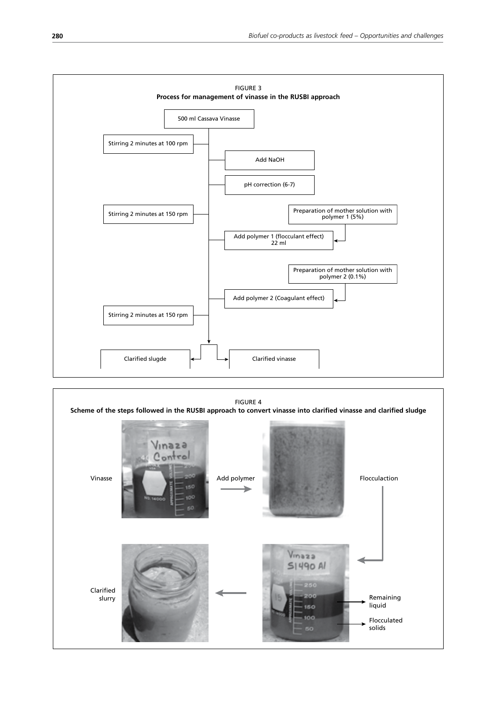

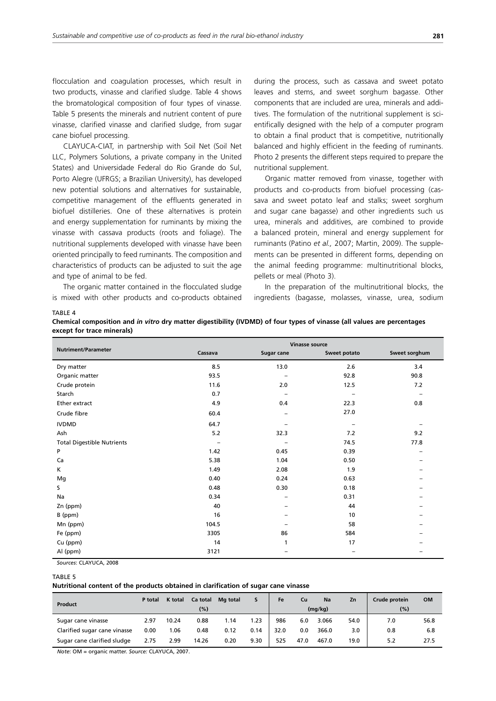flocculation and coagulation processes, which result in two products, vinasse and clarified sludge. Table 4 shows the bromatological composition of four types of vinasse. Table 5 presents the minerals and nutrient content of pure vinasse, clarified vinasse and clarified sludge, from sugar cane biofuel processing.

CLAYUCA-CIAT, in partnership with Soil Net (Soil Net LLC, Polymers Solutions, a private company in the United States) and Universidade Federal do Rio Grande do Sul, Porto Alegre (UFRGS; a Brazilian University), has developed new potential solutions and alternatives for sustainable, competitive management of the effluents generated in biofuel distilleries. One of these alternatives is protein and energy supplementation for ruminants by mixing the vinasse with cassava products (roots and foliage). The nutritional supplements developed with vinasse have been oriented principally to feed ruminants. The composition and characteristics of products can be adjusted to suit the age and type of animal to be fed.

The organic matter contained in the flocculated sludge is mixed with other products and co-products obtained during the process, such as cassava and sweet potato leaves and stems, and sweet sorghum bagasse. Other components that are included are urea, minerals and additives. The formulation of the nutritional supplement is scientifically designed with the help of a computer program to obtain a final product that is competitive, nutritionally balanced and highly efficient in the feeding of ruminants. Photo 2 presents the different steps required to prepare the nutritional supplement.

Organic matter removed from vinasse, together with products and co-products from biofuel processing (cassava and sweet potato leaf and stalks; sweet sorghum and sugar cane bagasse) and other ingredients such us urea, minerals and additives, are combined to provide a balanced protein, mineral and energy supplement for ruminants (Patino *et al.,* 2007; Martin, 2009). The supplements can be presented in different forms, depending on the animal feeding programme: multinutritional blocks, pellets or meal (Photo 3).

In the preparation of the multinutritional blocks, the ingredients (bagasse, molasses, vinasse, urea, sodium

| . . |  |
|-----|--|
|     |  |

|                            |  | Chemical composition and <i>in vitro</i> dry matter digestibility (IVDMD) of four types of vinasse (all values are percentages |
|----------------------------|--|--------------------------------------------------------------------------------------------------------------------------------|
| except for trace minerals) |  |                                                                                                                                |

|                                   | <b>Vinasse source</b> |            |              |               |  |  |  |  |
|-----------------------------------|-----------------------|------------|--------------|---------------|--|--|--|--|
| <b>Nutriment/Parameter</b>        | Cassava               | Sugar cane | Sweet potato | Sweet sorghum |  |  |  |  |
| Dry matter                        | 8.5                   | 13.0       | 2.6          | 3.4           |  |  |  |  |
| Organic matter                    | 93.5                  |            | 92.8         | 90.8          |  |  |  |  |
| Crude protein                     | 11.6                  | 2.0        | 12.5         | 7.2           |  |  |  |  |
| Starch                            | 0.7                   |            |              |               |  |  |  |  |
| Ether extract                     | 4.9                   | 0.4        | 22.3         | 0.8           |  |  |  |  |
| Crude fibre                       | 60.4                  |            | 27.0         |               |  |  |  |  |
| <b>IVDMD</b>                      | 64.7                  |            |              |               |  |  |  |  |
| Ash                               | 5.2                   | 32.3       | 7.2          | 9.2           |  |  |  |  |
| <b>Total Digestible Nutrients</b> | -                     |            | 74.5         | 77.8          |  |  |  |  |
| P                                 | 1.42                  | 0.45       | 0.39         |               |  |  |  |  |
| Ca                                | 5.38                  | 1.04       | 0.50         |               |  |  |  |  |
| K.                                | 1.49                  | 2.08       | 1.9          |               |  |  |  |  |
| Mg                                | 0.40                  | 0.24       | 0.63         |               |  |  |  |  |
| S.                                | 0.48                  | 0.30       | 0.18         |               |  |  |  |  |
| Na                                | 0.34                  | -          | 0.31         |               |  |  |  |  |
| Zn (ppm)                          | 40                    |            | 44           |               |  |  |  |  |
| B (ppm)                           | 16                    |            | 10           |               |  |  |  |  |
| Mn (ppm)                          | 104.5                 |            | 58           |               |  |  |  |  |
| Fe (ppm)                          | 3305                  | 86         | 584          |               |  |  |  |  |
| Cu (ppm)                          | 14                    | 1          | 17           |               |  |  |  |  |
| Al (ppm)                          | 3121                  |            |              |               |  |  |  |  |

*Sources*: CLAYUCA, 2008

#### TABLE 5

**Nutritional content of the products obtained in clarification of sugar cane vinasse**

|                              | P total | K total | Ca total | Mg total |      | Fe   | Cu   | Na      | Zn   | Crude protein | <b>OM</b> |
|------------------------------|---------|---------|----------|----------|------|------|------|---------|------|---------------|-----------|
| Product                      |         |         | (%)      |          |      |      |      | (mg/kg) |      | $(\%)$        |           |
| Sugar cane vinasse           | 2.97    | 10.24   | 0.88     | 1.14     | 1.23 | 986  | 6.0  | 3.066   | 54.0 | 7.0           | 56.8      |
| Clarified sugar cane vinasse | 0.00    | .06     | 0.48     | 0.12     | 0.14 | 32.0 | 0.0  | 366.0   | 3.0  | 0.8           | 6.8       |
| Sugar cane clarified sludge  | 2.75    | 2.99    | 14.26    | 0.20     | 9.30 | 525  | 47.0 | 467.0   | 19.0 | 5.2           | 27.5      |

*Note*: OM = organic matter. *Source:* CLAYUCA, 2007.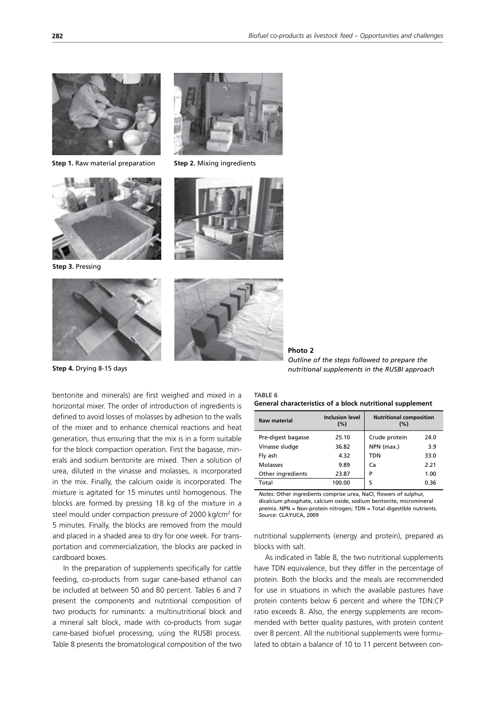

**Step 1.** Raw material preparation



**Step 3.** Pressing





**Step 2.** Mixing ingredients





**Step 4.** Drying 8-15 days

bentonite and minerals) are first weighed and mixed in a horizontal mixer. The order of introduction of ingredients is defined to avoid losses of molasses by adhesion to the walls of the mixer and to enhance chemical reactions and heat generation, thus ensuring that the mix is in a form suitable for the block compaction operation. First the bagasse, minerals and sodium bentonite are mixed. Then a solution of urea, diluted in the vinasse and molasses, is incorporated in the mix. Finally, the calcium oxide is incorporated. The mixture is agitated for 15 minutes until homogenous. The blocks are formed by pressing 18 kg of the mixture in a steel mould under compaction pressure of 2000 kg/cm<sup>2</sup> for 5 minutes. Finally, the blocks are removed from the mould and placed in a shaded area to dry for one week. For transportation and commercialization, the blocks are packed in cardboard boxes.

In the preparation of supplements specifically for cattle feeding, co-products from sugar cane-based ethanol can be included at between 50 and 80 percent. Tables 6 and 7 present the components and nutritional composition of two products for ruminants: a multinutritional block and a mineral salt block, made with co-products from sugar cane-based biofuel processing, using the RUSBI process. Table 8 presents the bromatological composition of the two

| Photo 2                                       |
|-----------------------------------------------|
| Outline of the steps followed to prepare the  |
| nutritional supplements in the RUSBI approach |

| TABLE 6 |                                                           |  |  |
|---------|-----------------------------------------------------------|--|--|
|         | General characteristics of a block nutritional supplement |  |  |

| <b>Raw material</b> | <b>Inclusion level</b><br>(%) | <b>Nutritional composition</b><br>(%) |      |  |
|---------------------|-------------------------------|---------------------------------------|------|--|
| Pre-digest bagasse  | 25.10                         | Crude protein                         | 24.0 |  |
| Vinasse sludge      | 36.82                         | NPN (max.)                            | 3.9  |  |
| Fly ash             | 4.32                          | TDN                                   | 33.0 |  |
| Molasses            | 9.89                          | Ca                                    | 2.21 |  |
| Other ingredients   | 23.87                         | P                                     | 1.00 |  |
| Total               | 100.00                        | S                                     | 0.36 |  |

*Notes*: Other ingredients comprise urea, NaCl, flowers of sulphur, dicalcium phosphate, calcium oxide, sodium bentonite, micromineral premix. NPN = Non-protein nitrogen; TDN = Total digestible nutrients. *Source:* CLAYUCA, 2009

nutritional supplements (energy and protein), prepared as blocks with salt.

As indicated in Table 8, the two nutritional supplements have TDN equivalence, but they differ in the percentage of protein. Both the blocks and the meals are recommended for use in situations in which the available pastures have protein contents below 6 percent and where the TDN:CP ratio exceeds 8. Also, the energy supplements are recommended with better quality pastures, with protein content over 8 percent. All the nutritional supplements were formulated to obtain a balance of 10 to 11 percent between con-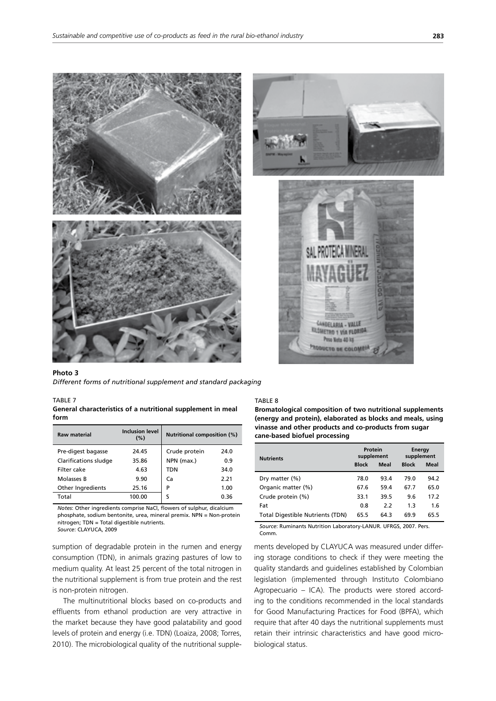

#### **Photo 3**  *Different forms of nutritional supplement and standard packaging*

#### TABLE 7

**General characteristics of a nutritional supplement in meal form**

| <b>Raw material</b>   | <b>Inclusion level</b><br>(%) | <b>Nutritional composition (%)</b> |      |  |
|-----------------------|-------------------------------|------------------------------------|------|--|
| Pre-digest bagasse    | 24.45                         | Crude protein                      | 24.0 |  |
| Clarifications sludge | 35.86                         | NPN (max.)                         | 0.9  |  |
| Filter cake           | 4.63                          | <b>TDN</b>                         | 34.0 |  |
| Molasses B            | 9.90                          | Ca                                 | 2.21 |  |
| Other Ingredients     | 25.16                         | P                                  | 1.00 |  |
| Total                 | 100.00                        | ς                                  | 0.36 |  |

*Notes*: Other ingredients comprise NaCl, flowers of sulphur, dicalcium phosphate, sodium bentonite, urea, mineral premix. NPN = Non-protein nitrogen; TDN = Total digestible nutrients.

*Source*: CLAYUCA, 2009

sumption of degradable protein in the rumen and energy consumption (TDN), in animals grazing pastures of low to medium quality. At least 25 percent of the total nitrogen in the nutritional supplement is from true protein and the rest is non-protein nitrogen.

The multinutritional blocks based on co-products and effluents from ethanol production are very attractive in the market because they have good palatability and good levels of protein and energy (i.e. TDN) (Loaiza, 2008; Torres, 2010). The microbiological quality of the nutritional supple-

#### TABLE 8

**Bromatological composition of two nutritional supplements (energy and protein), elaborated as blocks and meals, using vinasse and other products and co-products from sugar cane-based biofuel processing**

| <b>Nutrients</b>                        | Protein<br>supplement |      | <b>Energy</b><br>supplement |      |  |
|-----------------------------------------|-----------------------|------|-----------------------------|------|--|
|                                         | <b>Block</b>          | Meal | <b>Block</b>                | Meal |  |
| Dry matter (%)                          | 78.0                  | 93.4 | 79.0                        | 94.2 |  |
| Organic matter (%)                      | 67.6                  | 59.4 | 67.7                        | 65.0 |  |
| Crude protein (%)                       | 33.1                  | 39.5 | 9.6                         | 17.2 |  |
| Fat                                     | 0.8                   | 2.2  | 1.3                         | 1.6  |  |
| <b>Total Digestible Nutrients (TDN)</b> | 65.5                  | 64.3 | 69.9                        | 65.5 |  |

*Source*: Ruminants Nutrition Laboratory-LANUR. UFRGS, 2007. Pers. Comm.

ments developed by CLAYUCA was measured under differing storage conditions to check if they were meeting the quality standards and guidelines established by Colombian legislation (implemented through Instituto Colombiano Agropecuario – ICA). The products were stored according to the conditions recommended in the local standards for Good Manufacturing Practices for Food (BPFA), which require that after 40 days the nutritional supplements must retain their intrinsic characteristics and have good microbiological status.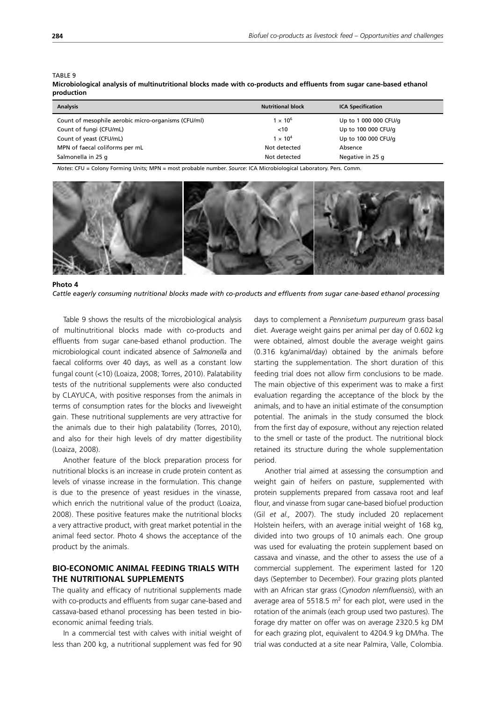#### TABLE 9

**Microbiological analysis of multinutritional blocks made with co-products and effluents from sugar cane-based ethanol production**

| <b>Analysis</b>                                     | <b>Nutritional block</b>   | <b>ICA Specification</b> |
|-----------------------------------------------------|----------------------------|--------------------------|
| Count of mesophile aerobic micro-organisms (CFU/ml) | $\overline{1} \times 10^6$ | Up to 1 000 000 CFU/g    |
| Count of fungi (CFU/mL)                             | < 10                       | Up to 100 000 CFU/g      |
| Count of yeast (CFU/mL)                             | $1 \times 10^{4}$          | Up to 100 000 CFU/g      |
| MPN of faecal coliforms per mL                      | Not detected               | Absence                  |
| Salmonella in 25 g                                  | Not detected               | Negative in 25 g         |

*Notes*: CFU = Colony Forming Units; MPN = most probable number. *Source*: ICA Microbiological Laboratory. Pers. Comm.



**Photo 4**  *Cattle eagerly consuming nutritional blocks made with co-products and effluents from sugar cane-based ethanol processing*

Table 9 shows the results of the microbiological analysis of multinutritional blocks made with co-products and effluents from sugar cane-based ethanol production. The microbiological count indicated absence of *Salmonella* and faecal coliforms over 40 days, as well as a constant low fungal count (<10) (Loaiza, 2008; Torres, 2010). Palatability tests of the nutritional supplements were also conducted by CLAYUCA, with positive responses from the animals in terms of consumption rates for the blocks and liveweight gain. These nutritional supplements are very attractive for the animals due to their high palatability (Torres, 2010), and also for their high levels of dry matter digestibility (Loaiza, 2008).

Another feature of the block preparation process for nutritional blocks is an increase in crude protein content as levels of vinasse increase in the formulation. This change is due to the presence of yeast residues in the vinasse, which enrich the nutritional value of the product (Loaiza, 2008). These positive features make the nutritional blocks a very attractive product, with great market potential in the animal feed sector. Photo 4 shows the acceptance of the product by the animals.

## **BIO-ECONOMIC ANIMAL FEEDING TRIALS WITH THE NUTRITIONAL SUPPLEMENTS**

The quality and efficacy of nutritional supplements made with co-products and effluents from sugar cane-based and cassava-based ethanol processing has been tested in bioeconomic animal feeding trials.

In a commercial test with calves with initial weight of less than 200 kg, a nutritional supplement was fed for 90 days to complement a *Pennisetum purpureum* grass basal diet*.* Average weight gains per animal per day of 0.602 kg were obtained, almost double the average weight gains (0.316 kg/animal/day) obtained by the animals before starting the supplementation. The short duration of this feeding trial does not allow firm conclusions to be made. The main objective of this experiment was to make a first evaluation regarding the acceptance of the block by the animals, and to have an initial estimate of the consumption potential. The animals in the study consumed the block from the first day of exposure, without any rejection related to the smell or taste of the product. The nutritional block retained its structure during the whole supplementation period.

Another trial aimed at assessing the consumption and weight gain of heifers on pasture, supplemented with protein supplements prepared from cassava root and leaf flour, and vinasse from sugar cane-based biofuel production (Gil *et al.,* 2007). The study included 20 replacement Holstein heifers, with an average initial weight of 168 kg, divided into two groups of 10 animals each. One group was used for evaluating the protein supplement based on cassava and vinasse, and the other to assess the use of a commercial supplement. The experiment lasted for 120 days (September to December). Four grazing plots planted with an African star grass (*Cynodon nlemfluensis*), with an average area of 5518.5  $m^2$  for each plot, were used in the rotation of the animals (each group used two pastures). The forage dry matter on offer was on average 2320.5 kg DM for each grazing plot, equivalent to 4204.9 kg DM/ha. The trial was conducted at a site near Palmira, Valle, Colombia.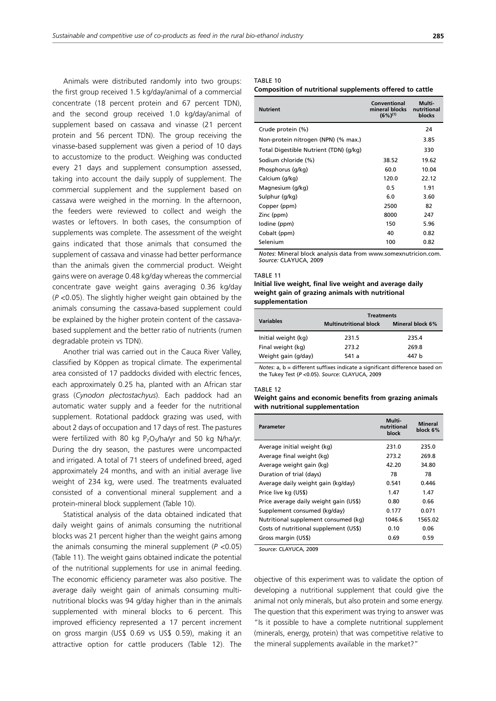Animals were distributed randomly into two groups: the first group received 1.5 kg/day/animal of a commercial concentrate (18 percent protein and 67 percent TDN), and the second group received 1.0 kg/day/animal of supplement based on cassava and vinasse (21 percent protein and 56 percent TDN). The group receiving the vinasse-based supplement was given a period of 10 days to accustomize to the product. Weighing was conducted every 21 days and supplement consumption assessed, taking into account the daily supply of supplement. The commercial supplement and the supplement based on cassava were weighed in the morning. In the afternoon, the feeders were reviewed to collect and weigh the wastes or leftovers. In both cases, the consumption of supplements was complete. The assessment of the weight gains indicated that those animals that consumed the supplement of cassava and vinasse had better performance than the animals given the commercial product. Weight gains were on average 0.48 kg/day whereas the commercial concentrate gave weight gains averaging 0.36 kg/day (*P* <0.05). The slightly higher weight gain obtained by the animals consuming the cassava-based supplement could be explained by the higher protein content of the cassavabased supplement and the better ratio of nutrients (rumen degradable protein vs TDN).

Another trial was carried out in the Cauca River Valley, classified by Köppen as tropical climate. The experimental area consisted of 17 paddocks divided with electric fences, each approximately 0.25 ha, planted with an African star grass (*Cynodon plectostachyus*). Each paddock had an automatic water supply and a feeder for the nutritional supplement. Rotational paddock grazing was used, with about 2 days of occupation and 17 days of rest. The pastures were fertilized with 80 kg P<sub>2</sub>O<sub>5</sub>/ha/yr and 50 kg N/ha/yr. During the dry season, the pastures were uncompacted and irrigated. A total of 71 steers of undefined breed, aged approximately 24 months, and with an initial average live weight of 234 kg, were used. The treatments evaluated consisted of a conventional mineral supplement and a protein-mineral block supplement (Table 10).

Statistical analysis of the data obtained indicated that daily weight gains of animals consuming the nutritional blocks was 21 percent higher than the weight gains among the animals consuming the mineral supplement (*P* <0.05) (Table 11). The weight gains obtained indicate the potential of the nutritional supplements for use in animal feeding. The economic efficiency parameter was also positive. The average daily weight gain of animals consuming multinutritional blocks was 94 g/day higher than in the animals supplemented with mineral blocks to 6 percent. This improved efficiency represented a 17 percent increment on gross margin (US\$ 0.69 vs US\$ 0.59), making it an attractive option for cattle producers (Table 12). The

#### TABLE 10

**Composition of nutritional supplements offered to cattle**

| <b>Nutrient</b>                        | Conventional<br>mineral blocks<br>$(6%)^{(1)}$ | Multi-<br>nutritional<br>blocks |
|----------------------------------------|------------------------------------------------|---------------------------------|
| Crude protein (%)                      |                                                | 24                              |
| Non-protein nitrogen (NPN) (% max.)    |                                                | 3.85                            |
| Total Digestible Nutrient (TDN) (g/kg) |                                                | 330                             |
| Sodium chloride (%)                    | 38.52                                          | 19.62                           |
| Phosphorus (g/kg)                      | 60.0                                           | 10.04                           |
| Calcium (g/kg)                         | 120.0                                          | 22.12                           |
| Magnesium (g/kg)                       | 0.5                                            | 1.91                            |
| Sulphur (g/kg)                         | 6.0                                            | 3.60                            |
| Copper (ppm)                           | 2500                                           | 82                              |
| Zinc (ppm)                             | 8000                                           | 247                             |
| lodine (ppm)                           | 150                                            | 5.96                            |
| Cobalt (ppm)                           | 40                                             | 0.82                            |
| Selenium                               | 100                                            | 0.82                            |

*Notes*: Mineral block analysis data from www.somexnutricion.com. *Source:* CLAYUCA, 2009

#### TABLE 11

#### **Initial live weight, final live weight and average daily weight gain of grazing animals with nutritional supplementation**

|                     | <b>Treatments</b>             |                  |  |  |  |  |
|---------------------|-------------------------------|------------------|--|--|--|--|
| <b>Variables</b>    | <b>Multinutritional block</b> | Mineral block 6% |  |  |  |  |
| Initial weight (kg) | 231.5                         | 235.4            |  |  |  |  |
| Final weight (kg)   | 273.2                         | 269.8            |  |  |  |  |
| Weight gain (g/day) | 541 a                         | 447 h            |  |  |  |  |

*Notes*: a, b = different suffixes indicate a significant difference based on the Tukey Test (*P* <0.05). *Source*: CLAYUCA, 2009

#### TABLE 12

#### **Weight gains and economic benefits from grazing animals with nutritional supplementation**

| Parameter                              | Multi-<br>nutritional<br>block | <b>Mineral</b><br>block 6% |
|----------------------------------------|--------------------------------|----------------------------|
| Average initial weight (kg)            | 231.0                          | 235.0                      |
| Average final weight (kg)              | 273.2                          | 269.8                      |
| Average weight gain (kg)               | 42.20                          | 34.80                      |
| Duration of trial (days)               | 78                             | 78                         |
| Average daily weight gain (kg/day)     | 0.541                          | 0.446                      |
| Price live kg (US\$)                   | 1.47                           | 1.47                       |
| Price average daily weight gain (US\$) | 0.80                           | 0.66                       |
| Supplement consumed (kg/day)           | 0.177                          | 0.071                      |
| Nutritional supplement consumed (kg)   | 1046.6                         | 1565.02                    |
| Costs of nutritional supplement (US\$) | 0.10                           | 0.06                       |
| Gross margin (US\$)                    | 0.69                           | 0.59                       |
|                                        |                                |                            |

*Source*: CLAYUCA, 2009

objective of this experiment was to validate the option of developing a nutritional supplement that could give the animal not only minerals, but also protein and some energy. The question that this experiment was trying to answer was "Is it possible to have a complete nutritional supplement (minerals, energy, protein) that was competitive relative to the mineral supplements available in the market?"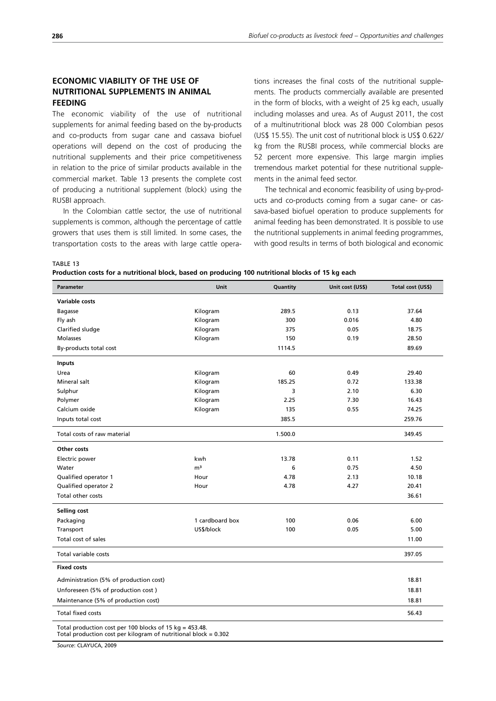## **ECONOMIC VIABILITY OF THE USE OF NUTRITIONAL SUPPLEMENTS IN ANIMAL FEEDING**

The economic viability of the use of nutritional supplements for animal feeding based on the by-products and co-products from sugar cane and cassava biofuel operations will depend on the cost of producing the nutritional supplements and their price competitiveness in relation to the price of similar products available in the commercial market. Table 13 presents the complete cost of producing a nutritional supplement (block) using the RUSBI approach.

In the Colombian cattle sector, the use of nutritional supplements is common, although the percentage of cattle growers that uses them is still limited. In some cases, the transportation costs to the areas with large cattle operations increases the final costs of the nutritional supplements. The products commercially available are presented in the form of blocks, with a weight of 25 kg each, usually including molasses and urea. As of August 2011, the cost of a multinutritional block was 28 000 Colombian pesos (US\$ 15.55). The unit cost of nutritional block is US\$ 0.622/ kg from the RUSBI process, while commercial blocks are 52 percent more expensive. This large margin implies tremendous market potential for these nutritional supplements in the animal feed sector.

The technical and economic feasibility of using by-products and co-products coming from a sugar cane- or cassava-based biofuel operation to produce supplements for animal feeding has been demonstrated. It is possible to use the nutritional supplements in animal feeding programmes, with good results in terms of both biological and economic

TABLE 13

**Production costs for a nutritional block, based on producing 100 nutritional blocks of 15 kg each**

| <b>Parameter</b>                                                                                                              | <b>Unit</b>     | Quantity | Unit cost (US\$) | Total cost (US\$) |
|-------------------------------------------------------------------------------------------------------------------------------|-----------------|----------|------------------|-------------------|
| Variable costs                                                                                                                |                 |          |                  |                   |
| <b>Bagasse</b>                                                                                                                | Kilogram        | 289.5    | 0.13             | 37.64             |
| Fly ash                                                                                                                       | Kilogram        | 300      | 0.016            | 4.80              |
| Clarified sludge                                                                                                              | Kilogram        | 375      | 0.05             | 18.75             |
| <b>Molasses</b>                                                                                                               | Kilogram        | 150      | 0.19             | 28.50             |
| By-products total cost                                                                                                        |                 | 1114.5   |                  | 89.69             |
| <b>Inputs</b>                                                                                                                 |                 |          |                  |                   |
| Urea                                                                                                                          | Kilogram        | 60       | 0.49             | 29.40             |
| Mineral salt                                                                                                                  | Kilogram        | 185.25   | 0.72             | 133.38            |
| Sulphur                                                                                                                       | Kilogram        | 3        | 2.10             | 6.30              |
| Polymer                                                                                                                       | Kilogram        | 2.25     | 7.30             | 16.43             |
| Calcium oxide                                                                                                                 | Kilogram        | 135      | 0.55             | 74.25             |
| Inputs total cost                                                                                                             |                 | 385.5    |                  | 259.76            |
| Total costs of raw material                                                                                                   |                 | 1.500.0  |                  | 349.45            |
| Other costs                                                                                                                   |                 |          |                  |                   |
| Electric power                                                                                                                | kwh             | 13.78    | 0.11             | 1.52              |
| Water                                                                                                                         | m <sup>3</sup>  | 6        | 0.75             | 4.50              |
| Qualified operator 1                                                                                                          | Hour            | 4.78     | 2.13             | 10.18             |
| Qualified operator 2                                                                                                          | Hour            | 4.78     | 4.27             | 20.41             |
| Total other costs                                                                                                             |                 |          |                  | 36.61             |
| Selling cost                                                                                                                  |                 |          |                  |                   |
| Packaging                                                                                                                     | 1 cardboard box | 100      | 0.06             | 6.00              |
| Transport                                                                                                                     | US\$/block      | 100      | 0.05             | 5.00              |
| Total cost of sales                                                                                                           |                 |          |                  | 11.00             |
| Total variable costs                                                                                                          |                 |          |                  | 397.05            |
| <b>Fixed costs</b>                                                                                                            |                 |          |                  |                   |
| Administration (5% of production cost)                                                                                        |                 |          |                  | 18.81             |
| Unforeseen (5% of production cost)                                                                                            |                 |          |                  | 18.81             |
| Maintenance (5% of production cost)                                                                                           |                 |          |                  | 18.81             |
| Total fixed costs                                                                                                             |                 |          |                  | 56.43             |
| Total production cost per 100 blocks of 15 $kg = 453.48$ .<br>Total production cost per kilogram of nutritional block = 0.302 |                 |          |                  |                   |

*Source*: CLAYUCA, 2009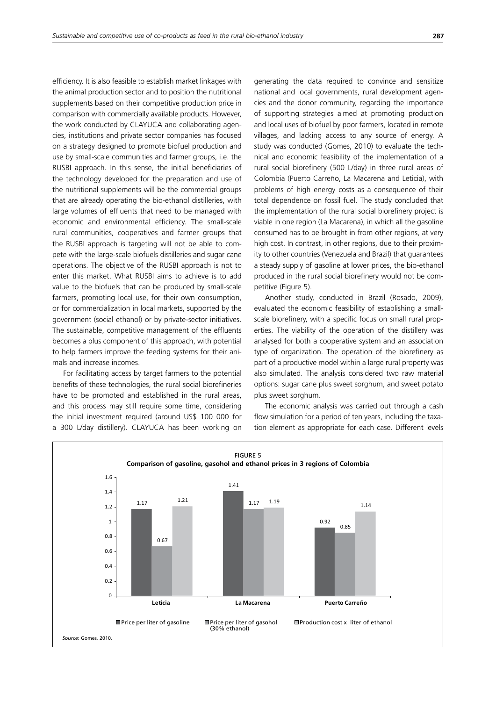efficiency. It is also feasible to establish market linkages with the animal production sector and to position the nutritional supplements based on their competitive production price in comparison with commercially available products. However, the work conducted by CLAYUCA and collaborating agencies, institutions and private sector companies has focused on a strategy designed to promote biofuel production and use by small-scale communities and farmer groups, i.e. the RUSBI approach. In this sense, the initial beneficiaries of the technology developed for the preparation and use of the nutritional supplements will be the commercial groups that are already operating the bio-ethanol distilleries, with large volumes of effluents that need to be managed with economic and environmental efficiency. The small-scale rural communities, cooperatives and farmer groups that the RUSBI approach is targeting will not be able to compete with the large-scale biofuels distilleries and sugar cane operations. The objective of the RUSBI approach is not to enter this market. What RUSBI aims to achieve is to add value to the biofuels that can be produced by small-scale farmers, promoting local use, for their own consumption, or for commercialization in local markets, supported by the government (social ethanol) or by private-sector initiatives. The sustainable, competitive management of the effluents becomes a plus component of this approach, with potential to help farmers improve the feeding systems for their animals and increase incomes.

For facilitating access by target farmers to the potential benefits of these technologies, the rural social biorefineries have to be promoted and established in the rural areas, and this process may still require some time, considering the initial investment required (around US\$ 100 000 for a 300 L/day distillery). CLAYUCA has been working on generating the data required to convince and sensitize national and local governments, rural development agencies and the donor community, regarding the importance of supporting strategies aimed at promoting production and local uses of biofuel by poor farmers, located in remote villages, and lacking access to any source of energy. A study was conducted (Gomes, 2010) to evaluate the technical and economic feasibility of the implementation of a rural social biorefinery (500 L/day) in three rural areas of Colombia (Puerto Carreño, La Macarena and Leticia), with problems of high energy costs as a consequence of their total dependence on fossil fuel. The study concluded that the implementation of the rural social biorefinery project is viable in one region (La Macarena), in which all the gasoline consumed has to be brought in from other regions, at very high cost. In contrast, in other regions, due to their proximity to other countries (Venezuela and Brazil) that guarantees a steady supply of gasoline at lower prices, the bio-ethanol produced in the rural social biorefinery would not be competitive (Figure 5).

Another study, conducted in Brazil (Rosado, 2009), evaluated the economic feasibility of establishing a smallscale biorefinery, with a specific focus on small rural properties. The viability of the operation of the distillery was analysed for both a cooperative system and an association type of organization. The operation of the biorefinery as part of a productive model within a large rural property was also simulated. The analysis considered two raw material options: sugar cane plus sweet sorghum, and sweet potato plus sweet sorghum.

The economic analysis was carried out through a cash flow simulation for a period of ten years, including the taxation element as appropriate for each case. Different levels

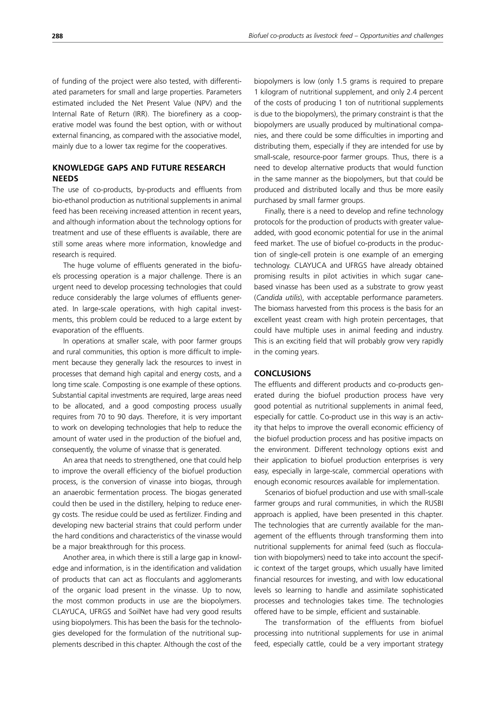of funding of the project were also tested, with differentiated parameters for small and large properties. Parameters estimated included the Net Present Value (NPV) and the Internal Rate of Return (IRR). The biorefinery as a cooperative model was found the best option, with or without external financing, as compared with the associative model, mainly due to a lower tax regime for the cooperatives.

## **KNOWLEDGE GAPS AND FUTURE RESEARCH NEEDS**

The use of co-products, by-products and effluents from bio-ethanol production as nutritional supplements in animal feed has been receiving increased attention in recent years, and although information about the technology options for treatment and use of these effluents is available, there are still some areas where more information, knowledge and research is required.

The huge volume of effluents generated in the biofuels processing operation is a major challenge. There is an urgent need to develop processing technologies that could reduce considerably the large volumes of effluents generated. In large-scale operations, with high capital investments, this problem could be reduced to a large extent by evaporation of the effluents.

In operations at smaller scale, with poor farmer groups and rural communities, this option is more difficult to implement because they generally lack the resources to invest in processes that demand high capital and energy costs, and a long time scale. Composting is one example of these options. Substantial capital investments are required, large areas need to be allocated, and a good composting process usually requires from 70 to 90 days. Therefore, it is very important to work on developing technologies that help to reduce the amount of water used in the production of the biofuel and, consequently, the volume of vinasse that is generated.

An area that needs to strengthened, one that could help to improve the overall efficiency of the biofuel production process, is the conversion of vinasse into biogas, through an anaerobic fermentation process. The biogas generated could then be used in the distillery, helping to reduce energy costs. The residue could be used as fertilizer. Finding and developing new bacterial strains that could perform under the hard conditions and characteristics of the vinasse would be a major breakthrough for this process.

Another area, in which there is still a large gap in knowledge and information, is in the identification and validation of products that can act as flocculants and agglomerants of the organic load present in the vinasse. Up to now, the most common products in use are the biopolymers. CLAYUCA, UFRGS and SoilNet have had very good results using biopolymers. This has been the basis for the technologies developed for the formulation of the nutritional supplements described in this chapter. Although the cost of the biopolymers is low (only 1.5 grams is required to prepare 1 kilogram of nutritional supplement, and only 2.4 percent of the costs of producing 1 ton of nutritional supplements is due to the biopolymers), the primary constraint is that the biopolymers are usually produced by multinational companies, and there could be some difficulties in importing and distributing them, especially if they are intended for use by small-scale, resource-poor farmer groups. Thus, there is a need to develop alternative products that would function in the same manner as the biopolymers, but that could be produced and distributed locally and thus be more easily purchased by small farmer groups.

Finally, there is a need to develop and refine technology protocols for the production of products with greater valueadded, with good economic potential for use in the animal feed market. The use of biofuel co-products in the production of single-cell protein is one example of an emerging technology. CLAYUCA and UFRGS have already obtained promising results in pilot activities in which sugar canebased vinasse has been used as a substrate to grow yeast (*Candida utilis*), with acceptable performance parameters. The biomass harvested from this process is the basis for an excellent yeast cream with high protein percentages, that could have multiple uses in animal feeding and industry. This is an exciting field that will probably grow very rapidly in the coming years.

#### **CONCLUSIONS**

The effluents and different products and co-products generated during the biofuel production process have very good potential as nutritional supplements in animal feed, especially for cattle. Co-product use in this way is an activity that helps to improve the overall economic efficiency of the biofuel production process and has positive impacts on the environment. Different technology options exist and their application to biofuel production enterprises is very easy, especially in large-scale, commercial operations with enough economic resources available for implementation.

Scenarios of biofuel production and use with small-scale farmer groups and rural communities, in which the RUSBI approach is applied, have been presented in this chapter. The technologies that are currently available for the management of the effluents through transforming them into nutritional supplements for animal feed (such as flocculation with biopolymers) need to take into account the specific context of the target groups, which usually have limited financial resources for investing, and with low educational levels so learning to handle and assimilate sophisticated processes and technologies takes time. The technologies offered have to be simple, efficient and sustainable.

The transformation of the effluents from biofuel processing into nutritional supplements for use in animal feed, especially cattle, could be a very important strategy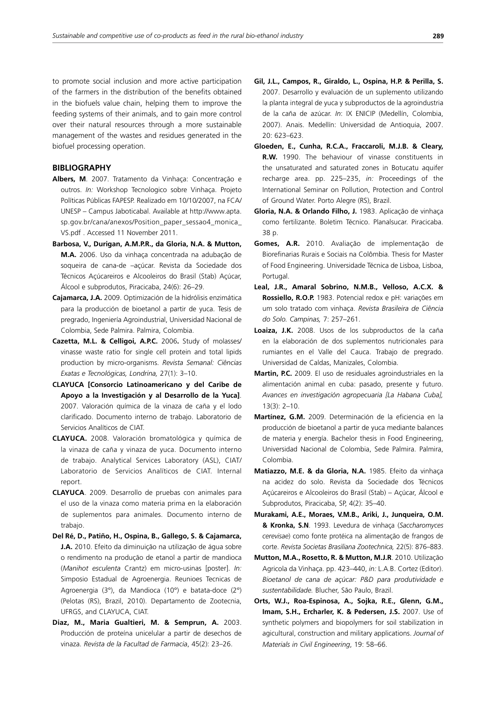to promote social inclusion and more active participation of the farmers in the distribution of the benefits obtained in the biofuels value chain, helping them to improve the feeding systems of their animals, and to gain more control over their natural resources through a more sustainable management of the wastes and residues generated in the biofuel processing operation.

## **BIBLIOGRAPHY**

- **Albers, M**. 2007. Tratamento da Vinhaça: Concentração e outros. *In:* Workshop Tecnologico sobre Vinhaça. Projeto Políticas Públicas FAPESP. Realizado em 10/10/2007, na FCA/ UNESP – Campus Jaboticabal. Available at http://www.apta. sp.gov.br/cana/anexos/Position\_paper\_sessao4\_monica\_ VS.pdf . Accessed 11 November 2011.
- **Barbosa, V., Durigan, A.M.P.R., da Gloria, N.A. & Mutton, M.A.** 2006. Uso da vinhaça concentrada na adubação de soqueira de cana-de –açúcar. Revista da Sociedade dos Técnicos Açúcareiros e Alcooleiros do Brasil (Stab) Açúcar, Álcool e subprodutos, Piracicaba, 24(6): 26–29.
- **Cajamarca, J.A.** 2009. Optimización de la hidrólisis enzimática para la producción de bioetanol a partir de yuca. Tesis de pregrado, Ingeniería Agroindustrial, Universidad Nacional de Colombia, Sede Palmira. Palmira, Colombia.
- **Cazetta, M.L. & Celligoi, A.P.C.** 2006**.** Study of molasses/ vinasse waste ratio for single cell protein and total lipids production by micro-organisms. *Revista Semanal: Ciências Exatas e Tecnológicas, Londrina,* 27(1): 3–10.
- **CLAYUCA [Consorcio Latinoamericano y del Caribe de Apoyo a la Investigación y al Desarrollo de la Yuca]**. 2007. Valoración química de la vinaza de caña y el lodo clarificado. Documento interno de trabajo. Laboratorio de Servicios Analíticos de CIAT.
- **CLAYUCA.** 2008. Valoración bromatológica y química de la vinaza de caña y vinaza de yuca. Documento interno de trabajo. Analytical Services Laboratory (ASL), CIAT/ Laboratorio de Servicios Analíticos de CIAT. Internal report.
- **CLAYUCA**. 2009. Desarrollo de pruebas con animales para el uso de la vinaza como materia prima en la elaboración de suplementos para animales. Documento interno de trabajo.
- **Del Ré, D., Patiño, H., Ospina, B., Gallego, S. & Cajamarca, J.A.** 2010. Efeito da diminuição na utilização de água sobre o rendimento na produção de etanol a partir de mandioca (*Manihot esculenta* Crantz) em micro-usinas [poster]. *In:* Simposio Estadual de Agroenergia. Reunioes Tecnicas de Agroenergia (3°), da Mandioca (10°) e batata-doce (2°) (Pelotas (RS), Brazil, 2010). Departamento de Zootecnia, UFRGS, and CLAYUCA, CIAT.
- **Diaz, M., Maria Gualtieri, M. & Semprun, A.** 2003. Producción de proteína unicelular a partir de desechos de vinaza. *Revista de la Facultad de Farmacia*, 45(2): 23–26.
- **Gil, J.L., Campos, R., Giraldo, L., Ospina, H.P. & Perilla, S.**  2007. Desarrollo y evaluación de un suplemento utilizando la planta integral de yuca y subproductos de la agroindustria de la caña de azúcar. *In*: IX ENICIP (Medellín, Colombia, 2007). Anais. Medellín: Universidad de Antioquia, 2007. 20: 623–623.
- **Gloeden, E., Cunha, R.C.A., Fraccaroli, M.J.B. & Cleary, R.W.** 1990. The behaviour of vinasse constituents in the unsaturated and saturated zones in Botucatu aquifer recharge area. pp. 225–235, *in:* Proceedings of the International Seminar on Pollution, Protection and Control of Ground Water. Porto Alegre (RS), Brazil.
- **Gloria, N.A. & Orlando Filho, J.** 1983. Aplicação de vinhaça como fertilizante. Boletim Técnico. Planalsucar. Piracicaba. 38 p.
- **Gomes, A.R.** 2010. Avaliação de implementação de Biorefinarias Rurais e Sociais na Colômbia. Thesis for Master of Food Engineering. Universidade Técnica de Lisboa, Lisboa, Portugal.
- **Leal, J.R., Amaral Sobrino, N.M.B., Velloso, A.C.X. & Rossiello, R.O.P.** 1983. Potencial redox e pH: variações em um solo tratado com vinhaça. *Revista Brasileira de Ciência do Solo. Campinas,* 7: 257–261.
- **Loaiza, J.K.** 2008. Usos de los subproductos de la caña en la elaboración de dos suplementos nutricionales para rumiantes en el Valle del Cauca. Trabajo de pregrado. Universidad de Caldas, Manizales, Colombia.
- **Martin, P.C.** 2009. El uso de residuales agroindustriales en la alimentación animal en cuba: pasado, presente y futuro. *Avances en investigación agropecuaria [La Habana Cuba],* 13(3): 2–10.
- **Martínez, G.M.** 2009. Determinación de la eficiencia en la producción de bioetanol a partir de yuca mediante balances de materia y energía. Bachelor thesis in Food Engineering, Universidad Nacional de Colombia, Sede Palmira. Palmira, Colombia.
- **Matiazzo, M.E. & da Gloria, N.A.** 1985. Efeito da vinhaça na acidez do solo. Revista da Sociedade dos Técnicos Açúcareiros e Alcooleiros do Brasil (Stab) – Açúcar, Álcool e Subprodutos, Piracicaba, SP, 4(2): 35–40.
- **Murakami, A.E., Moraes, V.M.B., Ariki, J., Junqueira, O.M. & Kronka, S.N**. 1993. Levedura de vinhaça (*Saccharomyces cerevisae*) como fonte protéica na alimentação de frangos de corte. *Revista Societas Brasiliana Zootechnica,* 22(5): 876–883.
- **Mutton, M.A., Rosetto, R. & Mutton, M.J.R**. 2010. Utilização Agricola da Vinhaça. pp. 423–440, *in:* L.A.B. Cortez (Editor). *Bioetanol de cana de açúcar: P&D para produtividade e sustentabilidade.* Blucher, São Paulo, Brazil.
- **Orts, W.J., Roa-Espinosa, A., Sojka, R.E., Glenn, G.M., Imam, S.H., Ercharler, K. & Pedersen, J.S.** 2007. Use of synthetic polymers and biopolymers for soil stabilization in agicultural, construction and military applications. *Journal of Materials in Civil Engineering*, 19: 58–66.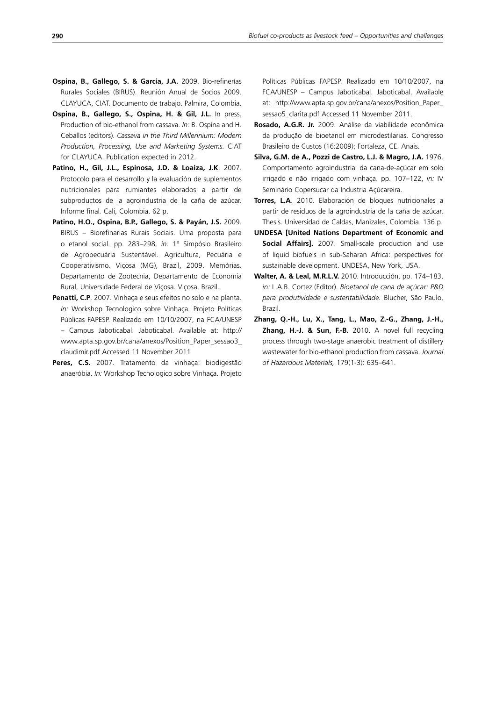- **Ospina, B., Gallego, S. & García, J.A.** 2009. Bio-refinerías Rurales Sociales (BIRUS). Reunión Anual de Socios 2009. CLAYUCA, CIAT. Documento de trabajo. Palmira, Colombia.
- **Ospina, B., Gallego, S., Ospina, H. & Gil, J.L.** In press. Production of bio-ethanol from cassava. *In:* B. Ospina and H. Ceballos (editors). *Cassava in the Third Millennium: Modern Production, Processing, Use and Marketing Systems.* CIAT for CLAYUCA. Publication expected in 2012.
- **Patino, H., Gil, J.L., Espinosa, J.D. & Loaiza, J.K**. 2007. Protocolo para el desarrollo y la evaluación de suplementos nutricionales para rumiantes elaborados a partir de subproductos de la agroindustria de la caña de azúcar. Informe final*.* Cali, Colombia. 62 p.
- **Patino, H.O., Ospina, B.P., Gallego, S. & Payán, J.S.** 2009. BIRUS – Biorefinarias Rurais Sociais. Uma proposta para o etanol social. pp. 283–298, *in:* 1° Simpósio Brasileiro de Agropecuária Sustentável. Agricultura, Pecuária e Cooperativismo. Viçosa (MG), Brazil, 2009. Memórias. Departamento de Zootecnia, Departamento de Economia Rural, Universidade Federal de Viçosa. Viçosa, Brazil.
- **Penatti, C.P**. 2007. Vinhaça e seus efeitos no solo e na planta. *In:* Workshop Tecnologico sobre Vinhaça. Projeto Políticas Públicas FAPESP. Realizado em 10/10/2007, na FCA/UNESP – Campus Jaboticabal. Jaboticabal. Available at: http:// www.apta.sp.gov.br/cana/anexos/Position\_Paper\_sessao3\_ claudimir.pdf Accessed 11 November 2011
- Peres. C.S. 2007. Tratamento da vinhaca: biodigestão anaeróbia. *In:* Workshop Tecnologico sobre Vinhaça. Projeto

Políticas Públicas FAPESP. Realizado em 10/10/2007, na FCA/UNESP – Campus Jaboticabal. Jaboticabal. Available at: http://www.apta.sp.gov.br/cana/anexos/Position\_Paper\_ sessao5\_clarita.pdf Accessed 11 November 2011.

- **Rosado, A.G.R. Jr.** 2009. Análise da viabilidade econômica da produção de bioetanol em microdestilarias. Congresso Brasileiro de Custos (16:2009); Fortaleza, CE. Anais.
- **Silva, G.M. de A., Pozzi de Castro, L.J. & Magro, J.A.** 1976. Comportamento agroindustrial da cana-de-açúcar em solo irrigado e não irrigado com vinhaça. pp. 107–122, *in:* IV Seminário Copersucar da Industria Açúcareira.
- **Torres, L.A**. 2010. Elaboración de bloques nutricionales a partir de residuos de la agroindustria de la caña de azúcar. Thesis. Universidad de Caldas, Manizales, Colombia. 136 p.
- **UNDESA [United Nations Department of Economic and Social Affairs].** 2007. Small-scale production and use of liquid biofuels in sub-Saharan Africa: perspectives for sustainable development. UNDESA, New York, USA.
- **Walter, A. & Leal, M.R.L.V.** 2010. Introducción. pp. 174–183, *in:* L.A.B. Cortez (Editor). *Bioetanol de cana de açúcar: P&D para produtividade e sustentabilidade.* Blucher, São Paulo, Brazil.
- **Zhang, Q.-H., Lu, X., Tang, L., Mao, Z.-G., Zhang, J.-H., Zhang, H.-J. & Sun, F.-B.** 2010. A novel full recycling process through two-stage anaerobic treatment of distillery wastewater for bio-ethanol production from cassava. *Journal of Hazardous Materials,* 179(1-3): 635–641.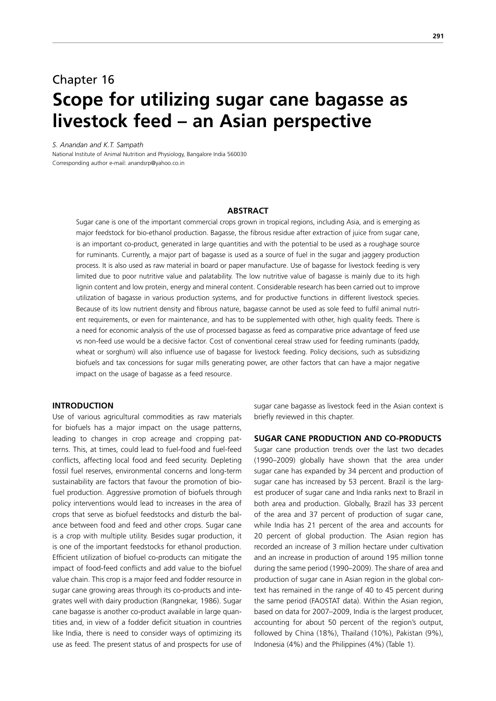## Chapter 16 **Scope for utilizing sugar cane bagasse as livestock feed – an Asian perspective**

*S. Anandan and K.T. Sampath*

National Institute of Animal Nutrition and Physiology, Bangalore India 560030 Corresponding author e-mail: anandsrp@yahoo.co.in

#### **ABSTRACT**

Sugar cane is one of the important commercial crops grown in tropical regions, including Asia, and is emerging as major feedstock for bio-ethanol production. Bagasse, the fibrous residue after extraction of juice from sugar cane, is an important co-product, generated in large quantities and with the potential to be used as a roughage source for ruminants. Currently, a major part of bagasse is used as a source of fuel in the sugar and jaggery production process. It is also used as raw material in board or paper manufacture. Use of bagasse for livestock feeding is very limited due to poor nutritive value and palatability. The low nutritive value of bagasse is mainly due to its high lignin content and low protein, energy and mineral content. Considerable research has been carried out to improve utilization of bagasse in various production systems, and for productive functions in different livestock species. Because of its low nutrient density and fibrous nature, bagasse cannot be used as sole feed to fulfil animal nutrient requirements, or even for maintenance, and has to be supplemented with other, high quality feeds. There is a need for economic analysis of the use of processed bagasse as feed as comparative price advantage of feed use vs non-feed use would be a decisive factor. Cost of conventional cereal straw used for feeding ruminants (paddy, wheat or sorghum) will also influence use of bagasse for livestock feeding. Policy decisions, such as subsidizing biofuels and tax concessions for sugar mills generating power, are other factors that can have a major negative impact on the usage of bagasse as a feed resource.

### **INTRODUCTION**

Use of various agricultural commodities as raw materials for biofuels has a major impact on the usage patterns, leading to changes in crop acreage and cropping patterns. This, at times, could lead to fuel-food and fuel-feed conflicts, affecting local food and feed security. Depleting fossil fuel reserves, environmental concerns and long-term sustainability are factors that favour the promotion of biofuel production. Aggressive promotion of biofuels through policy interventions would lead to increases in the area of crops that serve as biofuel feedstocks and disturb the balance between food and feed and other crops. Sugar cane is a crop with multiple utility. Besides sugar production, it is one of the important feedstocks for ethanol production. Efficient utilization of biofuel co-products can mitigate the impact of food-feed conflicts and add value to the biofuel value chain. This crop is a major feed and fodder resource in sugar cane growing areas through its co-products and integrates well with dairy production (Rangnekar, 1986). Sugar cane bagasse is another co-product available in large quantities and, in view of a fodder deficit situation in countries like India, there is need to consider ways of optimizing its use as feed. The present status of and prospects for use of

sugar cane bagasse as livestock feed in the Asian context is briefly reviewed in this chapter.

#### **SUGAR CANE PRODUCTION AND CO-PRODUCTS**

Sugar cane production trends over the last two decades (1990–2009) globally have shown that the area under sugar cane has expanded by 34 percent and production of sugar cane has increased by 53 percent. Brazil is the largest producer of sugar cane and India ranks next to Brazil in both area and production. Globally, Brazil has 33 percent of the area and 37 percent of production of sugar cane, while India has 21 percent of the area and accounts for 20 percent of global production. The Asian region has recorded an increase of 3 million hectare under cultivation and an increase in production of around 195 million tonne during the same period (1990–2009). The share of area and production of sugar cane in Asian region in the global context has remained in the range of 40 to 45 percent during the same period (FAOSTAT data). Within the Asian region, based on data for 2007–2009, India is the largest producer, accounting for about 50 percent of the region's output, followed by China (18%), Thailand (10%), Pakistan (9%), Indonesia (4%) and the Philippines (4%) (Table 1).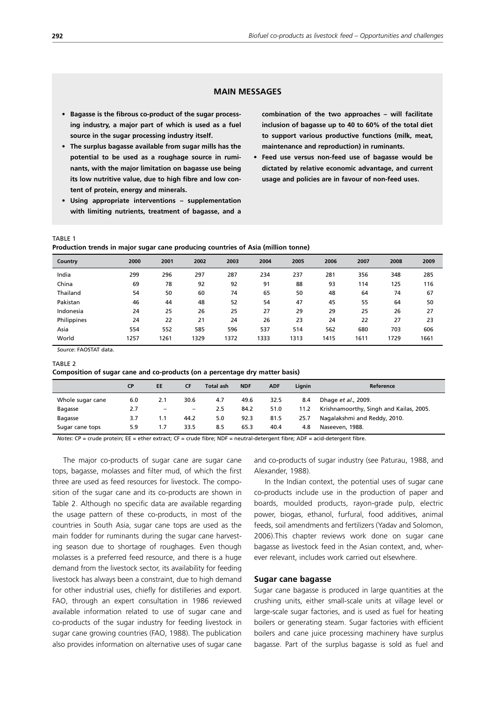## **MAIN MESSAGES**

- **• Bagasse is the fibrous co-product of the sugar processing industry, a major part of which is used as a fuel source in the sugar processing industry itself.**
- **• The surplus bagasse available from sugar mills has the potential to be used as a roughage source in ruminants, with the major limitation on bagasse use being its low nutritive value, due to high fibre and low content of protein, energy and minerals.**
- **• Using appropriate interventions supplementation with limiting nutrients, treatment of bagasse, and a**

**combination of the two approaches – will facilitate inclusion of bagasse up to 40 to 60% of the total diet to support various productive functions (milk, meat, maintenance and reproduction) in ruminants.**

**• Feed use versus non-feed use of bagasse would be dictated by relative economic advantage, and current usage and policies are in favour of non-feed uses.**

#### TABLE 1

**Production trends in major sugar cane producing countries of Asia (million tonne)**

| Country     | 2000 | 2001 | 2002 | 2003 | 2004 | 2005 | 2006 | 2007 | 2008 | 2009 |
|-------------|------|------|------|------|------|------|------|------|------|------|
| India       | 299  | 296  | 297  | 287  | 234  | 237  | 281  | 356  | 348  | 285  |
| China       | 69   | 78   | 92   | 92   | 91   | 88   | 93   | 114  | 125  | 116  |
| Thailand    | 54   | 50   | 60   | 74   | 65   | 50   | 48   | 64   | 74   | 67   |
| Pakistan    | 46   | 44   | 48   | 52   | 54   | 47   | 45   | 55   | 64   | 50   |
| Indonesia   | 24   | 25   | 26   | 25   | 27   | 29   | 29   | 25   | 26   | 27   |
| Philippines | 24   | 22   | 21   | 24   | 26   | 23   | 24   | 22   | 27   | 23   |
| Asia        | 554  | 552  | 585  | 596  | 537  | 514  | 562  | 680  | 703  | 606  |
| World       | 1257 | 1261 | 1329 | 1372 | 1333 | 1313 | 1415 | 1611 | 1729 | 1661 |

*Source*: FAOSTAT data.

#### TABLE 2

**Composition of sugar cane and co-products (on a percentage dry matter basis)**

|                  | СP  | EE                | <b>CF</b>         | <b>Total ash</b> | <b>NDF</b> | <b>ADF</b> | Lignin | Reference                               |
|------------------|-----|-------------------|-------------------|------------------|------------|------------|--------|-----------------------------------------|
| Whole sugar cane | 6.0 | 2.1               | 30.6              | 4.7              | 49.6       | 32.5       | 8.4    | Dhage et al., 2009.                     |
| Bagasse          | 2.7 | $\qquad \qquad -$ | $\qquad \qquad -$ | 2.5              | 84.2       | 51.0       | 11.2   | Krishnamoorthy, Singh and Kailas, 2005. |
| Bagasse          | 3.7 | 1.1               | 44.2              | 5.0              | 92.3       | 81.5       | 25.7   | Nagalakshmi and Reddy, 2010.            |
| Sugar cane tops  | 5.9 | 1.7               | 33.5              | 8.5              | 65.3       | 40.4       | 4.8    | Naseeven, 1988.                         |

*Notes*: CP = crude protein; EE = ether extract; CF = crude fibre; NDF = neutral-detergent fibre; ADF = acid-detergent fibre.

The major co-products of sugar cane are sugar cane tops, bagasse, molasses and filter mud, of which the first three are used as feed resources for livestock. The composition of the sugar cane and its co-products are shown in Table 2. Although no specific data are available regarding the usage pattern of these co-products, in most of the countries in South Asia, sugar cane tops are used as the main fodder for ruminants during the sugar cane harvesting season due to shortage of roughages. Even though molasses is a preferred feed resource, and there is a huge demand from the livestock sector, its availability for feeding livestock has always been a constraint, due to high demand for other industrial uses, chiefly for distilleries and export. FAO, through an expert consultation in 1986 reviewed available information related to use of sugar cane and co-products of the sugar industry for feeding livestock in sugar cane growing countries (FAO, 1988). The publication also provides information on alternative uses of sugar cane

and co-products of sugar industry (see Paturau, 1988, and Alexander, 1988).

In the Indian context, the potential uses of sugar cane co-products include use in the production of paper and boards, moulded products, rayon-grade pulp, electric power, biogas, ethanol, furfural, food additives, animal feeds, soil amendments and fertilizers (Yadav and Solomon, 2006).This chapter reviews work done on sugar cane bagasse as livestock feed in the Asian context, and, wherever relevant, includes work carried out elsewhere.

#### **Sugar cane bagasse**

Sugar cane bagasse is produced in large quantities at the crushing units, either small-scale units at village level or large-scale sugar factories, and is used as fuel for heating boilers or generating steam. Sugar factories with efficient boilers and cane juice processing machinery have surplus bagasse. Part of the surplus bagasse is sold as fuel and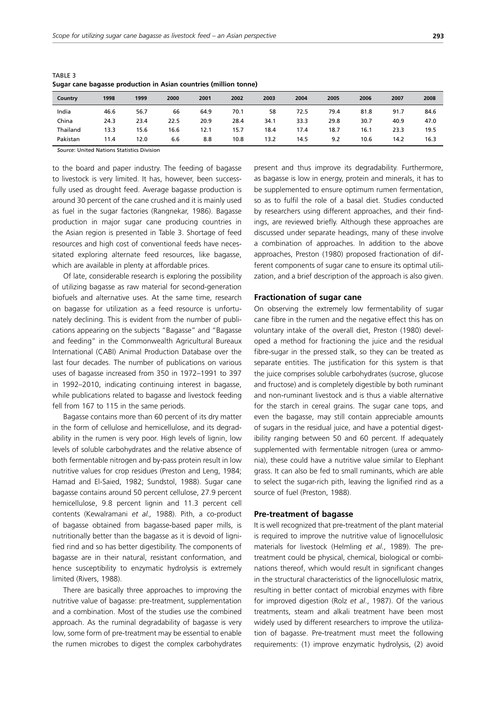| ۰, |         | ٠ |
|----|---------|---|
|    | ۰,<br>× | ł |

| Country  | 1998 | 1999 | 2000 | 2001 | 2002 | 2003 | 2004 | 2005 | 2006 | 2007 | 2008 |
|----------|------|------|------|------|------|------|------|------|------|------|------|
| India    | 46.6 | 56.7 | 66   | 64.9 | 70.1 | 58   | 72.5 | 79.4 | 81.8 | 91.7 | 84.6 |
| China    | 24.3 | 23.4 | 22.5 | 20.9 | 28.4 | 34.1 | 33.3 | 29.8 | 30.7 | 40.9 | 47.0 |
| Thailand | 13.3 | 15.6 | 16.6 | 12.1 | 15.7 | 18.4 | 17.4 | 18.7 | 16.1 | 23.3 | 19.5 |
| Pakistan | 11.4 | 12.0 | 6.6  | 8.8  | 10.8 | 13.2 | 14.5 | 9.2  | 10.6 | 14.2 | 16.3 |

TABLE 3 **Sugar cane bagasse production in Asian countries (million tonne)**

*Source*: United Nations Statistics Division

to the board and paper industry. The feeding of bagasse to livestock is very limited. It has, however, been successfully used as drought feed. Average bagasse production is around 30 percent of the cane crushed and it is mainly used as fuel in the sugar factories (Rangnekar, 1986). Bagasse production in major sugar cane producing countries in the Asian region is presented in Table 3. Shortage of feed resources and high cost of conventional feeds have necessitated exploring alternate feed resources, like bagasse, which are available in plenty at affordable prices.

Of late, considerable research is exploring the possibility of utilizing bagasse as raw material for second-generation biofuels and alternative uses. At the same time, research on bagasse for utilization as a feed resource is unfortunately declining. This is evident from the number of publications appearing on the subjects "Bagasse" and "Bagasse and feeding" in the Commonwealth Agricultural Bureaux International (CABI) Animal Production Database over the last four decades. The number of publications on various uses of bagasse increased from 350 in 1972–1991 to 397 in 1992–2010, indicating continuing interest in bagasse, while publications related to bagasse and livestock feeding fell from 167 to 115 in the same periods.

Bagasse contains more than 60 percent of its dry matter in the form of cellulose and hemicellulose, and its degradability in the rumen is very poor. High levels of lignin, low levels of soluble carbohydrates and the relative absence of both fermentable nitrogen and by-pass protein result in low nutritive values for crop residues (Preston and Leng, 1984; Hamad and El-Saied, 1982; Sundstol, 1988). Sugar cane bagasse contains around 50 percent cellulose, 27.9 percent hemicellulose, 9.8 percent lignin and 11.3 percent cell contents (Kewalramani *et al.,* 1988). Pith, a co-product of bagasse obtained from bagasse-based paper mills, is nutritionally better than the bagasse as it is devoid of lignified rind and so has better digestibility. The components of bagasse are in their natural, resistant conformation, and hence susceptibility to enzymatic hydrolysis is extremely limited (Rivers, 1988).

There are basically three approaches to improving the nutritive value of bagasse: pre-treatment, supplementation and a combination. Most of the studies use the combined approach. As the ruminal degradability of bagasse is very low, some form of pre-treatment may be essential to enable the rumen microbes to digest the complex carbohydrates present and thus improve its degradability. Furthermore, as bagasse is low in energy, protein and minerals, it has to be supplemented to ensure optimum rumen fermentation, so as to fulfil the role of a basal diet. Studies conducted by researchers using different approaches, and their findings, are reviewed briefly. Although these approaches are discussed under separate headings, many of these involve a combination of approaches. In addition to the above approaches, Preston (1980) proposed fractionation of different components of sugar cane to ensure its optimal utilization, and a brief description of the approach is also given.

#### **Fractionation of sugar cane**

On observing the extremely low fermentability of sugar cane fibre in the rumen and the negative effect this has on voluntary intake of the overall diet, Preston (1980) developed a method for fractioning the juice and the residual fibre-sugar in the pressed stalk, so they can be treated as separate entities. The justification for this system is that the juice comprises soluble carbohydrates (sucrose, glucose and fructose) and is completely digestible by both ruminant and non-ruminant livestock and is thus a viable alternative for the starch in cereal grains. The sugar cane tops, and even the bagasse, may still contain appreciable amounts of sugars in the residual juice, and have a potential digestibility ranging between 50 and 60 percent. If adequately supplemented with fermentable nitrogen (urea or ammonia), these could have a nutritive value similar to Elephant grass. It can also be fed to small ruminants, which are able to select the sugar-rich pith, leaving the lignified rind as a source of fuel (Preston, 1988).

#### **Pre-treatment of bagasse**

It is well recognized that pre-treatment of the plant material is required to improve the nutritive value of lignocellulosic materials for livestock (Helmling *et al*., 1989). The pretreatment could be physical, chemical, biological or combinations thereof, which would result in significant changes in the structural characteristics of the lignocellulosic matrix, resulting in better contact of microbial enzymes with fibre for improved digestion (Rolz *et al*., 1987). Of the various treatments, steam and alkali treatment have been most widely used by different researchers to improve the utilization of bagasse. Pre-treatment must meet the following requirements: (1) improve enzymatic hydrolysis, (2) avoid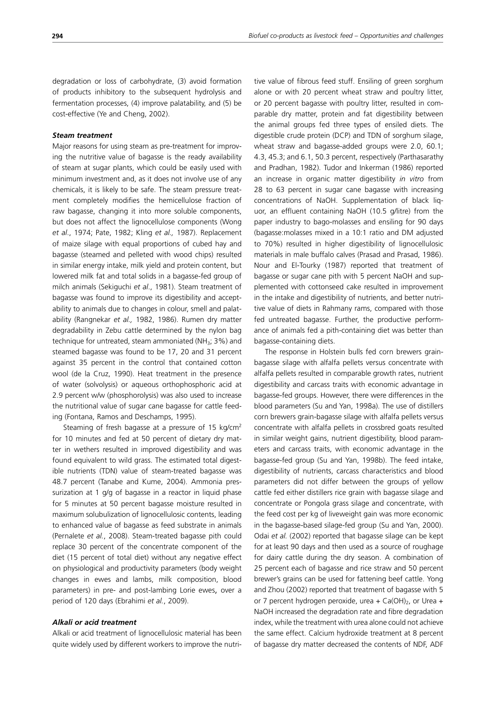degradation or loss of carbohydrate, (3) avoid formation of products inhibitory to the subsequent hydrolysis and fermentation processes, (4) improve palatability, and (5) be cost-effective (Ye and Cheng, 2002).

#### *Steam treatment*

Major reasons for using steam as pre-treatment for improving the nutritive value of bagasse is the ready availability of steam at sugar plants, which could be easily used with minimum investment and, as it does not involve use of any chemicals, it is likely to be safe. The steam pressure treatment completely modifies the hemicellulose fraction of raw bagasse, changing it into more soluble components, but does not affect the lignocellulose components (Wong *et al*., 1974; Pate, 1982; Kling *et al.,* 1987). Replacement of maize silage with equal proportions of cubed hay and bagasse (steamed and pelleted with wood chips) resulted in similar energy intake, milk yield and protein content, but lowered milk fat and total solids in a bagasse-fed group of milch animals (Sekiguchi *et al*., 1981). Steam treatment of bagasse was found to improve its digestibility and acceptability to animals due to changes in colour, smell and palatability (Rangnekar *et al.,* 1982, 1986). Rumen dry matter degradability in Zebu cattle determined by the nylon bag technique for untreated, steam ammoniated (NH<sub>3</sub>; 3%) and steamed bagasse was found to be 17, 20 and 31 percent against 35 percent in the control that contained cotton wool (de la Cruz, 1990). Heat treatment in the presence of water (solvolysis) or aqueous orthophosphoric acid at 2.9 percent w/w (phosphorolysis) was also used to increase the nutritional value of sugar cane bagasse for cattle feeding (Fontana, Ramos and Deschamps, 1995).

Steaming of fresh bagasse at a pressure of 15 kg/cm<sup>2</sup> for 10 minutes and fed at 50 percent of dietary dry matter in wethers resulted in improved digestibility and was found equivalent to wild grass. The estimated total digestible nutrients (TDN) value of steam-treated bagasse was 48.7 percent (Tanabe and Kume, 2004). Ammonia pressurization at 1 g/g of bagasse in a reactor in liquid phase for 5 minutes at 50 percent bagasse moisture resulted in maximum solubulization of lignocellulosic contents, leading to enhanced value of bagasse as feed substrate in animals (Pernalete *et al.*, 2008). Steam-treated bagasse pith could replace 30 percent of the concentrate component of the diet (15 percent of total diet) without any negative effect on physiological and productivity parameters (body weight changes in ewes and lambs, milk composition, blood parameters) in pre- and post-lambing Lorie ewes, over a period of 120 days (Ebrahimi *et al.*, 2009).

#### *Alkali or acid treatment*

Alkali or acid treatment of lignocellulosic material has been quite widely used by different workers to improve the nutritive value of fibrous feed stuff. Ensiling of green sorghum alone or with 20 percent wheat straw and poultry litter, or 20 percent bagasse with poultry litter, resulted in comparable dry matter, protein and fat digestibility between the animal groups fed three types of ensiled diets. The digestible crude protein (DCP) and TDN of sorghum silage, wheat straw and bagasse-added groups were 2.0, 60.1; 4.3, 45.3; and 6.1, 50.3 percent, respectively (Parthasarathy and Pradhan, 1982). Tudor and Inkerman (1986) reported an increase in organic matter digestibility *in vitro* from 28 to 63 percent in sugar cane bagasse with increasing concentrations of NaOH. Supplementation of black liquor, an effluent containing NaOH (10.5 g/litre) from the paper industry to bago-molasses and ensiling for 90 days (bagasse:molasses mixed in a 10:1 ratio and DM adjusted to 70%) resulted in higher digestibility of lignocellulosic materials in male buffalo calves (Prasad and Prasad, 1986). Nour and El-Tourky (1987) reported that treatment of bagasse or sugar cane pith with 5 percent NaOH and supplemented with cottonseed cake resulted in improvement in the intake and digestibility of nutrients, and better nutritive value of diets in Rahmany rams, compared with those fed untreated bagasse. Further, the productive performance of animals fed a pith-containing diet was better than bagasse-containing diets.

The response in Holstein bulls fed corn brewers grainbagasse silage with alfalfa pellets versus concentrate with alfalfa pellets resulted in comparable growth rates, nutrient digestibility and carcass traits with economic advantage in bagasse-fed groups. However, there were differences in the blood parameters (Su and Yan, 1998a). The use of distillers corn brewers grain-bagasse silage with alfalfa pellets versus concentrate with alfalfa pellets in crossbred goats resulted in similar weight gains, nutrient digestibility, blood parameters and carcass traits, with economic advantage in the bagasse-fed group (Su and Yan, 1998b). The feed intake, digestibility of nutrients, carcass characteristics and blood parameters did not differ between the groups of yellow cattle fed either distillers rice grain with bagasse silage and concentrate or Pongola grass silage and concentrate, with the feed cost per kg of liveweight gain was more economic in the bagasse-based silage-fed group (Su and Yan, 2000). Odai *et al.* (2002) reported that bagasse silage can be kept for at least 90 days and then used as a source of roughage for dairy cattle during the dry season. A combination of 25 percent each of bagasse and rice straw and 50 percent brewer's grains can be used for fattening beef cattle. Yong and Zhou (2002) reported that treatment of bagasse with 5 or 7 percent hydrogen peroxide, urea + Ca(OH) $_2$ , or Urea + NaOH increased the degradation rate and fibre degradation index, while the treatment with urea alone could not achieve the same effect. Calcium hydroxide treatment at 8 percent of bagasse dry matter decreased the contents of NDF, ADF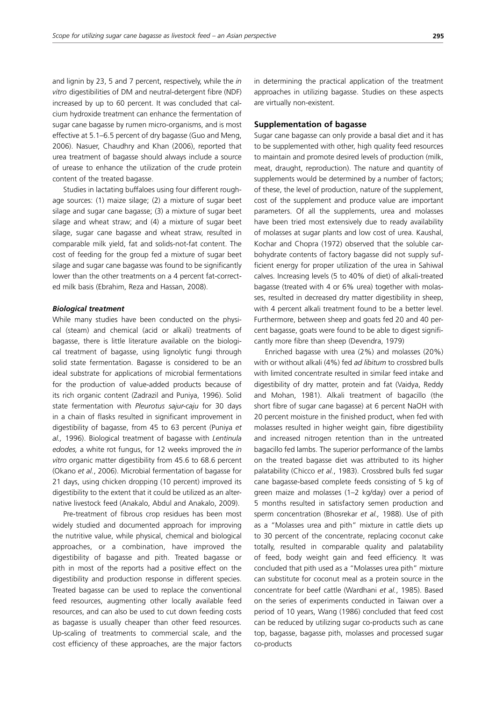and lignin by 23, 5 and 7 percent, respectively, while the *in vitro* digestibilities of DM and neutral-detergent fibre (NDF) increased by up to 60 percent. It was concluded that calcium hydroxide treatment can enhance the fermentation of sugar cane bagasse by rumen micro-organisms, and is most effective at 5.1–6.5 percent of dry bagasse (Guo and Meng, 2006). Nasuer, Chaudhry and Khan (2006), reported that urea treatment of bagasse should always include a source of urease to enhance the utilization of the crude protein content of the treated bagasse.

Studies in lactating buffaloes using four different roughage sources: (1) maize silage; (2) a mixture of sugar beet silage and sugar cane bagasse; (3) a mixture of sugar beet silage and wheat straw; and (4) a mixture of sugar beet silage, sugar cane bagasse and wheat straw, resulted in comparable milk yield, fat and solids-not-fat content. The cost of feeding for the group fed a mixture of sugar beet silage and sugar cane bagasse was found to be significantly lower than the other treatments on a 4 percent fat-corrected milk basis (Ebrahim, Reza and Hassan, 2008).

#### *Biological treatment*

While many studies have been conducted on the physical (steam) and chemical (acid or alkali) treatments of bagasse, there is little literature available on the biological treatment of bagasse, using lignolytic fungi through solid state fermentation. Bagasse is considered to be an ideal substrate for applications of microbial fermentations for the production of value-added products because of its rich organic content (Zadrazil and Puniya, 1996). Solid state fermentation with *Pleurotus sajur-caju* for 30 days in a chain of flasks resulted in significant improvement in digestibility of bagasse, from 45 to 63 percent (Puniya *et al.,* 1996). Biological treatment of bagasse with *Lentinula edodes,* a white rot fungus, for 12 weeks improved the *in vitro* organic matter digestibility from 45.6 to 68.6 percent (Okano *et al.*, 2006). Microbial fermentation of bagasse for 21 days, using chicken dropping (10 percent) improved its digestibility to the extent that it could be utilized as an alternative livestock feed (Anakalo, Abdul and Anakalo, 2009).

Pre-treatment of fibrous crop residues has been most widely studied and documented approach for improving the nutritive value, while physical, chemical and biological approaches, or a combination, have improved the digestibility of bagasse and pith. Treated bagasse or pith in most of the reports had a positive effect on the digestibility and production response in different species. Treated bagasse can be used to replace the conventional feed resources, augmenting other locally available feed resources, and can also be used to cut down feeding costs as bagasse is usually cheaper than other feed resources. Up-scaling of treatments to commercial scale, and the cost efficiency of these approaches, are the major factors in determining the practical application of the treatment approaches in utilizing bagasse. Studies on these aspects are virtually non-existent.

#### **Supplementation of bagasse**

Sugar cane bagasse can only provide a basal diet and it has to be supplemented with other, high quality feed resources to maintain and promote desired levels of production (milk, meat, draught, reproduction). The nature and quantity of supplements would be determined by a number of factors; of these, the level of production, nature of the supplement, cost of the supplement and produce value are important parameters. Of all the supplements, urea and molasses have been tried most extensively due to ready availability of molasses at sugar plants and low cost of urea. Kaushal, Kochar and Chopra (1972) observed that the soluble carbohydrate contents of factory bagasse did not supply sufficient energy for proper utilization of the urea in Sahiwal calves. Increasing levels (5 to 40% of diet) of alkali-treated bagasse (treated with 4 or 6% urea) together with molasses, resulted in decreased dry matter digestibility in sheep, with 4 percent alkali treatment found to be a better level. Furthermore, between sheep and goats fed 20 and 40 percent bagasse, goats were found to be able to digest significantly more fibre than sheep (Devendra, 1979)

Enriched bagasse with urea (2%) and molasses (20%) with or without alkali (4%) fed *ad libitum* to crossbred bulls with limited concentrate resulted in similar feed intake and digestibility of dry matter, protein and fat (Vaidya, Reddy and Mohan, 1981). Alkali treatment of bagacillo (the short fibre of sugar cane bagasse) at 6 percent NaOH with 20 percent moisture in the finished product, when fed with molasses resulted in higher weight gain, fibre digestibility and increased nitrogen retention than in the untreated bagacillo fed lambs. The superior performance of the lambs on the treated bagasse diet was attributed to its higher palatability (Chicco *et al.*, 1983). Crossbred bulls fed sugar cane bagasse-based complete feeds consisting of 5 kg of green maize and molasses (1–2 kg/day) over a period of 5 months resulted in satisfactory semen production and sperm concentration (Bhosrekar *et al.,* 1988). Use of pith as a "Molasses urea and pith" mixture in cattle diets up to 30 percent of the concentrate, replacing coconut cake totally, resulted in comparable quality and palatability of feed, body weight gain and feed efficiency. It was concluded that pith used as a "Molasses urea pith" mixture can substitute for coconut meal as a protein source in the concentrate for beef cattle (Wardhani *et al.*, 1985). Based on the series of experiments conducted in Taiwan over a period of 10 years, Wang (1986) concluded that feed cost can be reduced by utilizing sugar co-products such as cane top, bagasse, bagasse pith, molasses and processed sugar co-products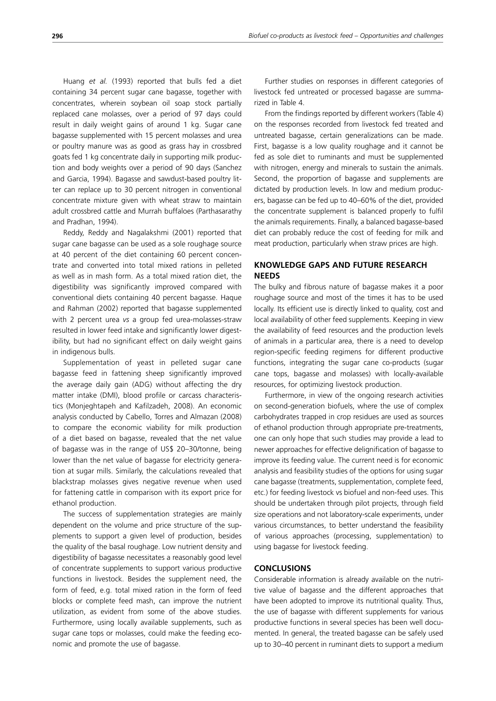Huang *et al.* (1993) reported that bulls fed a diet containing 34 percent sugar cane bagasse, together with concentrates, wherein soybean oil soap stock partially replaced cane molasses, over a period of 97 days could result in daily weight gains of around 1 kg. Sugar cane bagasse supplemented with 15 percent molasses and urea or poultry manure was as good as grass hay in crossbred goats fed 1 kg concentrate daily in supporting milk production and body weights over a period of 90 days (Sanchez and Garcia, 1994). Bagasse and sawdust-based poultry litter can replace up to 30 percent nitrogen in conventional concentrate mixture given with wheat straw to maintain adult crossbred cattle and Murrah buffaloes (Parthasarathy and Pradhan, 1994).

Reddy, Reddy and Nagalakshmi (2001) reported that sugar cane bagasse can be used as a sole roughage source at 40 percent of the diet containing 60 percent concentrate and converted into total mixed rations in pelleted as well as in mash form. As a total mixed ration diet, the digestibility was significantly improved compared with conventional diets containing 40 percent bagasse. Haque and Rahman (2002) reported that bagasse supplemented with 2 percent urea *vs* a group fed urea-molasses-straw resulted in lower feed intake and significantly lower digestibility, but had no significant effect on daily weight gains in indigenous bulls.

Supplementation of yeast in pelleted sugar cane bagasse feed in fattening sheep significantly improved the average daily gain (ADG) without affecting the dry matter intake (DMI), blood profile or carcass characteristics (Monjeghtapeh and Kafilzadeh, 2008). An economic analysis conducted by Cabello, Torres and Almazan (2008) to compare the economic viability for milk production of a diet based on bagasse, revealed that the net value of bagasse was in the range of US\$ 20–30/tonne, being lower than the net value of bagasse for electricity generation at sugar mills. Similarly, the calculations revealed that blackstrap molasses gives negative revenue when used for fattening cattle in comparison with its export price for ethanol production.

The success of supplementation strategies are mainly dependent on the volume and price structure of the supplements to support a given level of production, besides the quality of the basal roughage. Low nutrient density and digestibility of bagasse necessitates a reasonably good level of concentrate supplements to support various productive functions in livestock. Besides the supplement need, the form of feed, e.g. total mixed ration in the form of feed blocks or complete feed mash, can improve the nutrient utilization, as evident from some of the above studies. Furthermore, using locally available supplements, such as sugar cane tops or molasses, could make the feeding economic and promote the use of bagasse.

Further studies on responses in different categories of livestock fed untreated or processed bagasse are summarized in Table 4.

From the findings reported by different workers (Table 4) on the responses recorded from livestock fed treated and untreated bagasse, certain generalizations can be made. First, bagasse is a low quality roughage and it cannot be fed as sole diet to ruminants and must be supplemented with nitrogen, energy and minerals to sustain the animals. Second, the proportion of bagasse and supplements are dictated by production levels. In low and medium producers, bagasse can be fed up to 40–60% of the diet, provided the concentrate supplement is balanced properly to fulfil the animals requirements. Finally, a balanced bagasse-based diet can probably reduce the cost of feeding for milk and meat production, particularly when straw prices are high.

## **KNOWLEDGE GAPS AND FUTURE RESEARCH NEEDS**

The bulky and fibrous nature of bagasse makes it a poor roughage source and most of the times it has to be used locally. Its efficient use is directly linked to quality, cost and local availability of other feed supplements. Keeping in view the availability of feed resources and the production levels of animals in a particular area, there is a need to develop region-specific feeding regimens for different productive functions, integrating the sugar cane co-products (sugar cane tops, bagasse and molasses) with locally-available resources, for optimizing livestock production.

Furthermore, in view of the ongoing research activities on second-generation biofuels, where the use of complex carbohydrates trapped in crop residues are used as sources of ethanol production through appropriate pre-treatments, one can only hope that such studies may provide a lead to newer approaches for effective delignification of bagasse to improve its feeding value. The current need is for economic analysis and feasibility studies of the options for using sugar cane bagasse (treatments, supplementation, complete feed, etc.) for feeding livestock vs biofuel and non-feed uses. This should be undertaken through pilot projects, through field size operations and not laboratory-scale experiments, under various circumstances, to better understand the feasibility of various approaches (processing, supplementation) to using bagasse for livestock feeding.

### **CONCLUSIONS**

Considerable information is already available on the nutritive value of bagasse and the different approaches that have been adopted to improve its nutritional quality. Thus, the use of bagasse with different supplements for various productive functions in several species has been well documented. In general, the treated bagasse can be safely used up to 30–40 percent in ruminant diets to support a medium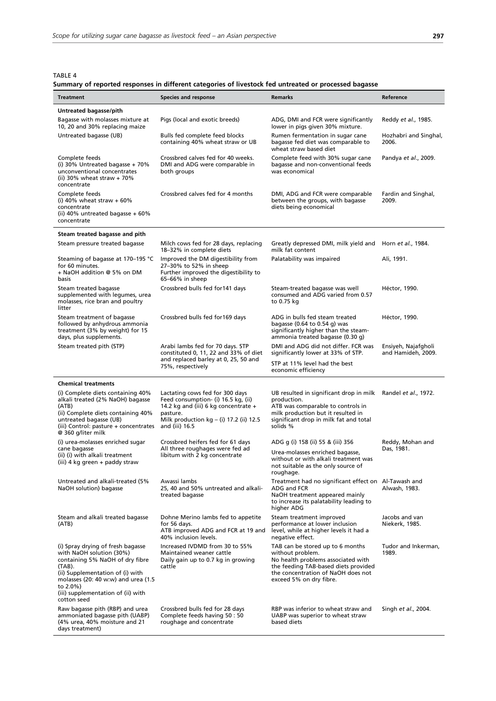TABLE 4

|  |  | Summary of reported responses in different categories of livestock fed untreated or processed bagasse |  |  |  |  |
|--|--|-------------------------------------------------------------------------------------------------------|--|--|--|--|
|--|--|-------------------------------------------------------------------------------------------------------|--|--|--|--|

| Treatment                                                                                                                                                                                                                                              | <b>Species and response</b>                                                                                                                                                               | Remarks                                                                                                                                                                                                      | Reference                                 |
|--------------------------------------------------------------------------------------------------------------------------------------------------------------------------------------------------------------------------------------------------------|-------------------------------------------------------------------------------------------------------------------------------------------------------------------------------------------|--------------------------------------------------------------------------------------------------------------------------------------------------------------------------------------------------------------|-------------------------------------------|
| Untreated bagasse/pith                                                                                                                                                                                                                                 |                                                                                                                                                                                           |                                                                                                                                                                                                              |                                           |
| Bagasse with molasses mixture at<br>10, 20 and 30% replacing maize                                                                                                                                                                                     | Pigs (local and exotic breeds)                                                                                                                                                            | ADG, DMI and FCR were significantly<br>lower in pigs given 30% mixture.                                                                                                                                      | Reddy <i>et al.</i> , 1985.               |
| Untreated bagasse (UB)                                                                                                                                                                                                                                 | Bulls fed complete feed blocks<br>containing 40% wheat straw or UB                                                                                                                        | Rumen fermentation in sugar cane<br>bagasse fed diet was comparable to<br>wheat straw based diet                                                                                                             | Hozhabri and Singhal,<br>2006.            |
| Complete feeds<br>(i) 30% Untreated bagasse + 70%<br>unconventional concentrates<br>(ii) 30% wheat straw $+70%$<br>concentrate                                                                                                                         | Crossbred calves fed for 40 weeks.<br>DMI and ADG were comparable in<br>both groups                                                                                                       | Complete feed with 30% sugar cane<br>bagasse and non-conventional feeds<br>was economical                                                                                                                    | Pandya et al., 2009.                      |
| Complete feeds<br>(i) 40% wheat straw $+60%$<br>concentrate<br>(ii) 40% untreated bagasse $+60\%$<br>concentrate                                                                                                                                       | Crossbred calves fed for 4 months                                                                                                                                                         | DMI, ADG and FCR were comparable<br>between the groups, with bagasse<br>diets being economical                                                                                                               | Fardin and Singhal,<br>2009.              |
| Steam treated bagasse and pith                                                                                                                                                                                                                         |                                                                                                                                                                                           |                                                                                                                                                                                                              |                                           |
| Steam pressure treated bagasse                                                                                                                                                                                                                         | Milch cows fed for 28 days, replacing<br>18-32% in complete diets                                                                                                                         | Greatly depressed DMI, milk yield and Horn et al., 1984.<br>milk fat content                                                                                                                                 |                                           |
| Steaming of bagasse at 170-195 °C<br>for 60 minutes.<br>+ NaOH addition @ 5% on DM<br>basis                                                                                                                                                            | Improved the DM digestibility from<br>27-30% to 52% in sheep<br>Further improved the digestibility to<br>65-66% in sheep                                                                  | Palatability was impaired                                                                                                                                                                                    | Ali, 1991.                                |
| Steam treated bagasse<br>supplemented with legumes, urea<br>molasses, rice bran and poultry<br>litter                                                                                                                                                  | Crossbred bulls fed for 141 days                                                                                                                                                          | Steam-treated bagasse was well<br>consumed and ADG varied from 0.57<br>to 0.75 kg                                                                                                                            | Héctor, 1990.                             |
| Steam treatment of bagasse<br>followed by anhydrous ammonia<br>treatment (3% by weight) for 15<br>days, plus supplements.                                                                                                                              | Crossbred bulls fed for 169 days                                                                                                                                                          | ADG in bulls fed steam treated<br>bagasse $(0.64 \text{ to } 0.54 \text{ q})$ was<br>significantly higher than the steam-<br>ammonia treated bagasse (0.30 g)                                                | Héctor, 1990.                             |
| Steam treated pith (STP)                                                                                                                                                                                                                               | Arabi lambs fed for 70 days. STP<br>constituted 0, 11, 22 and 33% of diet                                                                                                                 | DMI and ADG did not differ. FCR was<br>significantly lower at 33% of STP.                                                                                                                                    | Ensiyeh, Najafgholi<br>and Hamideh, 2009. |
|                                                                                                                                                                                                                                                        | and replaced barley at 0, 25, 50 and<br>75%, respectively                                                                                                                                 | STP at 11% level had the best<br>economic efficiency                                                                                                                                                         |                                           |
| <b>Chemical treatments</b>                                                                                                                                                                                                                             |                                                                                                                                                                                           |                                                                                                                                                                                                              |                                           |
| (i) Complete diets containing 40%<br>alkali treated (2% NaOH) bagasse<br>(ATB)<br>(ii) Complete diets containing 40%<br>untreated bagasse (UB)<br>(iii) Control: pasture + concentrates                                                                | Lactating cows fed for 300 days<br>Feed consumption- (i) 16.5 kg, (ii)<br>14.2 kg and (iii) 6 kg concentrate +<br>pasture.<br>Milk production $kg - (i)$ 17.2 (ii) 12.5<br>and (iii) 16.5 | UB resulted in significant drop in milk Randel et al., 1972.<br>production.<br>ATB was comparable to controls in<br>milk production but it resulted in<br>significant drop in milk fat and total<br>solids % |                                           |
| @ 360 g/liter milk<br>(i) urea-molasses enriched sugar                                                                                                                                                                                                 | Crossbred heifers fed for 61 days                                                                                                                                                         | ADG g (i) 158 (ii) 55 & (iii) 356                                                                                                                                                                            | Reddy, Mohan and                          |
| cane bagasse<br>(ii) (i) with alkali treatment<br>(iii) 4 kg green + paddy straw                                                                                                                                                                       | All three roughages were fed ad<br>libitum with 2 kg concentrate                                                                                                                          | Urea-molasses enriched bagasse,<br>without or with alkali treatment was<br>not suitable as the only source of<br>roughage.                                                                                   | Das, 1981.                                |
| Untreated and alkali-treated (5%<br>NaOH solution) bagasse                                                                                                                                                                                             | Awassi lambs<br>25, 40 and 50% untreated and alkali-<br>treated bagasse                                                                                                                   | Treatment had no significant effect on Al-Tawash and<br>ADG and FCR<br>NaOH treatment appeared mainly<br>to increase its palatability leading to<br>higher ADG                                               | Alwash, 1983.                             |
| Steam and alkali treated bagasse<br>(ATB)                                                                                                                                                                                                              | Dohne Merino lambs fed to appetite<br>for 56 days.<br>ATB improved ADG and FCR at 19 and<br>40% inclusion levels.                                                                         | Steam treatment improved<br>performance at lower inclusion<br>level, while at higher levels it had a<br>negative effect.                                                                                     | Jacobs and van<br>Niekerk, 1985.          |
| (i) Spray drying of fresh bagasse<br>with NaOH solution (30%)<br>containing 5% NaOH of dry fibre<br>(TAB).<br>(ii) Supplementation of (i) with<br>molasses (20: 40 w:w) and urea (1.5<br>to 2.0%)<br>(iii) supplementation of (ii) with<br>cotton seed | Increased IVDMD from 30 to 55%<br>Maintained weaner cattle<br>Daily gain up to 0.7 kg in growing<br>cattle                                                                                | TAB can be stored up to 6 months<br>without problem.<br>No health problems associated with<br>the feeding TAB-based diets provided<br>the concentration of NaOH does not<br>exceed 5% on dry fibre.          | Tudor and Inkerman,<br>1989.              |
| Raw bagasse pith (RBP) and urea<br>ammoniated bagasse pith (UABP)<br>(4% urea, 40% moisture and 21<br>days treatment)                                                                                                                                  | Crossbred bulls fed for 28 days<br>Complete feeds having 50 : 50<br>roughage and concentrate                                                                                              | RBP was inferior to wheat straw and<br>UABP was superior to wheat straw<br>based diets                                                                                                                       | Singh et al., 2004.                       |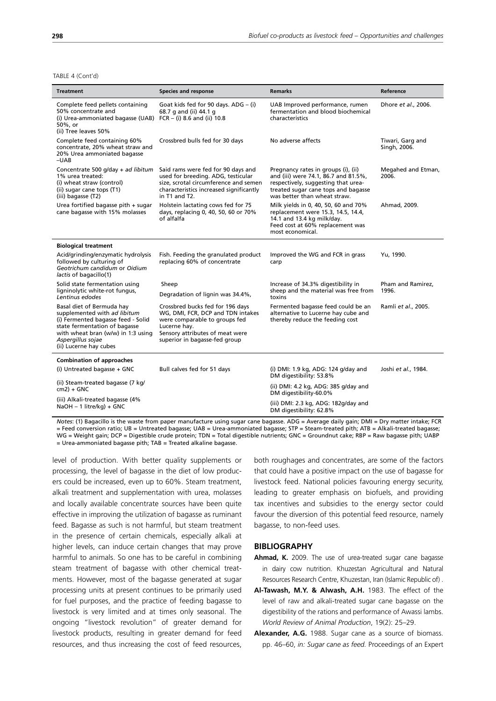TABLE 4 (Cont'd)

| <b>Treatment</b>                                                                                                                                                                                                      | <b>Species and response</b>                                                                                                                                                                | <b>Remarks</b>                                                                                                                                                                            | Reference                        |
|-----------------------------------------------------------------------------------------------------------------------------------------------------------------------------------------------------------------------|--------------------------------------------------------------------------------------------------------------------------------------------------------------------------------------------|-------------------------------------------------------------------------------------------------------------------------------------------------------------------------------------------|----------------------------------|
| Complete feed pellets containing<br>50% concentrate and<br>(i) Urea-ammoniated bagasse (UAB) $FCR - (i)$ 8.6 and (ii) 10.8<br>50%, or<br>(ii) Tree leaves 50%                                                         | Goat kids fed for 90 days. ADG - (i)<br>68.7 g and (ii) 44.1 g                                                                                                                             | UAB Improved performance, rumen<br>fermentation and blood biochemical<br>characteristics                                                                                                  | Dhore et al., 2006.              |
| Complete feed containing 60%<br>concentrate, 20% wheat straw and<br>20% Urea ammoniated bagasse<br>$-UAB$                                                                                                             | Crossbred bulls fed for 30 days                                                                                                                                                            | No adverse affects                                                                                                                                                                        | Tiwari, Garg and<br>Singh, 2006. |
| Concentrate 500 $q$ /day + ad libitum<br>1% urea treated:<br>(i) wheat straw (control)<br>(ii) sugar cane tops (T1)<br>(iii) bagasse (T2)                                                                             | Said rams were fed for 90 days and<br>used for breeding. ADG, testicular<br>size, scrotal circumference and semen<br>characteristics increased significantly<br>in T1 and T2.              | Pregnancy rates in groups (i), (ii)<br>and (iii) were 74.1, 86.7 and 81.5%,<br>respectively, suggesting that urea-<br>treated sugar cane tops and bagasse<br>was better than wheat straw. | Megahed and Etman,<br>2006.      |
| Urea fortified bagasse pith + sugar<br>cane bagasse with 15% molasses                                                                                                                                                 | Holstein lactating cows fed for 75<br>days, replacing 0, 40, 50, 60 or 70%<br>of alfalfa                                                                                                   | Milk yields in 0, 40, 50, 60 and 70%<br>replacement were 15.3, 14.5, 14.4,<br>14.1 and 13.4 kg milk/day.<br>Feed cost at 60% replacement was<br>most economical.                          | Ahmad, 2009.                     |
| <b>Biological treatment</b>                                                                                                                                                                                           |                                                                                                                                                                                            |                                                                                                                                                                                           |                                  |
| Acid/grinding/enzymatic hydrolysis<br>followed by culturing of<br>Geotrichum candidum or Oidium<br>lactis of bagacillo(1)                                                                                             | Fish. Feeding the granulated product<br>replacing 60% of concentrate                                                                                                                       | Improved the WG and FCR in grass<br>carp                                                                                                                                                  | Yu, 1990.                        |
| Solid state fermentation using<br>ligninolytic white-rot fungus,<br>Lentinus edodes                                                                                                                                   | Sheep<br>Degradation of lignin was 34.4%,                                                                                                                                                  | Increase of 34.3% digestibility in<br>sheep and the material was free from<br>toxins                                                                                                      | Pham and Ramirez,<br>1996.       |
| Basal diet of Bermuda hay<br>supplemented with ad libitum<br>(i) Fermented bagasse feed - Solid<br>state fermentation of bagasse<br>with wheat bran (w/w) in 1:3 using<br>Aspergillus sojae<br>(ii) Lucerne hay cubes | Crossbred bucks fed for 196 days<br>WG, DMI, FCR, DCP and TDN intakes<br>were comparable to groups fed<br>Lucerne hay.<br>Sensory attributes of meat were<br>superior in bagasse-fed group | Fermented bagasse feed could be an<br>alternative to Lucerne hay cube and<br>thereby reduce the feeding cost                                                                              | Ramli et al., 2005.              |
| <b>Combination of approaches</b>                                                                                                                                                                                      |                                                                                                                                                                                            |                                                                                                                                                                                           |                                  |
| (i) Untreated bagasse + GNC                                                                                                                                                                                           | Bull calves fed for 51 days                                                                                                                                                                | (i) DMI: 1.9 kg, ADG: 124 g/day and<br>DM digestibility: 53.8%                                                                                                                            | Joshi et al., 1984.              |
| (ii) Steam-treated bagasse (7 kg/<br>$cm2$ ) + GNC                                                                                                                                                                    |                                                                                                                                                                                            | (ii) DMI: 4.2 kg, ADG: 385 g/day and<br>DM digestibility-60.0%                                                                                                                            |                                  |
| (iii) Alkali-treated bagasse (4%<br>$NaOH - 1$ litre/kg) + GNC                                                                                                                                                        |                                                                                                                                                                                            | (iii) DMI: 2.3 kg, ADG: 182g/day and<br>DM digestibility: 62.8%                                                                                                                           |                                  |

*Notes*: (1) Bagacillo is the waste from paper manufacture using sugar cane bagasse. ADG = Average daily gain; DMI = Dry matter intake; FCR = Feed conversion ratio; UB = Untreated bagasse; UAB = Urea-ammoniated bagasse; STP = Steam-treated pith; ATB = Alkali-treated bagasse; WG = Weight gain; DCP = Digestible crude protein; TDN = Total digestible nutrients; GNC = Groundnut cake; RBP = Raw bagasse pith; UABP

= Urea-ammoniated bagasse pith; TAB = Treated alkaline bagasse.

level of production. With better quality supplements or processing, the level of bagasse in the diet of low producers could be increased, even up to 60%. Steam treatment, alkali treatment and supplementation with urea, molasses and locally available concentrate sources have been quite effective in improving the utilization of bagasse as ruminant feed. Bagasse as such is not harmful, but steam treatment in the presence of certain chemicals, especially alkali at higher levels, can induce certain changes that may prove harmful to animals. So one has to be careful in combining steam treatment of bagasse with other chemical treatments. However, most of the bagasse generated at sugar processing units at present continues to be primarily used for fuel purposes, and the practice of feeding bagasse to livestock is very limited and at times only seasonal. The ongoing "livestock revolution" of greater demand for livestock products, resulting in greater demand for feed resources, and thus increasing the cost of feed resources, both roughages and concentrates, are some of the factors that could have a positive impact on the use of bagasse for livestock feed. National policies favouring energy security, leading to greater emphasis on biofuels, and providing tax incentives and subsidies to the energy sector could favour the diversion of this potential feed resource, namely bagasse, to non-feed uses.

#### **BIBLIOGRAPHY**

- **Ahmad, K.** 2009. The use of urea-treated sugar cane bagasse in dairy cow nutrition. Khuzestan Agricultural and Natural Resources Research Centre, Khuzestan, Iran (Islamic Republic of) .
- **Al-Tawash, M.Y. & Alwash, A.H.** 1983. The effect of the level of raw and alkali-treated sugar cane bagasse on the digestibility of the rations and performance of Awassi lambs. *World Review of Animal Production*, 19(2): 25–29.
- **Alexander, A.G.** 1988. Sugar cane as a source of biomass. pp. 46–60, *in: Sugar cane as feed.* Proceedings of an Expert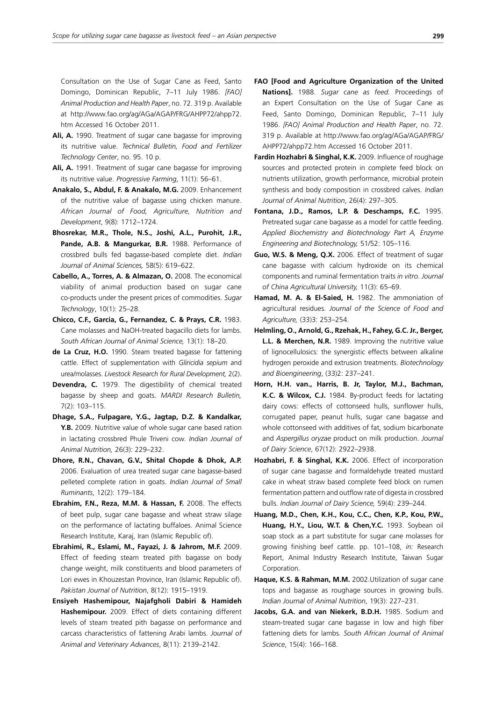Consultation on the Use of Sugar Cane as Feed, Santo Domingo, Dominican Republic, 7–11 July 1986. *[FAO] Animal Production and Health Paper*, no. 72. 319 p. Available at http://www.fao.org/ag/AGa/AGAP/FRG/AHPP72/ahpp72. htm Accessed 16 October 2011.

- **Ali, A.** 1990. Treatment of sugar cane bagasse for improving its nutritive value. *Technical Bulletin, Food and Fertilizer Technology Center*, no. 95. 10 p.
- **Ali, A.** 1991. Treatment of sugar cane bagasse for improving its nutritive value. *Progressive Farming*, 11(1): 56–61.
- **Anakalo, S., Abdul, F. & Anakalo, M.G.** 2009. Enhancement of the nutritive value of bagasse using chicken manure. *African Journal of Food, Agriculture, Nutrition and Development*, 9(8): 1712–1724.
- **Bhosrekar, M.R., Thole, N.S., Joshi, A.L., Purohit, J.R., Pande, A.B. & Mangurkar, B.R.** 1988. Performance of crossbred bulls fed bagasse-based complete diet. *Indian Journal of Animal Sciences,* 58(5): 619–622.
- **Cabello, A., Torres, A. & Almazan, O.** 2008. The economical viability of animal production based on sugar cane co-products under the present prices of commodities. *Sugar Technology*, 10(1): 25–28.
- **Chicco, C.F., Garcia, G., Fernandez, C. & Prays, C.R.** 1983. Cane molasses and NaOH-treated bagacillo diets for lambs. *South African Journal of Animal Science,* 13(1): 18–20.
- **de La Cruz, H.O.** 1990. Steam treated bagasse for fattening cattle. Effect of supplementation with *Gliricidia sepium* and urea/molasses. *Livestock Research for Rural Development,* 2(2).
- **Devendra, C.** 1979. The digestibility of chemical treated bagasse by sheep and goats. *MARDI Research Bulletin,* 7(2): 103–115.
- **Dhage, S.A., Fulpagare, Y.G., Jagtap, D.Z. & Kandalkar, Y.B.** 2009. Nutritive value of whole sugar cane based ration in lactating crossbred Phule Triveni cow. *Indian Journal of Animal Nutrition,* 26(3): 229–232.
- **Dhore, R.N., Chavan, G.V., Shital Chopde & Dhok, A.P.** 2006. Evaluation of urea treated sugar cane bagasse-based pelleted complete ration in goats. *Indian Journal of Small Ruminants*, 12(2): 179–184.
- **Ebrahim, F.N., Reza, M.M. & Hassan, F.** 2008. The effects of beet pulp, sugar cane bagasse and wheat straw silage on the performance of lactating buffaloes. Animal Science Research Institute, Karaj, Iran (Islamic Republic of).
- **Ebrahimi, R., Eslami, M., Fayazi, J. & Jahrom, M.F.** 2009. Effect of feeding steam treated pith bagasse on body change weight, milk constituents and blood parameters of Lori ewes in Khouzestan Province, Iran (Islamic Republic of). *Pakistan Journal of Nutrition*, 8(12): 1915–1919.
- **Ensiyeh Hashemipour, Najafgholi Dabiri & Hamideh Hashemipour.** 2009. Effect of diets containing different levels of steam treated pith bagasse on performance and carcass characteristics of fattening Arabi lambs. *Journal of Animal and Veterinary Advances*, 8(11): 2139–2142.
- **FAO [Food and Agriculture Organization of the United Nations].** 1988. *Sugar cane as feed.* Proceedings of an Expert Consultation on the Use of Sugar Cane as Feed, Santo Domingo, Dominican Republic, 7–11 July 1986. *[FAO] Animal Production and Health Paper*, no. 72. 319 p. Available at http://www.fao.org/ag/AGa/AGAP/FRG/ AHPP72/ahpp72.htm Accessed 16 October 2011.
- **Fardin Hozhabri & Singhal, K.K.** 2009. Influence of roughage sources and protected protein in complete feed block on nutrients utilization, growth performance, microbial protein synthesis and body composition in crossbred calves. *Indian Journal of Animal Nutrition*, 26(4): 297–305.
- **Fontana, J.D., Ramos, L.P. & Deschamps, F.C.** 1995. Pretreated sugar cane bagasse as a model for cattle feeding. *Applied Biochemistry and Biotechnology Part A, Enzyme Engineering and Biotechnology,* 51/52: 105–116.
- **Guo, W.S. & Meng, Q.X.** 2006. Effect of treatment of sugar cane bagasse with calcium hydroxide on its chemical components and ruminal fermentation traits *in vitro*. *Journal of China Agricultural University,* 11(3): 65–69.
- **Hamad, M. A. & El-Saied, H.** 1982. The ammoniation of agricultural residues. *Journal of the Science of Food and Agriculture,* (33)3: 253–254.
- **Helmling, O., Arnold, G., Rzehak, H., Fahey, G.C. Jr., Berger, L.L. & Merchen, N.R.** 1989. Improving the nutritive value of lignocellulosics: the synergistic effects between alkaline hydrogen peroxide and extrusion treatments. *Biotechnology and Bioengineering*, (33)2: 237–241.
- **Horn, H.H. van., Harris, B. Jr, Taylor, M.J., Bachman, K.C. & Wilcox, C.J.** 1984. By-product feeds for lactating dairy cows: effects of cottonseed hulls, sunflower hulls, corrugated paper, peanut hulls, sugar cane bagasse and whole cottonseed with additives of fat, sodium bicarbonate and *Aspergillus oryzae* product on milk production. *Journal of Dairy Science*, 67(12): 2922–2938.
- **Hozhabri, F. & Singhal, K.K.** 2006. Effect of incorporation of sugar cane bagasse and formaldehyde treated mustard cake in wheat straw based complete feed block on rumen fermentation pattern and outflow rate of digesta in crossbred bulls. *Indian Journal of Dairy Science,* 59(4): 239–244.
- **Huang, M.D., Chen, K.H., Kou, C.C., Chen, K.P., Kou, P.W., Huang, H.Y., Liou, W.T. & Chen,Y.C.** 1993. Soybean oil soap stock as a part substitute for sugar cane molasses for growing finishing beef cattle. pp. 101–108, *in:* Research Report, Animal Industry Research Institute, Taiwan Sugar Corporation.
- **Haque, K.S. & Rahman, M.M.** 2002.Utilization of sugar cane tops and bagasse as roughage sources in growing bulls. *Indian Journal of Animal Nutrition*, 19(3): 227–231.
- Jacobs, G.A. and van Niekerk, B.D.H. 1985. Sodium and steam-treated sugar cane bagasse in low and high fiber fattening diets for lambs. *South African Journal of Animal Science*, 15(4): 166–168.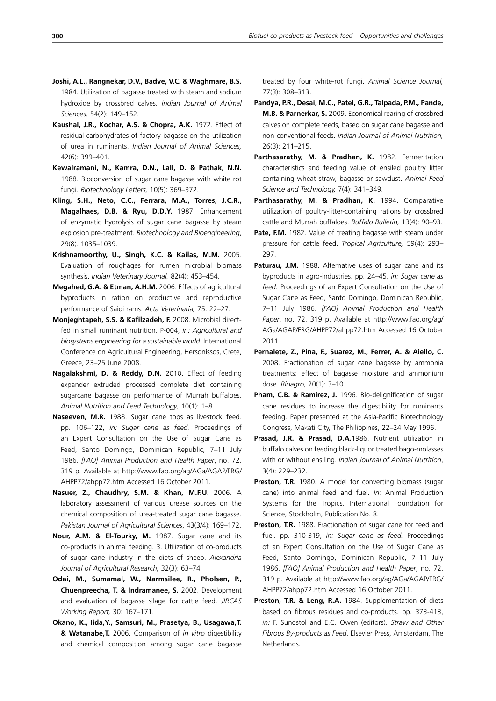- **Joshi, A.L., Rangnekar, D.V., Badve, V.C. & Waghmare, B.S.** 1984. Utilization of bagasse treated with steam and sodium hydroxide by crossbred calves. *Indian Journal of Animal Sciences,* 54(2): 149–152.
- **Kaushal, J.R., Kochar, A.S. & Chopra, A.K.** 1972. Effect of residual carbohydrates of factory bagasse on the utilization of urea in ruminants. *Indian Journal of Animal Sciences,* 42(6): 399–401.
- **Kewalramani, N., Kamra, D.N., Lall, D. & Pathak, N.N.**  1988. Bioconversion of sugar cane bagasse with white rot fungi. *Biotechnology Letters,* 10(5): 369–372.
- **Kling, S.H., Neto, C.C., Ferrara, M.A., Torres, J.C.R., Magalhaes, D.B. & Ryu, D.D.Y.** 1987. Enhancement of enzymatic hydrolysis of sugar cane bagasse by steam explosion pre-treatment. *Biotechnology and Bioengineering*, 29(8): 1035–1039.
- **Krishnamoorthy, U., Singh, K.C. & Kailas, M.M.** 2005. Evaluation of roughages for rumen microbial biomass synthesis. *Indian Veterinary Journal,* 82(4): 453–454.
- **Megahed, G.A. & Etman, A.H.M.** 2006. Effects of agricultural byproducts in ration on productive and reproductive performance of Saidi rams. *Acta Veterinaria,* 75: 22–27.
- **Monjeghtapeh, S.S. & Kafilzadeh, F.** 2008. Microbial directfed in small ruminant nutrition. P-004, *in: Agricultural and biosystems engineering for a sustainable world*. International Conference on Agricultural Engineering, Hersonissos, Crete, Greece, 23–25 June 2008.
- **Nagalakshmi, D. & Reddy, D.N.** 2010. Effect of feeding expander extruded processed complete diet containing sugarcane bagasse on performance of Murrah buffaloes. *Animal Nutrition and Feed Technology*, 10(1): 1–8.
- **Naseeven, M.R.** 1988. Sugar cane tops as livestock feed. pp. 106–122, *in: Sugar cane as feed.* Proceedings of an Expert Consultation on the Use of Sugar Cane as Feed, Santo Domingo, Dominican Republic, 7–11 July 1986. *[FAO] Animal Production and Health Paper*, no. 72. 319 p. Available at http://www.fao.org/ag/AGa/AGAP/FRG/ AHPP72/ahpp72.htm Accessed 16 October 2011.
- **Nasuer, Z., Chaudhry, S.M. & Khan, M.F.U.** 2006. A laboratory assessment of various urease sources on the chemical composition of urea-treated sugar cane bagasse. *Pakistan Journal of Agricultural Sciences*, 43(3/4): 169–172.
- **Nour, A.M. & El-Tourky, M.** 1987. Sugar cane and its co-products in animal feeding. 3. Utilization of co-products of sugar cane industry in the diets of sheep. *Alexandria Journal of Agricultural Research,* 32(3): 63–74.
- **Odai, M., Sumamal, W., Narmsilee, R., Pholsen, P., Chuenpreecha, T. & Indramanee, S.** 2002. Development and evaluation of bagasse silage for cattle feed. *JIRCAS Working Report,* 30: 167–171.
- **Okano, K., Iida,Y., Samsuri, M., Prasetya, B., Usagawa,T. & Watanabe,T.** 2006. Comparison of *in vitro* digestibility and chemical composition among sugar cane bagasse

treated by four white-rot fungi. *Animal Science Journal,* 77(3): 308–313.

- **Pandya, P.R., Desai, M.C., Patel, G.R., Talpada, P.M., Pande, M.B. & Parnerkar, S.** 2009. Economical rearing of crossbred calves on complete feeds, based on sugar cane bagasse and non-conventional feeds. *Indian Journal of Animal Nutrition,* 26(3): 211–215.
- **Parthasarathy, M. & Pradhan, K.** 1982. Fermentation characteristics and feeding value of ensiled poultry litter containing wheat straw, bagasse or sawdust. *Animal Feed Science and Technology,* 7(4): 341–349.
- Parthasarathy, M. & Pradhan, K. 1994. Comparative utilization of poultry-litter-containing rations by crossbred cattle and Murrah buffaloes. *Buffalo Bulletin,* 13(4): 90–93.
- Pate, F.M. 1982. Value of treating bagasse with steam under pressure for cattle feed. *Tropical Agriculture,* 59(4): 293– 297.
- Paturau, J.M. 1988. Alternative uses of sugar cane and its byproducts in agro-industries. pp. 24–45, *in: Sugar cane as feed.* Proceedings of an Expert Consultation on the Use of Sugar Cane as Feed, Santo Domingo, Dominican Republic, 7–11 July 1986. *[FAO] Animal Production and Health Paper*, no. 72. 319 p. Available at http://www.fao.org/ag/ AGa/AGAP/FRG/AHPP72/ahpp72.htm Accessed 16 October 2011.
- **Pernalete, Z., Pina, F., Suarez, M., Ferrer, A. & Aiello, C.**  2008. Fractionation of sugar cane bagasse by ammonia treatments: effect of bagasse moisture and ammonium dose. *Bioagro*, 20(1): 3–10.
- Pham, C.B. & Ramirez, J. 1996. Bio-delignification of sugar cane residues to increase the digestibility for ruminants feeding. Paper presented at the Asia-Pacific Biotechnology Congress, Makati City, The Philippines, 22–24 May 1996.
- **Prasad, J.R. & Prasad, D.A.**1986. Nutrient utilization in buffalo calves on feeding black-liquor treated bago-molasses with or without ensiling. *Indian Journal of Animal Nutrition*, 3(4): 229–232.
- **Preston, T.R.** 1980. A model for converting biomass (sugar cane) into animal feed and fuel. *In:* Animal Production Systems for the Tropics. International Foundation for Science, Stockholm, Publication No. 8.
- **Preston, T.R.** 1988. Fractionation of sugar cane for feed and fuel. pp. 310-319, *in: Sugar cane as feed.* Proceedings of an Expert Consultation on the Use of Sugar Cane as Feed, Santo Domingo, Dominican Republic, 7–11 July 1986. *[FAO] Animal Production and Health Paper*, no. 72. 319 p. Available at http://www.fao.org/ag/AGa/AGAP/FRG/ AHPP72/ahpp72.htm Accessed 16 October 2011.
- **Preston, T.R. & Leng, R.A.** 1984. Supplementation of diets based on fibrous residues and co-products. pp. 373-413, *in:* F. Sundstol and E.C. Owen (editors). *Straw and Other Fibrous By-products as Feed*. Elsevier Press, Amsterdam, The Netherlands.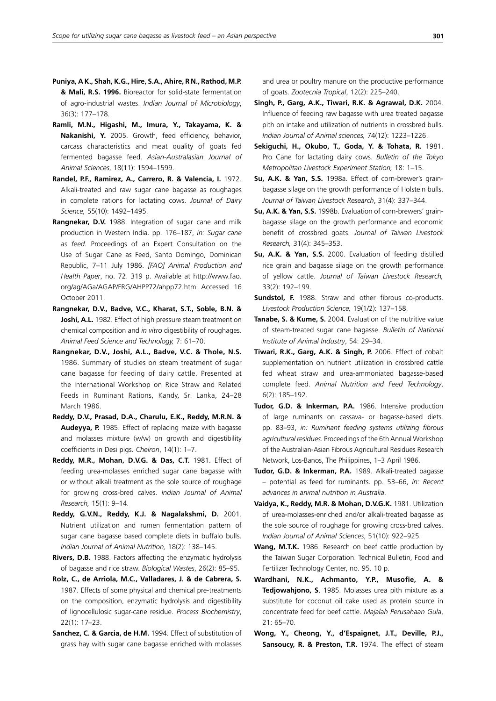- **Puniya, A K., Shah, K.G., Hire, S.A., Ahire, R N., Rathod, M.P. & Mali, R.S. 1996.** Bioreactor for solid-state fermentation of agro-industrial wastes. *Indian Journal of Microbiology*, 36(3): 177–178.
- **Ramli, M.N., Higashi, M., Imura, Y., Takayama, K. & Nakanishi, Y.** 2005. Growth, feed efficiency, behavior, carcass characteristics and meat quality of goats fed fermented bagasse feed. *Asian-Australasian Journal of Animal Sciences*, 18(11): 1594–1599.
- Randel, P.F., Ramirez, A., Carrero, R. & Valencia, I. 1972. Alkali-treated and raw sugar cane bagasse as roughages in complete rations for lactating cows. *Journal of Dairy Science,* 55(10): 1492–1495.
- **Rangnekar, D.V.** 1988. Integration of sugar cane and milk production in Western India. pp. 176–187, *in: Sugar cane as feed.* Proceedings of an Expert Consultation on the Use of Sugar Cane as Feed, Santo Domingo, Dominican Republic, 7–11 July 1986. *[FAO] Animal Production and Health Paper*, no. 72. 319 p. Available at http://www.fao. org/ag/AGa/AGAP/FRG/AHPP72/ahpp72.htm Accessed 16 October 2011.
- **Rangnekar, D.V., Badve, V.C., Kharat, S.T., Soble, B.N. & Joshi, A.L.** 1982. Effect of high pressure steam treatment on chemical composition and *in vitro* digestibility of roughages. *Animal Feed Science and Technology,* 7: 61–70.
- **Rangnekar, D.V., Joshi, A.L., Badve, V.C. & Thole, N.S.** 1986. Summary of studies on steam treatment of sugar cane bagasse for feeding of dairy cattle. Presented at the International Workshop on Rice Straw and Related Feeds in Ruminant Rations, Kandy, Sri Lanka, 24–28 March 1986.
- **Reddy, D.V., Prasad, D.A., Charulu, E.K., Reddy, M.R.N. & Audeyya, P.** 1985. Effect of replacing maize with bagasse and molasses mixture (w/w) on growth and digestibility coefficients in Desi pigs. *Cheiron*, 14(1): 1–7.
- **Reddy, M.R., Mohan, D.V.G. & Das, C.T.** 1981. Effect of feeding urea-molasses enriched sugar cane bagasse with or without alkali treatment as the sole source of roughage for growing cross-bred calves. *Indian Journal of Animal Research,* 15(1): 9–14.
- **Reddy, G.V.N., Reddy, K.J. & Nagalakshmi, D.** 2001. Nutrient utilization and rumen fermentation pattern of sugar cane bagasse based complete diets in buffalo bulls. *Indian Journal of Animal Nutrition,* 18(2): 138–145.
- **Rivers, D.B.** 1988. Factors affecting the enzymatic hydrolysis of bagasse and rice straw. *Biological Wastes*, 26(2): 85–95.
- **Rolz, C., de Arriola, M.C., Valladares, J. & de Cabrera, S.** 1987. Effects of some physical and chemical pre-treatments on the composition, enzymatic hydrolysis and digestibility of lignocellulosic sugar-cane residue. *Process Biochemistry*, 22(1): 17–23.
- **Sanchez, C. & Garcia, de H.M.** 1994. Effect of substitution of grass hay with sugar cane bagasse enriched with molasses

and urea or poultry manure on the productive performance of goats. *Zootecnia Tropical*, 12(2): 225–240.

- **Singh, P., Garg, A.K., Tiwari, R.K. & Agrawal, D.K.** 2004. Influence of feeding raw bagasse with urea treated bagasse pith on intake and utilization of nutrients in crossbred bulls. *Indian Journal of Animal sciences,* 74(12): 1223–1226.
- **Sekiguchi, H., Okubo, T., Goda, Y. & Tohata, R.** 1981. Pro Cane for lactating dairy cows. *Bulletin of the Tokyo Metropolitan Livestock Experiment Station,* 18: 1–15.
- **Su, A.K. & Yan, S.S.** 1998a. Effect of corn-brewer's grainbagasse silage on the growth performance of Holstein bulls. *Journal of Taiwan Livestock Research*, 31(4): 337–344.
- **Su, A.K. & Yan, S.S.** 1998b. Evaluation of corn-brewers' grainbagasse silage on the growth performance and economic benefit of crossbred goats. *Journal of Taiwan Livestock Research,* 31(4): 345–353.
- **Su, A.K. & Yan, S.S.** 2000. Evaluation of feeding distilled rice grain and bagasse silage on the growth performance of yellow cattle. *Journal of Taiwan Livestock Research,* 33(2): 192–199.
- **Sundstol, F.** 1988. Straw and other fibrous co-products. *Livestock Production Science,* 19(1/2): 137–158.
- **Tanabe, S. & Kume, S.** 2004. Evaluation of the nutritive value of steam-treated sugar cane bagasse. *Bulletin of National Institute of Animal Industry*, 54: 29–34.
- **Tiwari, R.K., Garg, A.K. & Singh, P.** 2006. Effect of cobalt supplementation on nutrient utilization in crossbred cattle fed wheat straw and urea-ammoniated bagasse-based complete feed. *Animal Nutrition and Feed Technology*, 6(2): 185–192.
- **Tudor, G.D. & Inkerman, P.A.** 1986. Intensive production of large ruminants on cassava- or bagasse-based diets. pp. 83–93, *in: Ruminant feeding systems utilizing fibrous agricultural residues*. Proceedings of the 6th Annual Workshop of the Australian-Asian Fibrous Agricultural Residues Research Network, Los-Banos, The Philippines, 1–3 April 1986.
- **Tudor, G.D. & Inkerman, P.A.** 1989. Alkali-treated bagasse – potential as feed for ruminants. pp. 53–66, *in: Recent advances in animal nutrition in Australia*.
- **Vaidya, K., Reddy, M.R. & Mohan, D.V.G.K.** 1981. Utilization of urea-molasses-enriched and/or alkali-treated bagasse as the sole source of roughage for growing cross-bred calves. *Indian Journal of Animal Sciences*, 51(10): 922–925.
- **Wang, M.T.K.** 1986. Research on beef cattle production by the Taiwan Sugar Corporation. Technical Bulletin, Food and Fertilizer Technology Center, no. 95. 10 p.
- **Wardhani, N.K., Achmanto, Y.P., Musofie, A. & Tedjowahjono, S**. 1985. Molasses urea pith mixture as a substitute for coconut oil cake used as protein source in concentrate feed for beef cattle. *Majalah Perusahaan Gula*, 21: 65–70.
- **Wong, Y., Cheong, Y., d'Espaignet, J.T., Deville, P.J., Sansoucy, R. & Preston, T.R.** 1974. The effect of steam